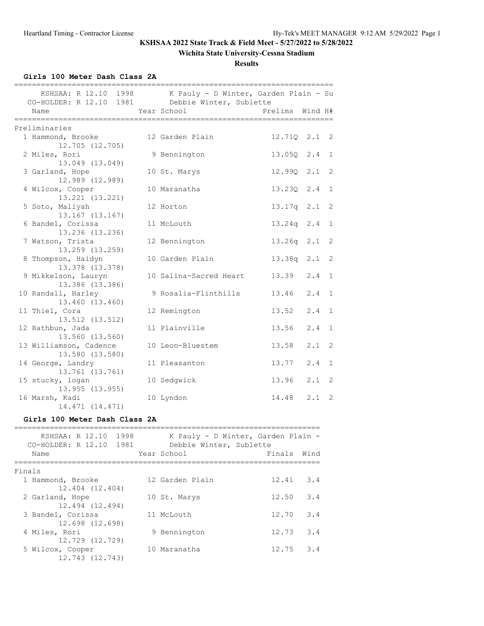12.743 (12.743)

# **KSHSAA 2022 State Track & Field Meet - 5/27/2022 to 5/28/2022**

### **Wichita State University-Cessna Stadium**

**Results**

**Girls 100 Meter Dash Class 2A**

| CO-HOLDER: R 12.10 1981 Debbie Winter, Sublette         | KSHSAA: R 12.10 1998 K Pauly - D Winter, Garden Plain - Su |                 |         |                |
|---------------------------------------------------------|------------------------------------------------------------|-----------------|---------|----------------|
| Name                                                    | Year School                                                | Prelims Wind H# |         |                |
|                                                         |                                                            |                 |         |                |
| Preliminaries<br>1 Hammond, Brooke                      | 12 Garden Plain                                            | 12.71Q 2.1 2    |         |                |
| 12.705 (12.705)                                         |                                                            |                 |         |                |
| 2 Miles, Rori<br>13.049 (13.049)                        | 9 Bennington                                               | 13.05Q 2.4 1    |         |                |
| 3 Garland, Hope<br>12.989 (12.989)                      | 10 St. Marys                                               | 12.99Q 2.1 2    |         |                |
| 4 Wilcox, Cooper<br>13.221 (13.221)                     | 10 Maranatha                                               | 13.230 2.4 1    |         |                |
| 5 Soto, Maliyah                                         | 12 Horton                                                  | 13.17q 2.1 2    |         |                |
| 13.167 (13.167)<br>6 Bandel, Corissa<br>13.236 (13.236) | 11 McLouth                                                 | 13.24q 2.4      |         | $\mathbf{1}$   |
| 7 Watson, Trista<br>13.259 (13.259)                     | 12 Bennington                                              | 13.26q 2.1      |         | $\overline{c}$ |
| 8 Thompson, Haidyn<br>13.378 (13.378)                   | 10 Garden Plain                                            | 13.38q 2.1      |         | $\overline{c}$ |
| 9 Mikkelson, Lauryn<br>13.386 (13.386)                  | 10 Salina-Sacred Heart                                     | 13.39           | $2.4$ 1 |                |
| 10 Randall, Harley<br>13.460 (13.460)                   | 9 Rosalia-Flinthills                                       | $13.46$ $2.4$ 1 |         |                |
| 11 Thiel, Cora<br>13.512 (13.512)                       | 12 Remington                                               | $13.52 \t2.4$   |         | $\mathbf{1}$   |
| 12 Rathbun, Jada<br>13.560 (13.560)                     | 11 Plainville                                              | 13.56           | 2.4     | $\mathbf{1}$   |
| 13 Williamson, Cadence<br>13.580 (13.580)               | 10 Leon-Bluestem                                           | 13.58           | $2.1$ 2 |                |
| 14 George, Landry<br>13.761 (13.761)                    | 11 Pleasanton                                              | 13.77           | 2.4     | $\mathbf{1}$   |
| 15 stucky, logan<br>13.955 (13.955)                     | 10 Sedgwick                                                | 13.96           | $2.1$ 2 |                |
| 16 Marsh, Kadi<br>14.471 (14.471)                       | 10 Lyndon                                                  | 14.48 2.1 2     |         |                |
| Girls 100 Meter Dash Class 2A                           |                                                            |                 |         |                |
| CO-HOLDER: R 12.10 1981 Debbie Winter, Sublette         | KSHSAA: R 12.10 1998 K Pauly - D Winter, Garden Plain -    |                 |         |                |
| Name                                                    | Year School                                                | Finals          | Wind    |                |
| Finals                                                  |                                                            |                 |         |                |
| 1 Hammond, Brooke<br>12.404 (12.404)                    | 12 Garden Plain                                            | 12.41           | 3.4     |                |
| 2 Garland, Hope<br>12.494 (12.494)                      | 10 St. Marys                                               | 12.50           | 3.4     |                |
| 3 Bandel, Corissa<br>12.698 (12.698)                    | 11 McLouth                                                 | 12.70           | 3.4     |                |
| 4 Miles, Rori<br>12.729 (12.729)                        | 9 Bennington                                               | 12.73           | 3.4     |                |
| 5 Wilcox, Cooper                                        | 10 Maranatha                                               | 12.75           | 3.4     |                |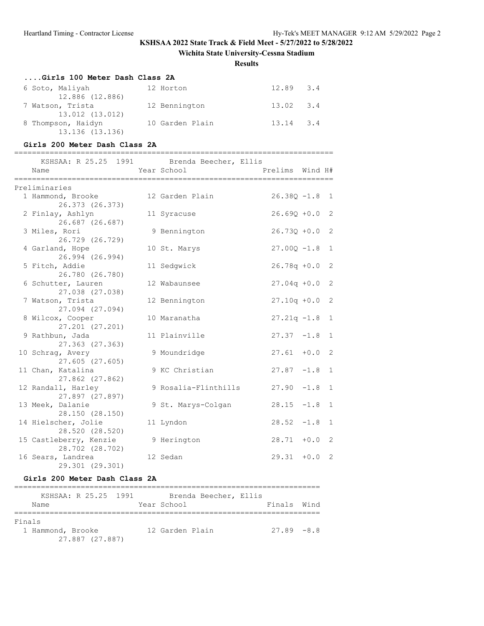### **Wichita State University-Cessna Stadium**

**Results**

#### **....Girls 100 Meter Dash Class 2A**

| 6 Soto, Maliyah    | 12 Horton       | $12.89$ $3.4$ |  |
|--------------------|-----------------|---------------|--|
| 12.886 (12.886)    |                 |               |  |
| 7 Watson, Trista   | 12 Bennington   | $13.02$ $3.4$ |  |
| 13.012 (13.012)    |                 |               |  |
| 8 Thompson, Haidyn | 10 Garden Plain | $13.14$ $3.4$ |  |
| 13.136 (13.136)    |                 |               |  |

#### **Girls 200 Meter Dash Class 2A**

| ____________________<br>KSHSAA: R 25.25 1991 Brenda Beecher, Ellis<br>Name | Year School          | Prelims Wind H#  |        |                |
|----------------------------------------------------------------------------|----------------------|------------------|--------|----------------|
| Preliminaries                                                              |                      |                  |        |                |
| 1 Hammond, Brooke<br>26.373 (26.373)                                       | 12 Garden Plain      | $26.38Q - 1.8$ 1 |        |                |
| 2 Finlay, Ashlyn<br>26.687 (26.687)                                        | 11 Syracuse          | $26.69Q + 0.0$ 2 |        |                |
| 3 Miles, Rori<br>26.729 (26.729)                                           | 9 Bennington         | $26.73Q + 0.0$ 2 |        |                |
| 4 Garland, Hope<br>26.994 (26.994)                                         | 10 St. Marys         | $27.00Q -1.8$    |        | $\overline{1}$ |
| 5 Fitch, Addie<br>26.780 (26.780)                                          | 11 Sedgwick          | $26.78q + 0.0$   |        | $\overline{2}$ |
| 6 Schutter, Lauren<br>27.038 (27.038)                                      | 12 Wabaunsee         | $27.04q + 0.0$   |        | 2              |
| 7 Watson, Trista<br>27.094 (27.094)                                        | 12 Bennington        | $27.10q + 0.0$   |        | $\overline{2}$ |
| 8 Wilcox, Cooper<br>27,201 (27,201)                                        | 10 Maranatha         | $27.21q -1.8$    |        | $\mathbf{1}$   |
| 9 Rathbun, Jada<br>27.363 (27.363)                                         | 11 Plainville        | $27.37 - 1.8$    |        | $\mathbf{1}$   |
| 10 Schrag, Avery<br>27.605 (27.605)                                        | 9 Moundridge         | $27.61 + 0.0$    |        | $\overline{2}$ |
| 11 Chan, Katalina<br>27.862 (27.862)                                       | 9 KC Christian       | $27.87 - 1.8$    |        | 1              |
| 12 Randall, Harley<br>27.897 (27.897)                                      | 9 Rosalia-Flinthills | 27.90            | $-1.8$ | 1              |
| 13 Meek, Dalanie<br>28.150 (28.150)                                        | 9 St. Marys-Colgan   | 28.15            | $-1.8$ | 1              |
| 14 Hielscher, Jolie<br>28.520 (28.520)                                     | 11 Lyndon            | $28.52 -1.8$     |        | $\mathbf{1}$   |
| 15 Castleberry, Kenzie<br>28.702 (28.702)                                  | 9 Herington          | $28.71 + 0.0$    |        | $\overline{2}$ |
| 16 Sears, Landrea<br>29.301 (29.301)                                       | 12 Sedan             | $29.31 + 0.0$    |        | $\overline{2}$ |

### **Girls 200 Meter Dash Class 2A**

| KSHSAA: R 25.25 1991 | Brenda Beecher, Ellis |               |  |
|----------------------|-----------------------|---------------|--|
| Name                 | Year School           | Finals Wind   |  |
|                      |                       |               |  |
| Finals               |                       |               |  |
| 1 Hammond, Brooke    | 12 Garden Plain       | $27.89 - 8.8$ |  |
| 27.887 (27.887)      |                       |               |  |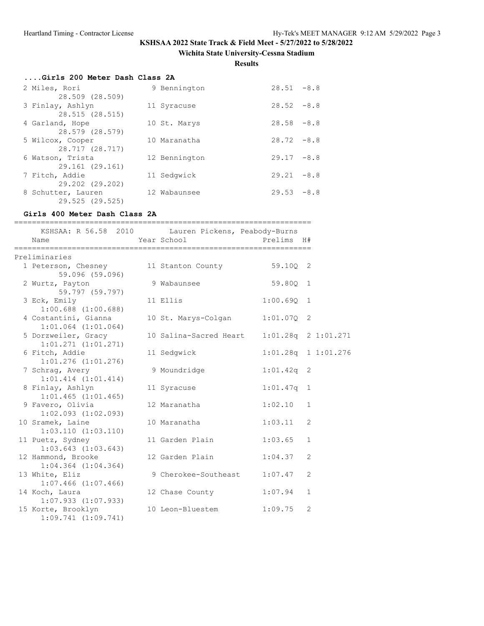### **Wichita State University-Cessna Stadium**

**Results**

| Girls 200 Meter Dash Class 2A |               |               |  |  |  |  |  |
|-------------------------------|---------------|---------------|--|--|--|--|--|
| 2 Miles, Rori                 | 9 Bennington  | $28.51 - 8.8$ |  |  |  |  |  |
| 28.509 (28.509)               |               |               |  |  |  |  |  |
| 3 Finlay, Ashlyn              | 11 Syracuse   | $28.52 - 8.8$ |  |  |  |  |  |
| 28.515 (28.515)               |               |               |  |  |  |  |  |
| 4 Garland, Hope               | 10 St. Marys  | $28.58 - 8.8$ |  |  |  |  |  |
| 28.579 (28.579)               |               |               |  |  |  |  |  |
| 5 Wilcox, Cooper              | 10 Maranatha  | $28.72 - 8.8$ |  |  |  |  |  |
| 28.717 (28.717)               |               |               |  |  |  |  |  |
| 6 Watson, Trista              | 12 Bennington | $29.17 - 8.8$ |  |  |  |  |  |
| 29.161 (29.161)               |               |               |  |  |  |  |  |
| 7 Fitch, Addie                | 11 Sedgwick   | $29.21 - 8.8$ |  |  |  |  |  |
| 29.202 (29.202)               |               |               |  |  |  |  |  |
| 8 Schutter, Lauren            | 12 Wabaunsee  | $29.53 - 8.8$ |  |  |  |  |  |
| 29.525 (29.525)               |               |               |  |  |  |  |  |

# **Girls 400 Meter Dash Class 2A**

| =========<br>KSHSAA: R 56.58 2010 Lauren Pickens, Peabody-Burns<br>Name | Year School                | Prelims H#              |                |  |
|-------------------------------------------------------------------------|----------------------------|-------------------------|----------------|--|
| Preliminaries                                                           |                            |                         |                |  |
| 1 Peterson, Chesney<br>59.096 (59.096)                                  | 11 Stanton County 59.10Q 2 |                         |                |  |
| 2 Wurtz, Payton<br>59.797 (59.797)                                      | 9 Wabaunsee                | 59.800 1                |                |  |
| 3 Eck, Emily<br>$1:00.688$ $(1:00.688)$                                 | 11 Ellis                   | 1:00.690                | $\mathbf{1}$   |  |
| 4 Costantini, Gianna<br>$1:01.064$ $(1:01.064)$                         | 10 St. Marys-Colgan        | 1:01.07Q                | 2              |  |
| 5 Dorzweiler, Gracy<br>$1:01.271$ $(1:01.271)$                          | 10 Salina-Sacred Heart     | $1:01.28q$ 2 $1:01.271$ |                |  |
| 6 Fitch, Addie<br>$1:01.276$ $(1:01.276)$                               | 11 Sedgwick                | 1:01.28q 1 1:01.276     |                |  |
| 7 Schrag, Avery<br>$1:01.414$ $(1:01.414)$                              | 9 Moundridge               | $1:01.42q$ 2            |                |  |
| 8 Finlay, Ashlyn<br>$1:01.465$ $(1:01.465)$                             | 11 Syracuse                | 1:01.47q                | 1              |  |
| 9 Favero, Olivia<br>$1:02.093$ $(1:02.093)$                             | 12 Maranatha               | 1:02.10                 | $\mathbf{1}$   |  |
| 10 Sramek, Laine<br>1:03.110(1:03.110)                                  | 10 Maranatha               | 1:03.11                 | 2              |  |
| 11 Puetz, Sydney<br>$1:03.643$ $(1:03.643)$                             | 11 Garden Plain            | 1:03.65                 | $\mathbf{1}$   |  |
| 12 Hammond, Brooke<br>$1:04.364$ $(1:04.364)$                           | 12 Garden Plain            | 1:04.37                 | $\overline{2}$ |  |
| 13 White, Eliz<br>$1:07.466$ $(1:07.466)$                               | 9 Cherokee-Southeast       | 1:07.47                 | $\overline{2}$ |  |
| 14 Koch, Laura<br>$1:07.933$ $(1:07.933)$                               | 12 Chase County            | 1:07.94                 | $\mathbf{1}$   |  |
| 15 Korte, Brooklyn<br>$1:09.741$ $(1:09.741)$                           | 10 Leon-Bluestem           | 1:09.75                 | 2              |  |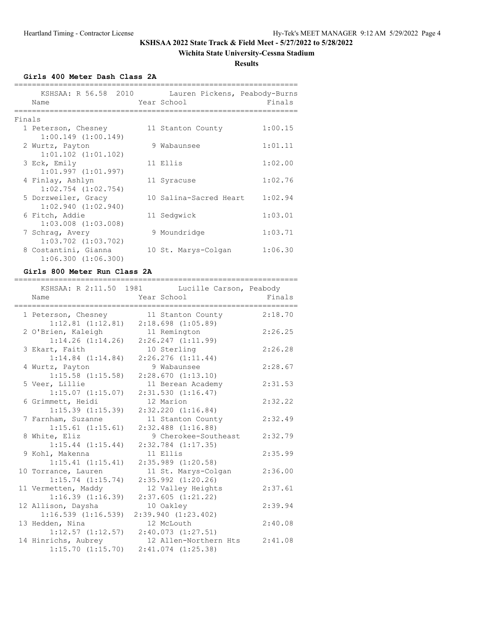# **Wichita State University-Cessna Stadium**

**Results**

**Girls 400 Meter Dash Class 2A**

|        | KSHSAA: R 56.58 2010<br>Name | Lauren Pickens, Peabody-Burns<br>Year School | Finals  |
|--------|------------------------------|----------------------------------------------|---------|
| Finals |                              |                                              |         |
|        | 1 Peterson, Chesney          | 11 Stanton County                            | 1:00.15 |
|        | $1:00.149$ $(1:00.149)$      |                                              |         |
|        | 2 Wurtz, Payton              | 9 Wabaunsee                                  | 1:01.11 |
|        | $1:01.102$ $(1:01.102)$      |                                              |         |
|        | 3 Eck, Emily                 | 11 Ellis                                     | 1:02.00 |
|        | 1:01.997(1:01.997)           |                                              |         |
|        | 4 Finlay, Ashlyn             | 11 Syracuse                                  | 1:02.76 |
|        | $1:02.754$ $(1:02.754)$      |                                              |         |
|        | 5 Dorzweiler, Gracy          | 10 Salina-Sacred Heart                       | 1:02.94 |
|        | $1:02.940$ $(1:02.940)$      |                                              |         |
|        | 6 Fitch, Addie               | 11 Sedgwick                                  | 1:03.01 |
|        | $1:03.008$ $(1:03.008)$      |                                              |         |
|        | 7 Schrag, Avery              | 9 Moundridge                                 | 1:03.71 |
|        | $1:03.702$ $(1:03.702)$      |                                              |         |
|        | 8 Costantini, Gianna         | 10 St. Marys-Colgan                          | 1:06.30 |
|        | 1:06.300(1:06.300)           |                                              |         |

#### **Girls 800 Meter Run Class 2A**

|                       | ____________________________                                  | ,,,,,,,,,,,,,,,,,,,,, |
|-----------------------|---------------------------------------------------------------|-----------------------|
| Name                  | KSHSAA: R 2:11.50 1981 Lucille Carson, Peabody<br>Year School | Finals                |
|                       |                                                               |                       |
|                       | 1 Peterson, Chesney 11 Stanton County                         | 2:18.70               |
| $1:12.81$ $(1:12.81)$ | $2:18.698$ $(1:05.89)$                                        |                       |
| 2 O'Brien, Kaleigh    | 11 Remington                                                  | 2:26.25               |
| $1:14.26$ $(1:14.26)$ | 2:26.247(1:11.99)                                             |                       |
| 3 Ekart, Faith        | 10 Sterling                                                   | 2:26.28               |
| $1:14.84$ $(1:14.84)$ | $2:26.276$ $(1:11.44)$                                        |                       |
| 4 Wurtz, Payton       | 9 Wabaunsee                                                   | 2:28.67               |
| $1:15.58$ $(1:15.58)$ | 2:28.670(1:13.10)                                             |                       |
| 5 Veer, Lillie        | 11 Berean Academy                                             | 2:31.53               |
| 1:15.07(1:15.07)      | 2:31.530(1:16.47)                                             |                       |
| 6 Grimmett, Heidi     | 12 Marion                                                     | 2:32.22               |
| $1:15.39$ $(1:15.39)$ | $2:32.220$ $(1:16.84)$                                        |                       |
| 7 Farnham, Suzanne    | 11 Stanton County                                             | 2:32.49               |
| $1:15.61$ $(1:15.61)$ | $2:32.488$ $(1:16.88)$                                        |                       |
| 8 White, Eliz         | 9 Cherokee-Southeast                                          | 2:32.79               |
| $1:15.44$ $(1:15.44)$ | $2:32.784$ $(1:17.35)$                                        |                       |
| 9 Kohl, Makenna       | 11 Ellis                                                      | 2:35.99               |
| 1:15.41(1:15.41)      | $2:35.989$ $(1:20.58)$                                        |                       |
| 10 Torrance, Lauren   | 11 St. Marys-Colgan                                           | 2:36.00               |
| $1:15.74$ $(1:15.74)$ | $2:35.992$ $(1:20.26)$                                        |                       |
| 11 Vermetten, Maddy   | 12 Valley Heights                                             | 2:37.61               |
| $1:16.39$ $(1:16.39)$ | 2:37.605(1:21.22)                                             |                       |
| 12 Allison, Daysha    | 10 Oakley                                                     | 2:39.94               |
| 1:16.539(1:16.539)    | 2:39.940(1:23.402)                                            |                       |
| 13 Hedden, Nina       | 12 McLouth                                                    | 2:40.08               |
| $1:12.57$ $(1:12.57)$ | 2:40.073(1:27.51)                                             |                       |
| 14 Hinrichs, Aubrey   | 12 Allen-Northern Hts                                         | 2:41.08               |
| $1:15.70$ $(1:15.70)$ | $2:41.074$ $(1:25.38)$                                        |                       |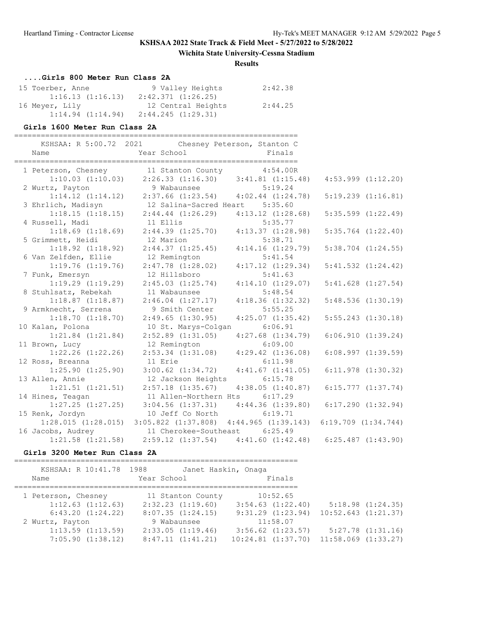### **Wichita State University-Cessna Stadium**

#### **Results**

### **....Girls 800 Meter Run Class 2A**

| 15 Toerber, Anne | 9 Valley Heights   | 2:42.38 |
|------------------|--------------------|---------|
| 1:16.13(1:16.13) | 2:42.371 (1:26.25) |         |
| 16 Meyer, Lily   | 12 Central Heights | 2:44.25 |
| 1:14.94(1:14.94) | 2:44.245 (1:29.31) |         |

#### **Girls 1600 Meter Run Class 2A**

| Name                  | KSHSAA: R 5:00.72 2021 Chesney Peterson, Stanton C<br>Year School Finals        |                       |                        |
|-----------------------|---------------------------------------------------------------------------------|-----------------------|------------------------|
|                       | 1 Peterson, Chesney 11 Stanton County 4:54.00R                                  |                       |                        |
|                       | $1:10.03(1:10.03)2:26.33(1:16.30)3:41.81(1:15.48)$                              |                       | $4:53.999$ $(1:12.20)$ |
| 2 Wurtz, Payton       |                                                                                 |                       |                        |
|                       | $1:14.12$ $(1:14.12)$ $2:37.66$ $(1:23.54)$ $4:02.44$ $(1:24.78)$               |                       | $5:19.239$ $(1:16.81)$ |
| 3 Ehrlich, Madisyn    | 12 Salina-Sacred Heart 5:35.60                                                  |                       |                        |
|                       | $1:18.15$ $(1:18.15)$ $2:44.44$ $(1:26.29)$ $4:13.12$ $(1:28.68)$               |                       | $5:35.599$ $(1:22.49)$ |
| 4 Russell, Madi       | 11 Ellis                                                                        | 5:35.77               |                        |
| $1:18.69$ $(1:18.69)$ | $2:44.39$ $(1:25.70)$ $4:13.37$ $(1:28.98)$                                     |                       | $5:35.764$ $(1:22.40)$ |
| 5 Grimmett, Heidi     | 12 Marion                                                                       | 5:38.71               |                        |
| $1:18.92$ $(1:18.92)$ | $2:44.37$ $(1:25.45)$ $4:14.16$ $(1:29.79)$                                     |                       | $5:38.704$ $(1:24.55)$ |
| 6 Van Zelfden, Ellie  | 12 Remington                                                                    | 5:41.54               |                        |
| $1:19.76$ $(1:19.76)$ | $2:47.78$ $(1:28.02)$                                                           | $4:17.12$ $(1:29.34)$ | $5:41.532$ $(1:24.42)$ |
| 7 Funk, Emersyn       | 12 Hillsboro                                                                    | 5:41.63               |                        |
| $1:19.29$ $(1:19.29)$ | $2:45.03$ $(1:25.74)$                                                           | 4:14.10(1:29.07)      | $5:41.628$ $(1:27.54)$ |
| 8 Stuhlsatz, Rebekah  | 11 Wabaunsee                                                                    | 5:48.54               |                        |
| $1:18.87$ $(1:18.87)$ | $2:46.04$ $(1:27.17)$                                                           | 4:18.36(1:32.32)      | 5:48.536(1:30.19)      |
| 9 Armknecht, Serrena  | 9 Smith Center                                                                  | 5:55.25               |                        |
| 1:18.70(1:18.70)      | 2:49.65(1:30.95)                                                                | 4:25.07(1:35.42)      | $5:55.243$ $(1:30.18)$ |
| 10 Kalan, Polona      | 10 St. Marys-Colgan 6:06.91                                                     |                       |                        |
| $1:21.84$ $(1:21.84)$ | $2:52.89$ $(1:31.05)$ $4:27.68$ $(1:34.79)$                                     |                       | 6:06.910(1:39.24)      |
| 11 Brown, Lucy        | 12 Remington                                                                    | 6:09.00               |                        |
| $1:22.26$ $(1:22.26)$ | $2:53.34$ $(1:31.08)$ $4:29.42$ $(1:36.08)$                                     |                       | $6:08.997$ $(1:39.59)$ |
| 12 Ross, Breanna      | 11 Erie                                                                         | 6:11.98               |                        |
| $1:25.90$ $(1:25.90)$ | $3:00.62$ $(1:34.72)$ $4:41.67$ $(1:41.05)$                                     |                       | $6:11.978$ $(1:30.32)$ |
| 13 Allen, Annie       | 12 Jackson Heights                                                              | 6:15.78               |                        |
| $1:21.51$ $(1:21.51)$ | $2:57.18$ $(1:35.67)$                                                           | 4:38.05(1:40.87)      | $6:15.777$ $(1:37.74)$ |
| 14 Hines, Teagan      | 11 Allen-Northern Hts                                                           | 6:17.29               |                        |
| $1:27.25$ $(1:27.25)$ | $3:04.56$ $(1:37.31)$ $4:44.36$ $(1:39.80)$                                     |                       | $6:17.290$ $(1:32.94)$ |
| 15 Renk, Jordyn       | 10 Jeff Co North                                                                | 6:19.71               |                        |
|                       | 1:28.015 (1:28.015) 3:05.822 (1:37.808) 4:44.965 (1:39.143) 6:19.709 (1:34.744) |                       |                        |
|                       | 16 Jacobs, Audrey 11 Cherokee-Southeast 6:25.49                                 |                       |                        |
| $1:21.58$ $(1:21.58)$ | $2:59.12$ $(1:37.54)$ $4:41.60$ $(1:42.48)$ $6:25.487$ $(1:43.90)$              |                       |                        |

### **Girls 3200 Meter Run Class 2A**

| KSHSAA: R 10:41.78 1988 | Janet Haskin, Onaga   |                        |                         |
|-------------------------|-----------------------|------------------------|-------------------------|
| Name                    | Year School           | Finals                 |                         |
|                         |                       |                        |                         |
| 1 Peterson, Chesney     | 11 Stanton County     | 10:52.65               |                         |
| $1:12.63$ $(1:12.63)$   | $2:32.23$ $(1:19.60)$ | $3:54.63$ $(1:22.40)$  | 5:18.98(1:24.35)        |
| 6:43.20(1:24.22)        | 8:07.35(1:24.15)      | $9:31.29$ $(1:23.94)$  | $10:52.643$ $(1:21.37)$ |
| 2 Wurtz, Payton         | 9 Wabaunsee           | 11:58.07               |                         |
| $1:13.59$ $(1:13.59)$   | 2:33.05(1:19.46)      | $3:56.62$ $(1:23.57)$  | 5:27.78(1:31.16)        |
| 7:05.90(1:38.12)        | 8:47.11(1:41.21)      | $10:24.81$ $(1:37.70)$ | $11:58.069$ $(1:33.27)$ |
|                         |                       |                        |                         |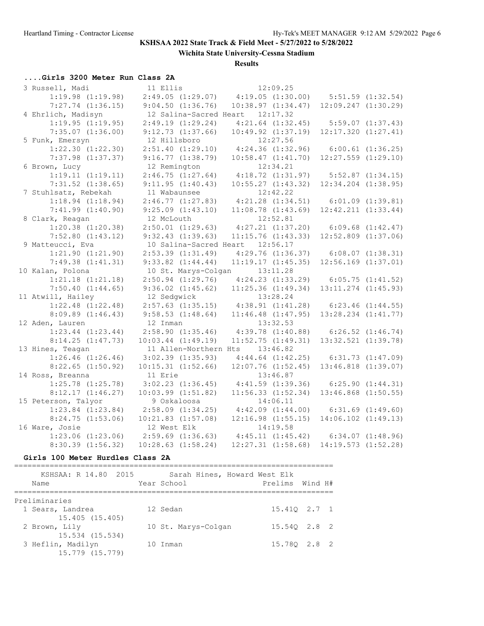**Wichita State University-Cessna Stadium**

**Results**

### **....Girls 3200 Meter Run Class 2A**

| 3 Russell, Madi       | 11 Ellis                        | 12:09.25                                                  |                         |                       |
|-----------------------|---------------------------------|-----------------------------------------------------------|-------------------------|-----------------------|
| $1:19.98$ $(1:19.98)$ | 2:49.05(1:29.07)                | $4:19.05$ $(1:30.00)$ $5:51.59$ $(1:32.54)$               |                         |                       |
| $7:27.74$ $(1:36.15)$ | $9:04.50$ $(1:36.76)$           | 10:38.97(1:34.47)                                         | $12:09.247$ $(1:30.29)$ |                       |
| 4 Ehrlich, Madisyn    | 12 Salina-Sacred Heart 12:17.32 |                                                           |                         |                       |
| 1:19.95(1:19.95)      | 2:49.19(1:29.24)                | $4:21.64$ $(1:32.45)$                                     |                         | $5:59.07$ $(1:37.43)$ |
| $7:35.07$ $(1:36.00)$ | 9:12.73(1:37.66)                | $10:49.92$ $(1:37.19)$                                    | $12:17.320$ $(1:27.41)$ |                       |
| 5 Funk, Emersyn       | 12 Hillsboro                    | 12:27.56                                                  |                         |                       |
| $1:22.30$ $(1:22.30)$ | $2:51.40$ $(1:29.10)$           | $4:24.36$ $(1:32.96)$                                     | $6:00.61$ $(1:36.25)$   |                       |
| $7:37.98$ $(1:37.37)$ | 9:16.77(1:38.79)                | 10:58.47(1:41.70)                                         | $12:27.559$ $(1:29.10)$ |                       |
| 6 Brown, Lucy         | 12 Remington                    | 12:34.21                                                  |                         |                       |
| 1:19.11(1:19.11)      | 2:46.75(1:27.64)                | 4:18.72(1:31.97)                                          | 5:52.87(1:34.15)        |                       |
| $7:31.52$ $(1:38.65)$ | 9:11.95(1:40.43)                | 10:55.27(1:43.32)                                         | $12:34.204$ $(1:38.95)$ |                       |
| 7 Stuhlsatz, Rebekah  | 11 Wabaunsee                    | 12:42.22                                                  |                         |                       |
| $1:18.94$ $(1:18.94)$ | 2:46.77(1:27.83)                | $4:21.28$ $(1:34.51)$ $6:01.09$ $(1:39.81)$               |                         |                       |
| $7:41.99$ $(1:40.90)$ | $9:25.09$ $(1:43.10)$           | $11:08.78$ $(1:43.69)$ $12:42.211$ $(1:33.44)$            |                         |                       |
| 8 Clark, Reagan       | 12 McLouth                      | 12:52.81                                                  |                         |                       |
| $1:20.38$ $(1:20.38)$ | $2:50.01$ $(1:29.63)$           | $4:27.21$ $(1:37.20)$                                     | $6:09.68$ $(1:42.47)$   |                       |
| $7:52.80$ $(1:43.12)$ | 9:32.43(1:39.63)                | $11:15.76$ $(1:43.33)$                                    | $12:52.809$ $(1:37.06)$ |                       |
| 9 Matteucci, Eva      | 10 Salina-Sacred Heart 12:56.17 |                                                           |                         |                       |
| $1:21.90$ $(1:21.90)$ | $2:53.39$ $(1:31.49)$           | $4:29.76$ $(1:36.37)$                                     | 6:08.07(1:38.31)        |                       |
| 7:49.38(1:41.31)      | $9:33.82$ $(1:44.44)$           | 11:19.17(1:45.35)                                         | $12:56.169$ $(1:37.01)$ |                       |
| 10 Kalan, Polona      | 10 St. Marys-Colgan 13:11.28    |                                                           |                         |                       |
| $1:21.18$ $(1:21.18)$ | $2:50.94$ $(1:29.76)$           | $4:24.23$ $(1:33.29)$ $6:05.75$ $(1:41.52)$               |                         |                       |
| 7:50.40(1:44.65)      | $9:36.02$ $(1:45.62)$           | $11:25.36$ $(1:49.34)$                                    | $13:11.274$ $(1:45.93)$ |                       |
| 11 Atwill, Hailey     | 12 Sedgwick                     | 13:28.24                                                  |                         |                       |
| $1:22.48$ $(1:22.48)$ | $2:57.63$ $(1:35.15)$           | 4:38.91(1:41.28)                                          | $6:23.46$ $(1:44.55)$   |                       |
| $8:09.89$ $(1:46.43)$ | $9:58.53$ $(1:48.64)$           | $11:46.48$ $(1:47.95)$                                    | 13:28.234 (1:41.77)     |                       |
| 12 Aden, Lauren       | 12 Inman                        | 13:32.53                                                  |                         |                       |
| $1:23.44$ $(1:23.44)$ | $2:58.90$ $(1:35.46)$           | $4:39.78$ $(1:40.88)$ $6:26.52$ $(1:46.74)$               |                         |                       |
| 8:14.25(1:47.73)      | $10:03.44$ $(1:49.19)$          | 11:52.75(1:49.31)                                         | $13:32.521$ $(1:39.78)$ |                       |
| 13 Hines, Teagan      | 11 Allen-Northern Hts 13:46.82  |                                                           |                         |                       |
| $1:26.46$ $(1:26.46)$ | $3:02.39$ $(1:35.93)$           | $4:44.64$ $(1:42.25)$ $6:31.73$ $(1:47.09)$               |                         |                       |
| $8:22.65$ $(1:50.92)$ | $10:15.31$ $(1:52.66)$          | $12:07.76$ $(1:52.45)$                                    | $13:46.818$ $(1:39.07)$ |                       |
| 14 Ross, Breanna      | 11 Erie                         | 13:46.87                                                  |                         |                       |
| $1:25.78$ $(1:25.78)$ | $3:02.23$ $(1:36.45)$           | 4:41.59(1:39.36)                                          | 6:25.90(1:44.31)        |                       |
| 8:12.17(1:46.27)      | $10:03.99$ $(1:51.82)$          | 11:56.33(1:52.34)                                         | $13:46.868$ $(1:50.55)$ |                       |
| 15 Peterson, Talyor   | 9 Oskaloosa                     | 14:06.11                                                  |                         |                       |
| $1:23.84$ $(1:23.84)$ | $2:58.09$ $(1:34.25)$           | $4:42.09$ $(1:44.00)$ $6:31.69$ $(1:49.60)$               |                         |                       |
| 8:24.75(1:53.06)      | $10:21.83$ $(1:57.08)$          | $12:16.98$ $(1:55.15)$                                    | 14:06.102 (1:49.13)     |                       |
| 16 Ware, Josie        | 12 West Elk                     | 14:19.58                                                  |                         |                       |
| $1:23.06$ $(1:23.06)$ |                                 | $2:59.69$ (1:36.63) $4:45.11$ (1:45.42) 6:34.07 (1:48.96) |                         |                       |
| $8:30.39$ $(1:56.32)$ | $10:28.63$ $(1:58.24)$          | $12:27.31$ $(1:58.68)$ $14:19.573$ $(1:52.28)$            |                         |                       |
|                       |                                 |                                                           |                         |                       |

#### **Girls 100 Meter Hurdles Class 2A**

======================================================================== KSHSAA: R 14.80 2015 Sarah Hines, Howard West Elk

| Name                                                    | Year School         | Prelims Wind H# |  |
|---------------------------------------------------------|---------------------|-----------------|--|
| Preliminaries                                           |                     |                 |  |
| 1 Sears, Landrea<br>15.405 (15.405)                     | 12 Sedan            | 15.410 2.7 1    |  |
| 2 Brown, Lily                                           | 10 St. Marys-Colgan | 15.540 2.8 2    |  |
| 15.534 (15.534)<br>3 Heflin, Madilyn<br>15.779 (15.779) | 10 Inman            | 15.780 2.8 2    |  |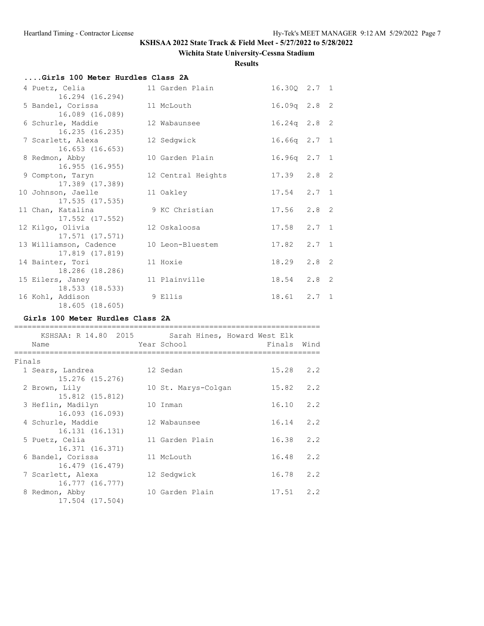### **Wichita State University-Cessna Stadium**

**Results**

| 16.235(16.235) |                                                                                                                                                                                                                                                                                                                                                                                                                                                                                   |                                                                                                                                                                                                                                                                             |               |                                                                                                                                                                                                       |
|----------------|-----------------------------------------------------------------------------------------------------------------------------------------------------------------------------------------------------------------------------------------------------------------------------------------------------------------------------------------------------------------------------------------------------------------------------------------------------------------------------------|-----------------------------------------------------------------------------------------------------------------------------------------------------------------------------------------------------------------------------------------------------------------------------|---------------|-------------------------------------------------------------------------------------------------------------------------------------------------------------------------------------------------------|
|                |                                                                                                                                                                                                                                                                                                                                                                                                                                                                                   |                                                                                                                                                                                                                                                                             |               |                                                                                                                                                                                                       |
|                |                                                                                                                                                                                                                                                                                                                                                                                                                                                                                   |                                                                                                                                                                                                                                                                             |               |                                                                                                                                                                                                       |
|                |                                                                                                                                                                                                                                                                                                                                                                                                                                                                                   |                                                                                                                                                                                                                                                                             |               |                                                                                                                                                                                                       |
|                |                                                                                                                                                                                                                                                                                                                                                                                                                                                                                   |                                                                                                                                                                                                                                                                             |               |                                                                                                                                                                                                       |
|                |                                                                                                                                                                                                                                                                                                                                                                                                                                                                                   |                                                                                                                                                                                                                                                                             |               |                                                                                                                                                                                                       |
|                |                                                                                                                                                                                                                                                                                                                                                                                                                                                                                   |                                                                                                                                                                                                                                                                             | $2.7 \quad 1$ |                                                                                                                                                                                                       |
|                |                                                                                                                                                                                                                                                                                                                                                                                                                                                                                   |                                                                                                                                                                                                                                                                             | $2.7 \quad 1$ |                                                                                                                                                                                                       |
|                |                                                                                                                                                                                                                                                                                                                                                                                                                                                                                   | 18.29                                                                                                                                                                                                                                                                       | $2.8$ 2       |                                                                                                                                                                                                       |
|                |                                                                                                                                                                                                                                                                                                                                                                                                                                                                                   |                                                                                                                                                                                                                                                                             |               |                                                                                                                                                                                                       |
|                |                                                                                                                                                                                                                                                                                                                                                                                                                                                                                   |                                                                                                                                                                                                                                                                             |               |                                                                                                                                                                                                       |
|                | 4 Puetz, Celia<br>16.294 (16.294)<br>5 Bandel, Corissa<br>16.089 (16.089)<br>6 Schurle, Maddie<br>7 Scarlett, Alexa<br>16.653 (16.653)<br>8 Redmon, Abby<br>16.955(16.955)<br>9 Compton, Taryn<br>17.389 (17.389)<br>10 Johnson, Jaelle<br>17.535 (17.535)<br>11 Chan, Katalina<br>17.552 (17.552)<br>12 Kilgo, Olivia<br>17.571 (17.571)<br>17.819 (17.819)<br>14 Bainter, Tori<br>18.286 (18.286)<br>15 Eilers, Janey<br>18.533 (18.533)<br>16 Kohl, Addison<br>18.605 (18.605) | Girls 100 Meter Hurdles Class 2A<br>11 Garden Plain<br>11 McLouth<br>12 Wabaunsee<br>12 Sedgwick<br>10 Garden Plain<br>12 Central Heights<br>11 Oakley<br>9 KC Christian<br>12 Oskaloosa<br>13 Williamson, Cadence 10 Leon-Bluestem<br>11 Hoxie<br>11 Plainville<br>9 Ellis |               | 16.30Q 2.7 1<br>$16.09q$ 2.8 2<br>$16.24q$ 2.8 2<br>$16.66q$ $2.7$ 1<br>$16.96q$ $2.7$ 1<br>$17.39$ $2.8$ 2<br>$17.54$ $2.7$ 1<br>$17.56$ $2.8$ 2<br>17.58<br>17.82<br>18.54 2.8 2<br>$18.61$ $2.7$ 1 |

### **Girls 100 Meter Hurdles Class 2A**

| KSHSAA: R 14.80 2015                 |  | Sarah Hines, Howard West Elk |             |     |  |  |  |  |  |
|--------------------------------------|--|------------------------------|-------------|-----|--|--|--|--|--|
| Name                                 |  | Year School                  | Finals Wind |     |  |  |  |  |  |
| Finals                               |  |                              |             |     |  |  |  |  |  |
| 1 Sears, Landrea<br>15.276 (15.276)  |  | 12 Sedan                     | 15.28       | 2.2 |  |  |  |  |  |
| 2 Brown, Lily<br>15.812 (15.812)     |  | 10 St. Marys-Colgan          | 15.82       | 2.2 |  |  |  |  |  |
| 3 Heflin, Madilyn<br>16.093 (16.093) |  | 10 Inman                     | 16.10       | 2.2 |  |  |  |  |  |
| 4 Schurle, Maddie<br>16.131 (16.131) |  | 12 Wabaunsee                 | 16.14       | 2.2 |  |  |  |  |  |
| 5 Puetz, Celia<br>16.371 (16.371)    |  | 11 Garden Plain              | 16.38       | 2.2 |  |  |  |  |  |
| 6 Bandel, Corissa<br>16.479 (16.479) |  | 11 McLouth                   | 16.48       | 2.2 |  |  |  |  |  |
| 7 Scarlett, Alexa<br>16.777 (16.777) |  | 12 Sedgwick                  | 16.78       | 2.2 |  |  |  |  |  |
| 8 Redmon, Abby<br>17.504 (17.504)    |  | 10 Garden Plain              | 17.51       | 2.2 |  |  |  |  |  |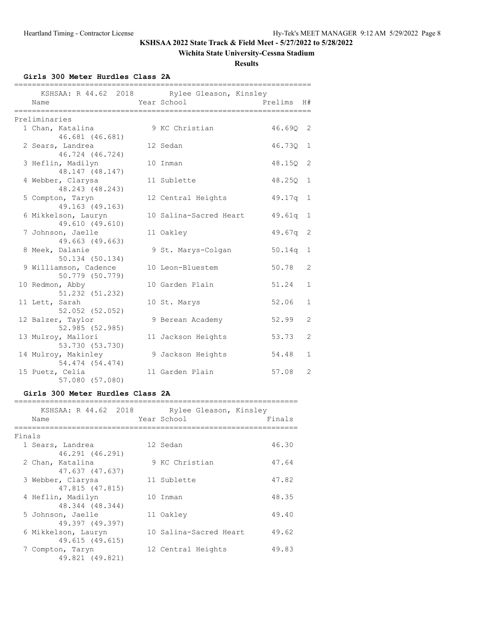### **Wichita State University-Cessna Stadium**

**Results**

**Girls 300 Meter Hurdles Class 2A**

| Name                                 | KSHSAA: R 44.62 2018 Rylee Gleason, Kinsley<br>Year School | Prelims  | H#             |
|--------------------------------------|------------------------------------------------------------|----------|----------------|
| Preliminaries                        |                                                            |          |                |
| 1 Chan, Katalina                     | 9 KC Christian                                             | 46.690 2 |                |
| 46.681 (46.681)                      |                                                            |          |                |
| 2 Sears, Landrea                     | 12 Sedan                                                   | 46.730   | 1              |
| 46.724 (46.724)<br>3 Heflin, Madilyn | 10 Inman                                                   | 48.15Q   | 2              |
| 48.147 (48.147)                      |                                                            |          |                |
| 4 Webber, Clarysa                    | 11 Sublette                                                | 48.250   | 1              |
| 48.243 (48.243)                      |                                                            |          |                |
| 5 Compton, Taryn                     | 12 Central Heights                                         | 49.17q 1 |                |
| 49.163 (49.163)                      |                                                            |          |                |
| 6 Mikkelson, Lauryn                  | 10 Salina-Sacred Heart                                     | 49.61q   | 1              |
| 49.610 (49.610)<br>7 Johnson, Jaelle | 11 Oakley                                                  | 49.67q   | 2              |
| 49.663 (49.663)                      |                                                            |          |                |
| 8 Meek, Dalanie                      | 9 St. Marys-Colgan                                         | 50.14q   | 1              |
| 50.134 (50.134)                      |                                                            |          |                |
| 9 Williamson, Cadence                | 10 Leon-Bluestem                                           | 50.78    | $\overline{2}$ |
| 50.779 (50.779)                      |                                                            |          |                |
| 10 Redmon, Abby                      | 10 Garden Plain                                            | 51.24    | $\mathbf{1}$   |
| 51.232 (51.232)                      |                                                            |          | $\mathbf{1}$   |
| 11 Lett, Sarah<br>52.052 (52.052)    | 10 St. Marys                                               | 52.06    |                |
| 12 Balzer, Taylor                    | 9 Berean Academy                                           | 52.99    | 2              |
| 52.985 (52.985)                      |                                                            |          |                |
| 13 Mulroy, Mallori                   | 11 Jackson Heights                                         | 53.73    | 2              |
| 53.730 (53.730)                      |                                                            |          |                |
| 14 Mulroy, Makinley                  | 9 Jackson Heights                                          | 54.48    | $\mathbf{1}$   |
| 54.474 (54.474)                      |                                                            |          |                |
| 15 Puetz, Celia                      | 11 Garden Plain                                            | 57.08    | 2              |
| 57.080 (57.080)                      |                                                            |          |                |

#### **Girls 300 Meter Hurdles Class 2A**

|        | KSHSAA: R 44.62 2018<br>Name           | Rylee Gleason, Kinsley<br>Year School | Finals |
|--------|----------------------------------------|---------------------------------------|--------|
| Finals |                                        |                                       |        |
|        | 1 Sears, Landrea<br>46.291 (46.291)    | 12 Sedan                              | 46.30  |
|        | 2 Chan, Katalina<br>47.637 (47.637)    | 9 KC Christian                        | 47.64  |
|        | 3 Webber, Clarysa<br>47.815 (47.815)   | 11 Sublette                           | 47.82  |
|        | 4 Heflin, Madilyn<br>48.344 (48.344)   | 10 Inman                              | 48.35  |
|        | 5 Johnson, Jaelle<br>49.397 (49.397)   | 11 Oakley                             | 49.40  |
|        | 6 Mikkelson, Lauryn<br>49.615 (49.615) | 10 Salina-Sacred Heart                | 49.62  |
|        | Compton, Taryn<br>49.821 (49.821)      | 12 Central Heights                    | 49.83  |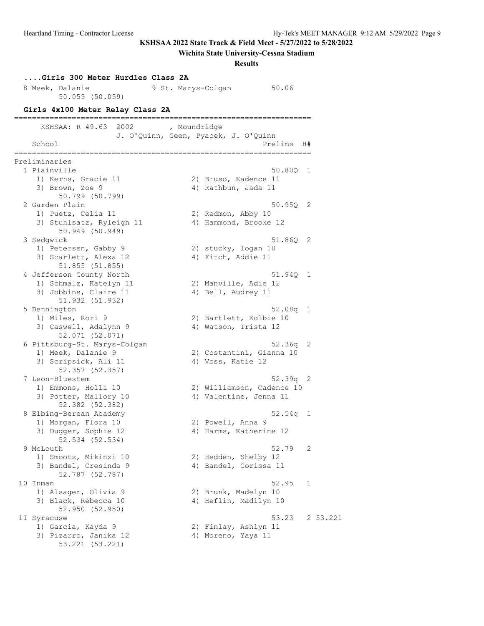**Wichita State University-Cessna Stadium**

**Results**

### **....Girls 300 Meter Hurdles Class 2A** 8 Meek, Dalanie 19 St. Marys-Colgan 50.06 50.059 (50.059) **Girls 4x100 Meter Relay Class 2A** =================================================================== KSHSAA: R 49.63 2002 , Moundridge J. O'Quinn, Geen, Pyacek, J. O'Quinn School and the set of the set of the set of the set of the set of the set of the set of the set of the set of the set of the set of the set of the set of the set of the set of the set of the set of the set of the set of th =================================================================== Preliminaries 1 Plainville 50.80Q 1 1) Kerns, Gracie 11 2) Bruso, Kadence 11 3) Brown, Zoe 9 (2008) 4) Rathbun, Jada 11 srown, 20e 9<br>50.799 (50.799) 2 Garden Plain 50.95Q 2 1) Puetz, Celia 11 2) Redmon, Abby 10 3) Stuhlsatz, Ryleigh 11 4) Hammond, Brooke 12 50.949 (50.949) 3 Sedgwick 51.86Q 2 1) Petersen, Gabby 9 2) stucky, logan 10 3) Scarlett, Alexa 12 4) Fitch, Addie 11 51.855 (51.855) 4 Jefferson County North 51.94Q 1 1) Schmalz, Katelyn 11 2) Manville, Adie 12 3) Jobbins, Claire 11 (4) Bell, Audrey 11 51.932 (51.932) 5 Bennington 52.08q 1 1) Miles, Rori 9 2) Bartlett, Kolbie 10 3) Caswell, Adalynn 9 1988 1998 1998 12 52.071 (52.071) 6 Pittsburg-St. Marys-Colgan 52.36q 2 1) Meek, Dalanie 9 2) Costantini, Gianna 10 3) Scripsick, Ali 11 4) Voss, Katie 12 52.357 (52.357) 7 Leon-Bluestem 52.39q 2 1) Emmons, Holli 10 2) Williamson, Cadence 10 3) Potter, Mallory 10 4) Valentine, Jenna 11 52.382 (52.382) 8 Elbing-Berean Academy 62.54q 1 1) Morgan, Flora 10 2) Powell, Anna 9 3) Dugger, Sophie 12 4) Harms, Katherine 12 52.534 (52.534) 9 McLouth 52.79 2 1) Smoots, Mikinzi 10 2) Hedden, Shelby 12 3) Bandel, Cresinda 9 4) Bandel, Corissa 11 52.787 (52.787) 10 Inman 52.95 1 1) Alsager, Olivia 9 2) Brunk, Madelyn 10 3) Black, Rebecca 10 4) Heflin, Madilyn 10 52.950 (52.950) 11 Syracuse 53.221<br>1) Garcia, Kayda 9 (2) Finlay, Ashlyn 11 1) Garcia, Kayda 9 2) Finlay, Ashlyn 11 3) Pizarro, Janika 12 (4) Moreno, Yaya 11 53.221 (53.221)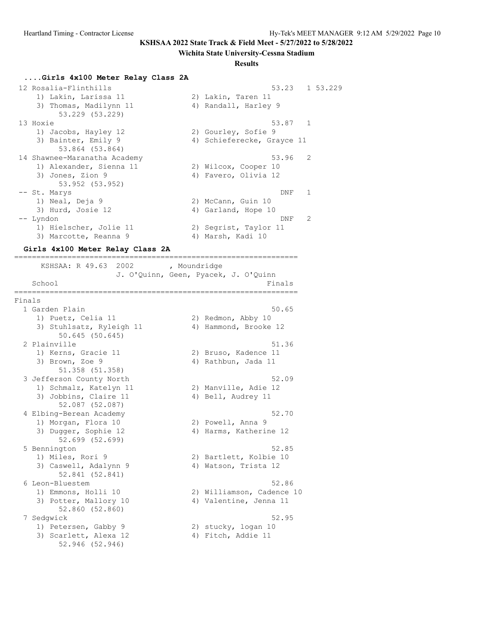#### **Wichita State University-Cessna Stadium**

#### **Results**

#### **....Girls 4x100 Meter Relay Class 2A**

```
 12 Rosalia-Flinthills 53.23 1 53.229
 1) Lakin, Larissa 11 2) Lakin, Taren 11
3) Thomas, Madilynn 11 1944 (1888) Andall, Harley 9
 53.229 (53.229)
13 Hoxie 53.87 1
 1) Jacobs, Hayley 12 2) Gourley, Sofie 9
3) Bainter, Emily 9 19 4) Schieferecke, Grayce 11
 53.864 (53.864)
 14 Shawnee-Maranatha Academy 53.96 2
 1) Alexander, Sienna 11 2) Wilcox, Cooper 10
3) Jones, Zion 9 (4) Favero, Olivia 12
 53.952 (53.952)
 -- St. Marys DNF 1
1) Neal, Deja 9 2) McCann, Guin 10
3) Hurd, Josie 12 (4) Garland, Hope 10
 -- Lyndon DNF 2
 1) Hielscher, Jolie 11 2) Segrist, Taylor 11
3) Marcotte, Reanna 9 4) Marsh, Kadi 10
```
#### **Girls 4x100 Meter Relay Class 2A**

================================================================ KSHSAA: R 49.63 2002 , Moundridge J. O'Quinn, Geen, Pyacek, J. O'Quinn School Finals ================================================================ Finals 1 Garden Plain 50.65 1) Puetz, Celia 11 2) Redmon, Abby 10 3) Stuhlsatz, Ryleigh 11 4) Hammond, Brooke 12 50.645 (50.645) 2 Plainville 51.36 1) Kerns, Gracie 11 2) Bruso, Kadence 11 3) Brown, Zoe 9 (1988) 4) Rathbun, Jada 11 51.358 (51.358) 3 Jefferson County North 52.09 1) Schmalz, Katelyn 11 2) Manville, Adie 12 3) Jobbins, Claire 11 (4) Bell, Audrey 11 52.087 (52.087) 4 Elbing-Berean Academy 52.70 1) Morgan, Flora 10 2) Powell, Anna 9 3) Dugger, Sophie 12 (assessment of the Marine 12 4) Harms, Katherine 12 52.699 (52.699) 5 Bennington 52.85 1) Miles, Rori 9 2) Bartlett, Kolbie 10 3) Caswell, Adalynn 9  $\hskip 1.5cm 4)$  Watson, Trista 12 52.841 (52.841) 6 Leon-Bluestem 52.86 1) Emmons, Holli 10 2) Williamson, Cadence 10 3) Potter, Mallory 10 4) Valentine, Jenna 11 3) Potter, Mallory 10<br>52.860 (52.860) 7 Sedgwick 52.95 1) Petersen, Gabby 9 2) stucky, logan 10 3) Scarlett, Alexa 12 (4) Fitch, Addie 11 52.946 (52.946)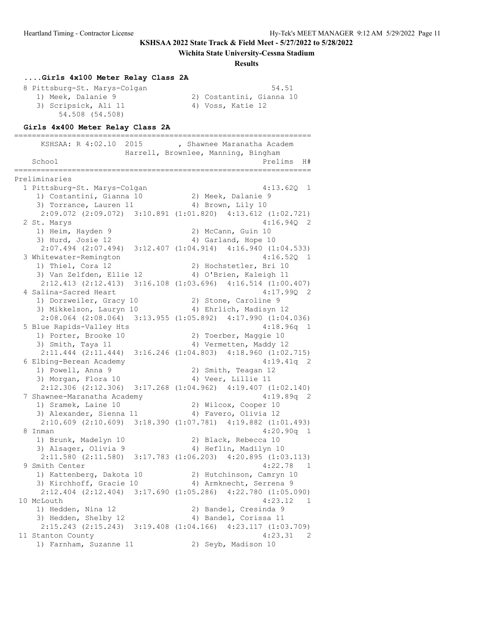#### **Wichita State University-Cessna Stadium**

#### **Results**

#### **....Girls 4x100 Meter Relay Class 2A** 8 Pittsburg-St. Marys-Colgan 54.51 1) Meek, Dalanie 9 2) Costantini, Gianna 10 3) Scripsick, Ali 11 4) Voss, Katie 12 54.508 (54.508)

#### **Girls 4x400 Meter Relay Class 2A**

=================================================================== -----------------<br>KSHSAA: R 4:02.10 2015 , Shawnee Maranatha Academ Harrell, Brownlee, Manning, Bingham School Prelims H# =================================================================== Preliminaries 1 Pittsburg-St. Marys-Colgan 4:13.62Q 1 1) Costantini, Gianna 10 2) Meek, Dalanie 9 3) Torrance, Lauren 11 (4) Brown, Lily 10 2:09.072 (2:09.072) 3:10.891 (1:01.820) 4:13.612 (1:02.721) 2 St. Marys 4:16.94Q 2 1) Heim, Hayden 9 2) McCann, Guin 10 3) Hurd, Josie 12 (4) Garland, Hope 10 2:07.494 (2:07.494) 3:12.407 (1:04.914) 4:16.940 (1:04.533) 3 Whitewater-Remington 4:16.52Q 1 1) Thiel, Cora 12 2) Hochstetler, Bri 10 3) Van Zelfden, Ellie 12 4) O'Brien, Kaleigh 11 2:12.413 (2:12.413) 3:16.108 (1:03.696) 4:16.514 (1:00.407) 4 Salina-Sacred Heart 4:17.99Q 2 1) Dorzweiler, Gracy 10 2) Stone, Caroline 9 3) Mikkelson, Lauryn 10 4) Ehrlich, Madisyn 12 2:08.064 (2:08.064) 3:13.955 (1:05.892) 4:17.990 (1:04.036) 5 Blue Rapids-Valley Hts 4:18.96q 1 1) Porter, Brooke 10 2) Toerber, Maggie 10 3) Smith, Taya 11 4) Vermetten, Maddy 12 2:11.444 (2:11.444) 3:16.246 (1:04.803) 4:18.960 (1:02.715) 6 Elbing-Berean Academy 4:19.41q 2 1) Powell, Anna 9 2) Smith, Teagan 12 3) Morgan, Flora 10 (4) Veer, Lillie 11 2:12.306 (2:12.306) 3:17.268 (1:04.962) 4:19.407 (1:02.140) 7 Shawnee-Maranatha Academy 4:19.89q 2 1) Sramek, Laine 10 2) Wilcox, Cooper 10 3) Alexander, Sienna 11 (4) Favero, Olivia 12 2:10.609 (2:10.609) 3:18.390 (1:07.781) 4:19.882 (1:01.493) 8 Inman 4:20.90q 1 1) Brunk, Madelyn 10 2) Black, Rebecca 10 3) Alsager, Olivia 9 4) Heflin, Madilyn 10 2:11.580 (2:11.580) 3:17.783 (1:06.203) 4:20.895 (1:03.113) 9 Smith Center 4:22.78 1 1) Kattenberg, Dakota 10 2) Hutchinson, Camryn 10 3) Kirchhoff, Gracie 10 4) Armknecht, Serrena 9 2:12.404 (2:12.404) 3:17.690 (1:05.286) 4:22.780 (1:05.090) 10 McLouth 4:23.12 1 1) Hedden, Nina 12 2) Bandel, Cresinda 9 3) Hedden, Shelby 12 (4) Bandel, Corissa 11 2:15.243 (2:15.243) 3:19.408 (1:04.166) 4:23.117 (1:03.709) 11 Stanton County 4:23.31 2 1) Farnham, Suzanne 11 12) Seyb, Madison 10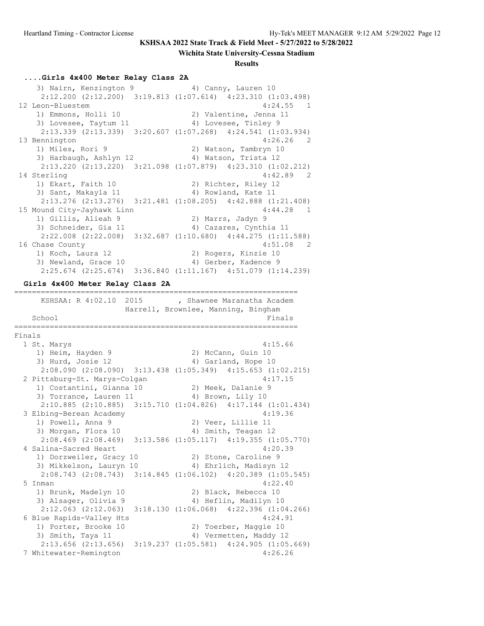#### **Wichita State University-Cessna Stadium**

#### **Results**

#### **....Girls 4x400 Meter Relay Class 2A**

3) Nairn, Kenzington 9 (4) Canny, Lauren 10 2:12.200 (2:12.200) 3:19.813 (1:07.614) 4:23.310 (1:03.498) 12 Leon-Bluestem 4:24.55 1 1) Emmons, Holli 10 2) Valentine, Jenna 11 3) Lovesee, Taytum 11 (4) Lovesee, Tinley 9 2:13.339 (2:13.339) 3:20.607 (1:07.268) 4:24.541 (1:03.934) 13 Bennington 4:26.26 2 1) Miles, Rori 9 2) Watson, Tambryn 10 3) Harbaugh, Ashlyn 12 (4) Watson, Trista 12 2:13.220 (2:13.220) 3:21.098 (1:07.879) 4:23.310 (1:02.212) 14 Sterling 2012 2022 2023 2024 1) Ekart, Faith 10 2) Richter, Riley 12 3) Sant, Makayla 11 4) Rowland, Kate 11 2:13.276 (2:13.276) 3:21.481 (1:08.205) 4:42.888 (1:21.408) 15 Mound City-Jayhawk Linn 4:44.28 1 1) Gillis, Alieah 9 2) Marrs, Jadyn 9 3) Schneider, Gia 11 4) Cazares, Cynthia 11 2:22.008 (2:22.008) 3:32.687 (1:10.680) 4:44.275 (1:11.588) 16 Chase County 4:51.08 2<br>1) Koch, Laura 12 2) Rogers, Kinzie 10 1) Koch, Laura 12 2) Rogers, Kinzie 10 3) Newland, Grace 10 (4) Gerber, Kadence 9 2:25.674 (2:25.674) 3:36.840 (1:11.167) 4:51.079 (1:14.239) **Girls 4x400 Meter Relay Class 2A** ================================================================ KSHSAA: R 4:02.10 2015 , Shawnee Maranatha Academ Harrell, Brownlee, Manning, Bingham School Finals ================================================================ Finals 1 St. Marys 4:15.66 1) Heim, Hayden 9 2) McCann, Guin 10 3) Hurd, Josie 12 4) Garland, Hope 10 2:08.090 (2:08.090) 3:13.438 (1:05.349) 4:15.653 (1:02.215) 2:00.030 (2.00.030) cracked (2.00.030) distributed (2.00.030) distributed (2.00.030 mm  $4:17.15$  1) Costantini, Gianna 10 2) Meek, Dalanie 9 3) Torrance, Lauren 11 (4) Brown, Lily 10 2:10.885 (2:10.885) 3:15.710 (1:04.826) 4:17.144 (1:01.434) 3 Elbing-Berean Academy 4:19.36 1) Powell, Anna 9 2) Veer, Lillie 11 3) Morgan, Flora 10 4) Smith, Teagan 12 2:08.469 (2:08.469) 3:13.586 (1:05.117) 4:19.355 (1:05.770) 4 Salina-Sacred Heart 4:20.39 1) Dorzweiler, Gracy 10 2) Stone, Caroline 9 3) Mikkelson, Lauryn 10 4) Ehrlich, Madisyn 12 2:08.743 (2:08.743) 3:14.845 (1:06.102) 4:20.389 (1:05.545) 5 Inman 4:22.40 1) Brunk, Madelyn 10 2) Black, Rebecca 10 3) Alsager, Olivia 9 4) Heflin, Madilyn 10 2:12.063 (2:12.063) 3:18.130 (1:06.068) 4:22.396 (1:04.266) 6 Blue Rapids-Valley Hts 4:24.91 1) Porter, Brooke 10 2) Toerber, Maggie 10 3) Smith, Taya 11 4) Vermetten, Maddy 12 2:13.656 (2:13.656) 3:19.237 (1:05.581) 4:24.905 (1:05.669) 7 Whitewater-Remington 4:26.26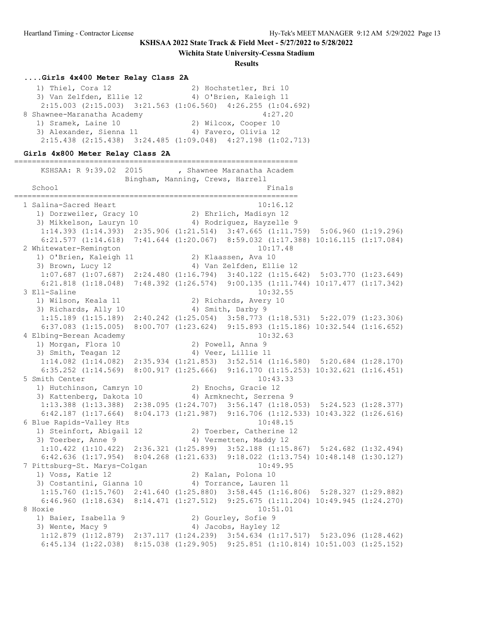**Wichita State University-Cessna Stadium**

#### **Results**

#### **....Girls 4x400 Meter Relay Class 2A**

| 1) Thiel, Cora 12           | 2) Hochstetler, Bri 10                                                  |
|-----------------------------|-------------------------------------------------------------------------|
| 3) Van Zelfden, Ellie 12    | 4) O'Brien, Kaleigh 11                                                  |
|                             | $2:15.003$ $(2:15.003)$ $3:21.563$ $(1:06.560)$ $4:26.255$ $(1:04.692)$ |
| 8 Shawnee-Maranatha Academy | 4:27.20                                                                 |
| 1) Sramek, Laine 10         | 2) Wilcox, Cooper 10                                                    |
| 3) Alexander, Sienna 11     | 4) Favero, Olivia 12                                                    |
|                             | $2:15.438$ $(2:15.438)$ $3:24.485$ $(1:09.048)$ $4:27.198$ $(1:02.713)$ |

#### **Girls 4x800 Meter Relay Class 2A**

================================================================ KSHSAA: R 9:39.02 2015 , Shawnee Maranatha Academ Bingham, Manning, Crews, Harrell School Finals ================================================================ 1 Salina-Sacred Heart 10:16.12 1) Dorzweiler, Gracy 10 2) Ehrlich, Madisyn 12 3) Mikkelson, Lauryn 10 4) Rodriguez, Hayzelle 9 1:14.393 (1:14.393) 2:35.906 (1:21.514) 3:47.665 (1:11.759) 5:06.960 (1:19.296) 6:21.577 (1:14.618) 7:41.644 (1:20.067) 8:59.032 (1:17.388) 10:16.115 (1:17.084) 2 Whitewater-Remington 10:17.48 1) O'Brien, Kaleigh 11 2) Klaassen, Ava 10 3) Brown, Lucy 12 4) Van Zelfden, Ellie 12 1:07.687 (1:07.687) 2:24.480 (1:16.794) 3:40.122 (1:15.642) 5:03.770 (1:23.649) 6:21.818 (1:18.048) 7:48.392 (1:26.574) 9:00.135 (1:11.744) 10:17.477 (1:17.342) 3 Ell-Saline 10:32.55 1) Wilson, Keala 11 2) Richards, Avery 10 3) Richards, Ally 10 4) Smith, Darby 9 1:15.189 (1:15.189) 2:40.242 (1:25.054) 3:58.773 (1:18.531) 5:22.079 (1:23.306) 6:37.083 (1:15.005) 8:00.707 (1:23.624) 9:15.893 (1:15.186) 10:32.544 (1:16.652) 4 Elbing-Berean Academy 10:32.63 1) Morgan, Flora 10 2) Powell, Anna 9 3) Smith, Teagan 12 (4) Veer, Lillie 11 1:14.082 (1:14.082) 2:35.934 (1:21.853) 3:52.514 (1:16.580) 5:20.684 (1:28.170) 6:35.252 (1:14.569) 8:00.917 (1:25.666) 9:16.170 (1:15.253) 10:32.621 (1:16.451) 5 Smith Center 10:43.33 1) Hutchinson, Camryn 10 2) Enochs, Gracie 12 3) Kattenberg, Dakota 10 4) Armknecht, Serrena 9 1:13.388 (1:13.388) 2:38.095 (1:24.707) 3:56.147 (1:18.053) 5:24.523 (1:28.377) 6:42.187 (1:17.664) 8:04.173 (1:21.987) 9:16.706 (1:12.533) 10:43.322 (1:26.616) 6 Blue Rapids-Valley Hts 10:48.15 1) Steinfort, Abigail 12 2) Toerber, Catherine 12 3) Toerber, Anne 9 19 4) Vermetten, Maddy 12 1:10.422 (1:10.422) 2:36.321 (1:25.899) 3:52.188 (1:15.867) 5:24.682 (1:32.494) 6:42.636 (1:17.954) 8:04.268 (1:21.633) 9:18.022 (1:13.754) 10:48.148 (1:30.127) 7 Pittsburg-St. Marys-Colgan 10:49.95 1) Voss, Katie 12 2) Kalan, Polona 10 3) Costantini, Gianna 10 4) Torrance, Lauren 11 1:15.760 (1:15.760) 2:41.640 (1:25.880) 3:58.445 (1:16.806) 5:28.327 (1:29.882) 6:46.960 (1:18.634) 8:14.471 (1:27.512) 9:25.675 (1:11.204) 10:49.945 (1:24.270) 8 Hoxie 10:51.01 1) Baier, Isabella 9 2) Gourley, Sofie 9 3) Wente, Macy 9  $\hskip1cm \hskip1cm 4)$  Jacobs, Hayley 12 1:12.879 (1:12.879) 2:37.117 (1:24.239) 3:54.634 (1:17.517) 5:23.096 (1:28.462) 6:45.134 (1:22.038) 8:15.038 (1:29.905) 9:25.851 (1:10.814) 10:51.003 (1:25.152)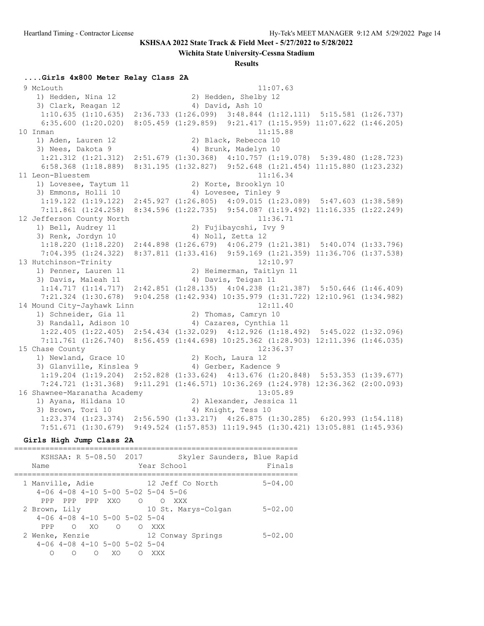**Wichita State University-Cessna Stadium**

#### **Results**

#### **....Girls 4x800 Meter Relay Class 2A**

 9 McLouth 11:07.63 1) Hedden, Nina 12 2) Hedden, Shelby 12 3) Clark, Reagan 12 4) David, Ash 10 1:10.635 (1:10.635) 2:36.733 (1:26.099) 3:48.844 (1:12.111) 5:15.581 (1:26.737) 6:35.600 (1:20.020) 8:05.459 (1:29.859) 9:21.417 (1:15.959) 11:07.622 (1:46.205) 10 Inman 11:15.88 1) Aden, Lauren 12 2) Black, Rebecca 10 3) Nees, Dakota 9 4) Brunk, Madelyn 10 1:21.312 (1:21.312) 2:51.679 (1:30.368) 4:10.757 (1:19.078) 5:39.480 (1:28.723) 6:58.368 (1:18.889) 8:31.195 (1:32.827) 9:52.648 (1:21.454) 11:15.880 (1:23.232) 11 Leon-Bluestem 11:16.34 1) Lovesee, Taytum 11 2) Korte, Brooklyn 10 3) Emmons, Holli 10 4) Lovesee, Tinley 9 1:19.122 (1:19.122) 2:45.927 (1:26.805) 4:09.015 (1:23.089) 5:47.603 (1:38.589) 7:11.861 (1:24.258) 8:34.596 (1:22.735) 9:54.087 (1:19.492) 11:16.335 (1:22.249) 12 Jefferson County North 11:36.71 1) Bell, Audrey 11 2) Fujibaycshi, Ivy 9 3) Renk, Jordyn 10 4) Noll, Zetta 12 1:18.220 (1:18.220) 2:44.898 (1:26.679) 4:06.279 (1:21.381) 5:40.074 (1:33.796) 7:04.395 (1:24.322) 8:37.811 (1:33.416) 9:59.169 (1:21.359) 11:36.706 (1:37.538) 13 Hutchinson-Trinity 12:10.97 1) Penner, Lauren 11 2) Heimerman, Taitlyn 11 3) Davis, Maleah 11 (4) Davis, Teigan 11 1:14.717 (1:14.717) 2:42.851 (1:28.135) 4:04.238 (1:21.387) 5:50.646 (1:46.409) 7:21.324 (1:30.678) 9:04.258 (1:42.934) 10:35.979 (1:31.722) 12:10.961 (1:34.982) 14 Mound City-Jayhawk Linn 12:11.40 1) Schneider, Gia 11 120 2) Thomas, Camryn 10 3) Randall, Adison 10 4) Cazares, Cynthia 11 1:22.405 (1:22.405) 2:54.434 (1:32.029) 4:12.926 (1:18.492) 5:45.022 (1:32.096) 7:11.761 (1:26.740) 8:56.459 (1:44.698) 10:25.362 (1:28.903) 12:11.396 (1:46.035) 15 Chase County 12:36.37 1) Newland, Grace 10 2) Koch, Laura 12 3) Glanville, Kinslea 9 (4) Gerber, Kadence 9 1:19.204 (1:19.204) 2:52.828 (1:33.624) 4:13.676 (1:20.848) 5:53.353 (1:39.677) 7:24.721 (1:31.368) 9:11.291 (1:46.571) 10:36.269 (1:24.978) 12:36.362 (2:00.093) 16 Shawnee-Maranatha Academy 13:05.89 1) Ayana, Hildana 10 2) Alexander, Jessica 11 3) Brown, Tori 10 4) Knight, Tess 10 1:23.374 (1:23.374) 2:56.590 (1:33.217) 4:26.875 (1:30.285) 6:20.993 (1:54.118) 7:51.671 (1:30.679) 9:49.524 (1:57.853) 11:19.945 (1:30.421) 13:05.881 (1:45.936)

#### **Girls High Jump Class 2A**

================================================================ KSHSAA: R 5-08.50 2017 Skyler Saunders, Blue Rapid Name Year School Finals ================================================================ 1 Manville, Adie 12 Jeff Co North 5-04.00 4-06 4-08 4-10 5-00 5-02 5-04 5-06 PPP PPP PPP XXO O O XXX 2 Brown, Lily 10 St. Marys-Colgan 5-02.00 4-06 4-08 4-10 5-00 5-02 5-04 PPP O XO O O XXX 2 Wenke, Kenzie 12 Conway Springs 5-02.00 4-06 4-08 4-10 5-00 5-02 5-04 O O O XO O XXX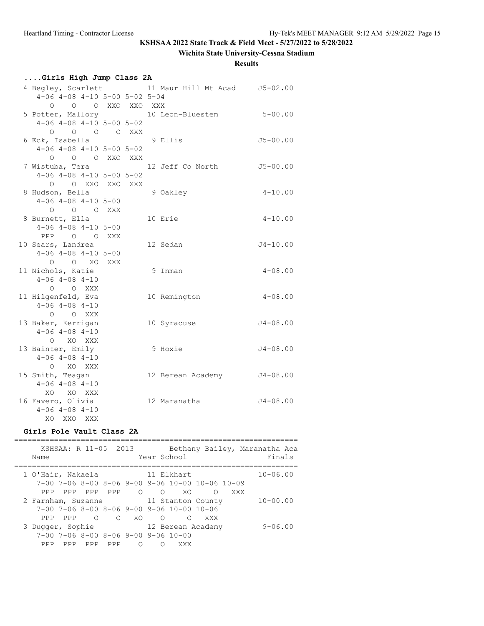# **Wichita State University-Cessna Stadium**

### **Results**

|  |  |  | Girls High Jump Class 2A |  |  |  |  |
|--|--|--|--------------------------|--|--|--|--|
|--|--|--|--------------------------|--|--|--|--|

|                                           |  | 4 Begley, Scarlett 11 Maur Hill Mt Acad 55-02.00 |              |
|-------------------------------------------|--|--------------------------------------------------|--------------|
| $4-06$ $4-08$ $4-10$ $5-00$ $5-02$ $5-04$ |  |                                                  |              |
| 0 0 0 XXO XXO XXX                         |  |                                                  |              |
|                                           |  | 5 Potter, Mallory 10 Leon-Bluestem 5-00.00       |              |
| $4-06$ $4-08$ $4-10$ $5-00$ $5-02$        |  |                                                  |              |
| 0 0 0 0 XXX                               |  |                                                  |              |
| 6 Eck, Isabella                           |  | 9 Ellis                                          | $J5 - 00.00$ |
| $4-06$ $4-08$ $4-10$ $5-00$ $5-02$        |  |                                                  |              |
| O O O XXO XXX                             |  |                                                  |              |
| 7 Wistuba, Tera                           |  | 12 Jeff Co North                                 | $J5 - 00.00$ |
| $4-06$ $4-08$ $4-10$ $5-00$ $5-02$        |  |                                                  |              |
| O O XXO XXO XXX                           |  |                                                  |              |
| 8 Hudson, Bella                           |  | 9 Oakley                                         | $4 - 10.00$  |
| $4-06$ $4-08$ $4-10$ $5-00$               |  |                                                  |              |
| 0 0 0 XXX                                 |  |                                                  |              |
| 8 Burnett, Ella                           |  | 10 Erie                                          | $4 - 10.00$  |
| $4-06$ $4-08$ $4-10$ $5-00$               |  |                                                  |              |
| PPP 0 0 XXX                               |  |                                                  |              |
| 10 Sears, Landrea                         |  | 12 Sedan                                         | $J4 - 10.00$ |
| $4-06$ $4-08$ $4-10$ $5-00$               |  |                                                  |              |
| O O XO XXX                                |  |                                                  |              |
| 11 Nichols, Katie                         |  | 9 Inman                                          | $4 - 08.00$  |
| $4 - 06$ $4 - 08$ $4 - 10$                |  |                                                  |              |
| O O XXX                                   |  |                                                  |              |
| 11 Hilgenfeld, Eva                        |  | 10 Remington                                     | $4 - 08.00$  |
| $4 - 06$ $4 - 08$ $4 - 10$                |  |                                                  |              |
| O O XXX                                   |  |                                                  |              |
| 13 Baker, Kerrigan                        |  | 10 Syracuse                                      | $J4 - 08.00$ |
| $4 - 06$ $4 - 08$ $4 - 10$                |  |                                                  |              |
| O XO XXX                                  |  |                                                  |              |
| 13 Bainter, Emily                         |  | 9 Hoxie                                          | $J4-08.00$   |
| $4 - 06$ $4 - 08$ $4 - 10$                |  |                                                  |              |
| O XO XXX                                  |  |                                                  |              |
| 15 Smith, Teagan                          |  | 12 Berean Academy                                | $J4 - 08.00$ |
| $4 - 06$ $4 - 08$ $4 - 10$                |  |                                                  |              |
| XO XO XXX                                 |  |                                                  |              |
| 16 Favero, Olivia                         |  | 12 Maranatha                                     | $J4 - 08.00$ |
| $4 - 06$ $4 - 08$ $4 - 10$                |  |                                                  |              |
| XO XXO XXX                                |  |                                                  |              |

### **Girls Pole Vault Class 2A**

| KSHSAA: R 11-05 2013<br>Name                                                                                                               |          | Bethany Bailey, Maranatha Aca<br>Year School                                                                   | Finals       |
|--------------------------------------------------------------------------------------------------------------------------------------------|----------|----------------------------------------------------------------------------------------------------------------|--------------|
| 1 O'Hair, Nakaela<br>PPP PPP PPP<br>PPP.                                                                                                   | $\Omega$ | 11 Elkhart<br>$7-00$ $7-06$ $8-00$ $8-06$ $9-00$ $9-06$ $10-00$ $10-06$ $10-09$<br>$\Omega$<br>XO.<br>XXX<br>∩ | $10 - 06.00$ |
| 2 Farnham, Suzanne<br>$7-00$ $7-06$ $8-00$ $8-06$ $9-00$ $9-06$ $10-00$ $10-06$<br>$\begin{matrix} 0 & 0 & X0 & 0 \end{matrix}$<br>PPP PPP |          | 11 Stanton County<br>XXX<br>∩                                                                                  | $10 - 00.00$ |
| 3 Dugger, Sophie<br>$7-00$ $7-06$ $8-00$ $8-06$ $9-00$ $9-06$ $10-00$<br>PPP PPP PPP<br>PPP.                                               | ∩        | 12 Berean Academy<br>XXX<br>∩                                                                                  | $9 - 06.00$  |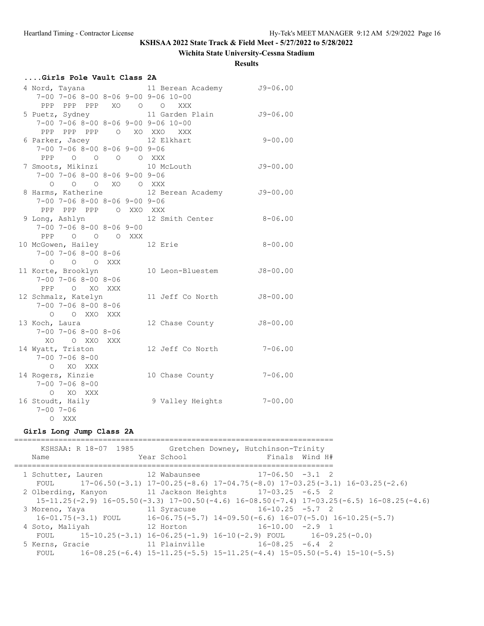### **Wichita State University-Cessna Stadium**

#### **Results**

# **....Girls Pole Vault Class 2A**

|                                           |  | 4 Nord, Tayana 11 Berean Academy 59-06.00 |              |
|-------------------------------------------|--|-------------------------------------------|--------------|
| 7-00 7-06 8-00 8-06 9-00 9-06 10-00       |  |                                           |              |
| PPP PPP PPP XO O O XXX                    |  |                                           |              |
| 5 Puetz, Sydney                           |  | 11 Garden Plain 59-06.00                  |              |
| 7-00 7-06 8-00 8-06 9-00 9-06 10-00       |  |                                           |              |
| PPP PPP PPP 0 XO XXO XXX                  |  |                                           |              |
| 6 Parker, Jacey 12 Elkhart                |  |                                           | $9 - 00.00$  |
| $7-00$ $7-06$ $8-00$ $8-06$ $9-00$ $9-06$ |  |                                           |              |
| PPP 0 0 0 0 XXX                           |  |                                           |              |
| 7 Smoots, Mikinzi 10 McLouth              |  |                                           | $J9 - 00.00$ |
| $7-00$ $7-06$ $8-00$ $8-06$ $9-00$ $9-06$ |  |                                           |              |
| 0 0 0 XO 0 XXX                            |  |                                           |              |
|                                           |  | 8 Harms, Katherine 12 Berean Academy      | $J9 - 00.00$ |
| $7-00$ $7-06$ $8-00$ $8-06$ $9-00$ $9-06$ |  |                                           |              |
| PPP PPP PPP 0 XXO XXX                     |  |                                           |              |
|                                           |  | 9 Long, Ashlyn 12 Smith Center            | $8 - 06.00$  |
| $7-00$ $7-06$ $8-00$ $8-06$ $9-00$        |  |                                           |              |
| PPP 0 0 0 XXX                             |  |                                           |              |
| 10 McGowen, Hailey                        |  | 12 Erie                                   | $8 - 00.00$  |
| $7 - 00$ $7 - 06$ $8 - 00$ $8 - 06$       |  |                                           |              |
| $O$ $O$ $O$ $XXX$                         |  |                                           |              |
| 11 Korte, Brooklyn                        |  | 10 Leon-Bluestem                          | $J8 - 00.00$ |
| $7 - 00$ $7 - 06$ $8 - 00$ $8 - 06$       |  |                                           |              |
| PPP O XO XXX                              |  |                                           |              |
| 12 Schmalz, Katelyn                       |  | 11 Jeff Co North                          | $J8 - 00.00$ |
| $7 - 00$ $7 - 06$ $8 - 00$ $8 - 06$       |  |                                           |              |
| O O XXO XXX                               |  |                                           |              |
| 13 Koch, Laura                            |  | 12 Chase County                           | $J8 - 00.00$ |
| $7 - 00$ $7 - 06$ $8 - 00$ $8 - 06$       |  |                                           |              |
| XO O XXO XXX                              |  |                                           |              |
| 14 Wyatt, Triston                         |  | 12 Jeff Co North                          | $7 - 06.00$  |
| $7 - 00$ $7 - 06$ $8 - 00$                |  |                                           |              |
| O XO XXX                                  |  |                                           |              |
| 14 Rogers, Kinzie                         |  | 10 Chase County 7-06.00                   |              |
| $7 - 00$ $7 - 06$ $8 - 00$                |  |                                           |              |
| O XO XXX                                  |  |                                           |              |
| 16 Stoudt, Haily                          |  | 9 Valley Heights 7-00.00                  |              |
| $7 - 00$ $7 - 06$                         |  |                                           |              |
| O XXX                                     |  |                                           |              |

#### **Girls Long Jump Class 2A**

| KSHSAA: R 18-07 1985<br>Name                                                                                                                                    | Gretchen Downey, Hutchinson-Trinity<br>Year School | Finals Wind H#                                                                    |  |
|-----------------------------------------------------------------------------------------------------------------------------------------------------------------|----------------------------------------------------|-----------------------------------------------------------------------------------|--|
| 1 Schutter, Lauren 12 Wabaunsee 17-06.50 -3.1 2<br>FOUL 17-06.50 (-3.1) $17-00.25$ (-8.6) $17-04.75$ (-8.0) $17-03.25$ (-3.1) $16-03.25$ (-2.6)                 |                                                    |                                                                                   |  |
| 2 Olberding, Kanyon 11 Jackson Heights 17-03.25 -6.5 2<br>$15-11.25(-2.9)$ $16-05.50(-3.3)$ $17-00.50(-4.6)$ $16-08.50(-7.4)$ $17-03.25(-6.5)$ $16-08.25(-4.6)$ |                                                    |                                                                                   |  |
| 3 Moreno, Yaya<br>$16-01.75(-3.1)$ FOUL $16-06.75(-5.7)$ $14-09.50(-6.6)$ $16-07(-5.0)$ $16-10.25(-5.7)$                                                        | 11 Syracuse                                        | $16 - 10.25 - 5.7$ 2                                                              |  |
| 4 Soto, Maliyah<br>FOUL 15-10.25(-3.1) $16-06.25(-1.9)$ $16-10(-2.9)$ FOUL $16-09.25(-0.0)$                                                                     | 12 Horton                                          | $16 - 10.00 - 2.9$ 1                                                              |  |
| 5 Kerns, Gracie<br>FOUL                                                                                                                                         | 11 Plainville 16-08.25 -6.4 2                      | $16-08.25(-6.4)$ $15-11.25(-5.5)$ $15-11.25(-4.4)$ $15-05.50(-5.4)$ $15-10(-5.5)$ |  |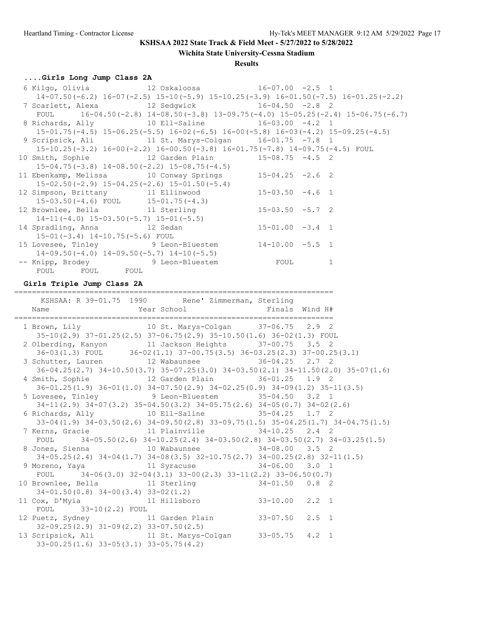**Wichita State University-Cessna Stadium**

#### **Results**

# **....Girls Long Jump Class 2A**

|                | 6 Kilgo, Olivia                       12 Oskaloosa                       16-07.00  -2.5    1    |   |
|----------------|-------------------------------------------------------------------------------------------------|---|
|                | $14-07.50(-6.2)$ $16-07(-2.5)$ $15-10(-5.9)$ $15-10.25(-3.9)$ $16-01.50(-7.5)$ $16-01.25(-2.2)$ |   |
|                | 7 Scarlett, Alexa 12 Sedgwick 16-04.50 -2.8 2                                                   |   |
|                | FOUL 16-04.50 (-2.8) $14-08.50$ (-3.8) $13-09.75$ (-4.0) $15-05.25$ (-2.4) $15-06.75$ (-6.7)    |   |
|                | 8 Richards, Ally 10 Ell-Saline 16-03.00 -4.2 1                                                  |   |
|                | $15-01.75(-4.5)$ $15-06.25(-5.5)$ $16-02(-6.5)$ $16-00(-5.8)$ $16-03(-4.2)$ $15-09.25(-4.5)$    |   |
|                | 9 Scripsick, Ali 		 11 St. Marys-Colgan 		 16-01.75 -7.8 1                                      |   |
|                | $15-10.25(-3.2)$ $16-00(-2.2)$ $16-00.50(-3.8)$ $16-01.75(-7.8)$ $14-09.75(-4.5)$ FOUL          |   |
|                | 10 Smith, Sophie 12 Garden Plain 15-08.75 -4.5 2                                                |   |
|                | $15-04.75(-3.8)$ $14-08.50(-2.2)$ $15-08.75(-4.5)$                                              |   |
|                | 11 Ebenkamp, Melissa 10 Conway Springs 15-04.25 -2.6 2                                          |   |
|                | $15-02.50(-2.9)$ $15-04.25(-2.6)$ $15-01.50(-5.4)$                                              |   |
|                | 12 Simpson, Brittany 11 Ellinwood 15-03.50 -4.6 1                                               |   |
|                | $15-03.50(-4.6)$ FOUL $15-01.75(-4.3)$                                                          |   |
|                | 12 Brownlee, Bella 11 Sterling 15-03.50 -5.7 2                                                  |   |
|                | $14-11(-4.0)$ $15-03.50(-5.7)$ $15-01(-5.5)$                                                    |   |
|                | 14 Spradling, Anna 12 Sedan 15-01.00 -3.4 1                                                     |   |
|                | $15-01(-3.4)$ $14-10.75(-5.6)$ FOUL                                                             |   |
|                | 15 Lovesee, Tinley 9 Leon-Bluestem 14-10.00 -5.5 1                                              |   |
|                | $14-09.50(-4.0)$ $14-09.50(-5.7)$ $14-10(-5.5)$                                                 |   |
|                | -- Knipp, Brodey 5 9 Leon-Bluestem 5 FOUL                                                       | 1 |
| FOUL FOUL FOUL |                                                                                                 |   |

# **Girls Triple Jump Class 2A**

========================================================================

|                                                                     | KSHSAA: R 39-01.75 1990 Rene' Zimmerman, Sterling                                         |                                                                                              |
|---------------------------------------------------------------------|-------------------------------------------------------------------------------------------|----------------------------------------------------------------------------------------------|
|                                                                     |                                                                                           |                                                                                              |
|                                                                     |                                                                                           |                                                                                              |
| 1 Brown, Lily 10 St. Marys-Colgan 37-06.75 2.9 2                    |                                                                                           |                                                                                              |
|                                                                     | 35-10(2.9) 37-01.25(2.5) 37-06.75(2.9) 35-10.50(1.6) 36-02(1.3) FOUL                      |                                                                                              |
| 2 Olberding, Kanyon 11 Jackson Heights 37-00.75 3.5 2               |                                                                                           |                                                                                              |
|                                                                     | 36-03(1.3) FOUL 36-02(1.1) 37-00.75(3.5) 36-03.25(2.3) 37-00.25(3.1)                      |                                                                                              |
| 3 Schutter, Lauren 12 Wabaunsee 36-04.25 2.7 2                      |                                                                                           |                                                                                              |
|                                                                     |                                                                                           | $36-04.25(2.7)$ $34-10.50(3.7)$ $35-07.25(3.0)$ $34-03.50(2.1)$ $34-11.50(2.0)$ $35-07(1.6)$ |
| 4 Smith, Sophie 12 Garden Plain 36-01.25 1.9 2                      |                                                                                           |                                                                                              |
|                                                                     |                                                                                           | $36-01.25(1.9)$ $36-01(1.0)$ $34-07.50(2.9)$ $34-02.25(0.9)$ $34-09(1.2)$ $35-11(3.5)$       |
| 5 Lovesee, Tinley 9 Leon-Bluestem 35-04.50 3.2 1                    |                                                                                           |                                                                                              |
|                                                                     | $34-11$ (2.9) $34-07$ (3.2) $35-04.50$ (3.2) $34-05.75$ (2.6) $34-05$ (0.7) $34-02$ (2.6) |                                                                                              |
| 6 Richards, Ally 10 Ell-Saline 35-04.25 1.7 2                       |                                                                                           |                                                                                              |
|                                                                     |                                                                                           | $33-04(1.9)$ $34-03.50(2.6)$ $34-09.50(2.8)$ $33-09.75(1.5)$ $35-04.25(1.7)$ $34-04.75(1.5)$ |
| 7 Kerns, Gracie 11 Plainville 34-10.25 2.4 2                        |                                                                                           |                                                                                              |
|                                                                     |                                                                                           | FOUL $34-05.50(2.6)$ $34-10.25(2.4)$ $34-03.50(2.8)$ $34-03.50(2.7)$ $34-03.25(1.5)$         |
| 8 Jones, Sienna 10 Wabaunsee 34-08.00 3.5 2                         |                                                                                           |                                                                                              |
|                                                                     |                                                                                           | 34-05.25(2.4) 34-04(1.7) 34-08(3.5) 32-10.75(2.7) 34-00.25(2.8) 32-11(1.5)                   |
| 9 Moreno, Yaya           11 Syracuse             34-06.00   3.0   1 |                                                                                           |                                                                                              |
|                                                                     | FOUL $34-06(3.0)$ $32-04(3.1)$ $33-00(2.3)$ $33-11(2.2)$ $33-06.50(0.7)$                  |                                                                                              |
| 10 Brownlee, Bella 11 Sterling 34-01.50 0.8 2                       |                                                                                           |                                                                                              |
| $34-01.50(0.8)$ $34-00(3.4)$ $33-02(1.2)$                           |                                                                                           |                                                                                              |
| 11 Cox, D'Myia (11 Hillsboro (33-10.00 2.2 1)                       |                                                                                           |                                                                                              |
| FOUL $33-10(2.2)$ FOUL                                              |                                                                                           |                                                                                              |
| 12 Puetz, Sydney 11 Garden Plain 33-07.50 2.5 1                     |                                                                                           |                                                                                              |
| $32-09.25(2.9)$ $31-09(2.2)$ $33-07.50(2.5)$                        |                                                                                           |                                                                                              |
| 13 Scripsick, Ali 11 St. Marys-Colgan 33-05.75 4.2 1                |                                                                                           |                                                                                              |
| $33-00.25(1.6)$ $33-05(3.1)$ $33-05.75(4.2)$                        |                                                                                           |                                                                                              |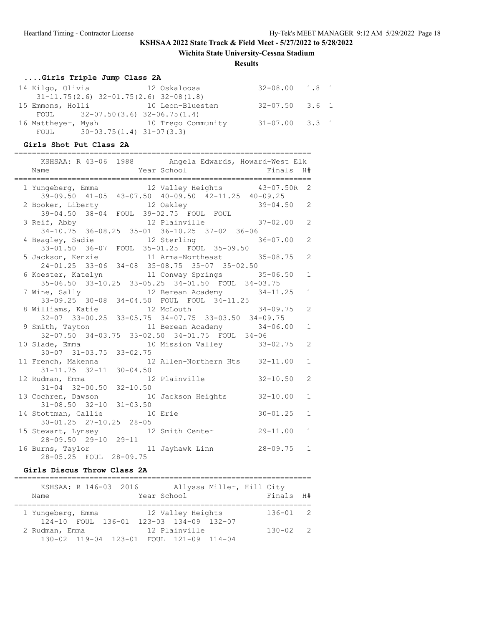**Wichita State University-Cessna Stadium**

#### **Results**

# **....Girls Triple Jump Class 2A**

|  |                                    | 14 Kilgo, Olivia                         12 Oskaloosa | $32 - 08.00$ 1.8 1   |  |
|--|------------------------------------|-------------------------------------------------------|----------------------|--|
|  |                                    | $31-11.75(2.6)$ $32-01.75(2.6)$ $32-08(1.8)$          |                      |  |
|  |                                    | 15 Emmons, Holli 10 Leon-Bluestem                     | 32-07.50 3.6 1       |  |
|  | FOUL $32-07.50(3.6) 32-06.75(1.4)$ |                                                       |                      |  |
|  |                                    | 16 Mattheyer, Myah 10 Trego Community                 | $31 - 07.00$ $3.3$ 1 |  |
|  | FOUL $30-03.75(1.4) 31-07(3.3)$    |                                                       |                      |  |

#### **Girls Shot Put Class 2A**

| KSHSAA: R 43-06 1988 Angela Edwards, Howard-West Elk                                                                            |              |                                |              |                |
|---------------------------------------------------------------------------------------------------------------------------------|--------------|--------------------------------|--------------|----------------|
| Name                                                                                                                            |              | Year School Finals             |              | H#             |
| 1 Yungeberg, Emma<br>39-09.50 41-05 43-07.50 40-09.50 42-11.25 40-09.25                                                         |              |                                |              |                |
| 2 Booker, Liberty 12 Oakley 39-04.50 2                                                                                          |              |                                |              |                |
| 39-04.50 38-04 FOUL 39-02.75 FOUL FOUL<br>3 Reif, Abby 12 Plainville 37-02.00 2<br>34-10.75 36-08.25 35-01 36-10.25 37-02 36-06 |              |                                |              |                |
| 4 Beagley, Sadie 12 Sterling 36-07.00<br>33-01.50 36-07 FOUL 35-01.25 FOUL 35-09.50                                             |              |                                |              | 2              |
| 5 Jackson, Kenzie 11 Arma-Northeast 35-08.75<br>24-01.25 33-06 34-08 35-08.75 35-07 35-02.50                                    |              |                                |              | 2              |
| 6 Koester, Katelyn 11 Conway Springs 35-06.50<br>35-06.50 33-10.25 33-05.25 34-01.50 FOUL 34-03.75                              |              |                                |              | $\mathbf{1}$   |
| 7 Wine, Sally 12 Berean Academy 34-11.25<br>33-09.25 30-08 34-04.50 FOUL FOUL 34-11.25                                          |              |                                |              | $\mathbf{1}$   |
| 8 Williams, Katie $12$ McLouth $34-09.75$                                                                                       |              |                                |              | 2              |
| 32-07 33-00.25 33-05.75 34-07.75 33-03.50 34-09.75<br>9 Smith, Tayton 11 Berean Academy 34-06.00                                |              |                                |              | $\mathbf{1}$   |
| 32-07.50 34-03.75 33-02.50 34-01.75 FOUL 34-06<br>10 Slade, Emma 10 Mission Valley 33-02.75                                     |              |                                |              | $\overline{2}$ |
| $30 - 07$ $31 - 03.75$<br>11 French, Makenna                                                                                    | $33 - 02.75$ | 12 Allen-Northern Hts 32-11.00 |              | $\mathbf{1}$   |
| $31 - 11.75$ $32 - 11$                                                                                                          | $30 - 04.50$ |                                |              |                |
| 12 Rudman, Emma<br>$31-04$ $32-00.50$ $32-10.50$                                                                                |              | 12 Plainville 32-10.50         |              | 2              |
| 13 Cochren, Dawson 10 Jackson Heights 32-10.00<br>$31 - 08.50$ $32 - 10$ $31 - 03.50$                                           |              |                                |              | $\mathbf{1}$   |
| 14 Stottman, Callie 10 Erie                                                                                                     |              |                                | $30 - 01.25$ | $\mathbf{1}$   |
| 30-01.25 27-10.25 28-05<br>15 Stewart, Lynsey 12 Smith Center 29-11.00<br>28-09.50 29-10 29-11                                  |              |                                |              | $\mathbf{1}$   |
| 16 Burns, Taylor 11 Jayhawk Linn<br>28-05.25 FOUL 28-09.75                                                                      |              |                                | $28 - 09.75$ | $\mathbf{1}$   |

#### **Girls Discus Throw Class 2A**

| Name              | KSHSAA: R 146-03 2016 | Year School                             | Allyssa Miller, Hill City | Finals H#    |  |
|-------------------|-----------------------|-----------------------------------------|---------------------------|--------------|--|
| 1 Yungeberg, Emma |                       | 12 Valley Heights                       |                           | $136 - 01$ 2 |  |
|                   |                       | 124-10 FOUL 136-01 123-03 134-09 132-07 |                           |              |  |
| 2 Rudman, Emma    |                       | 12 Plainville                           |                           | $130 - 02$ 2 |  |
|                   |                       | 130-02 119-04 123-01 FOUL 121-09 114-04 |                           |              |  |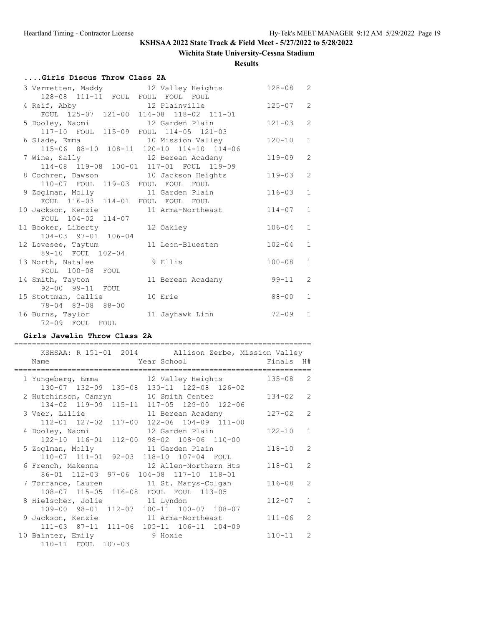### **Wichita State University-Cessna Stadium**

**Results**

# **....Girls Discus Throw Class 2A**

| 3 Vermetten, Maddy 12 Valley Heights                                           |                   | $128 - 08$ | 2              |
|--------------------------------------------------------------------------------|-------------------|------------|----------------|
| 128-08 111-11 FOUL FOUL FOUL FOUL                                              |                   |            |                |
| 4 Reif, Abby 12 Plainville                                                     |                   | $125 - 07$ | $\overline{2}$ |
| FOUL 125-07 121-00 114-08 118-02 111-01                                        |                   |            |                |
| 5 Dooley, Naomi 12 Garden Plain                                                |                   | $121 - 03$ | $\overline{2}$ |
| 117-10 FOUL 115-09 FOUL 114-05 121-03                                          |                   |            |                |
| 6 Slade, Emma<br>10 Mission Valley<br>115-06 88-10 108-11 120-10 114-10 114-06 |                   | $120 - 10$ | $\mathbf{1}$   |
|                                                                                |                   |            |                |
| 7 Wine, Sally 12 Berean Academy                                                |                   | $119 - 09$ | $\overline{2}$ |
| 114-08 119-08 100-01 117-01 FOUL 119-09                                        |                   |            |                |
| 8 Cochren, Dawson 10 Jackson Heights                                           |                   | $119 - 03$ | 2              |
| 110-07 FOUL 119-03 FOUL FOUL FOUL                                              |                   |            |                |
| 9 Zoglman, Molly 11 Garden Plain                                               |                   | $116 - 03$ | $\mathbf{1}$   |
| FOUL 116-03 114-01 FOUL FOUL FOUL                                              |                   |            |                |
| 10 Jackson, Kenzie 11 Arma-Northeast                                           |                   | $114 - 07$ | $\mathbf{1}$   |
| FOUL 104-02 114-07                                                             |                   |            |                |
| 11 Booker, Liberty 12 Oakley                                                   |                   | $106 - 04$ | $\mathbf{1}$   |
| 104-03 97-01 106-04                                                            |                   |            |                |
| 12 Lovesee, Taytum 11 Leon-Bluestem                                            |                   | $102 - 04$ | $\mathbf{1}$   |
| 89-10 FOUL 102-04                                                              |                   |            |                |
| 13 North, Natalee                                                              | 9 Ellis           | $100 - 08$ | $\mathbf{1}$   |
| FOUL 100-08 FOUL                                                               |                   |            |                |
| 14 Smith, Tayton                                                               | 11 Berean Academy | 99-11      | 2              |
| 92-00 99-11 FOUL                                                               |                   |            |                |
| 15 Stottman, Callie                                                            | 10 Erie           | 88-00      | $\mathbf{1}$   |
| 78-04 83-08 88-00                                                              |                   |            |                |
| 16 Burns, Taylor                                                               | 11 Jayhawk Linn   | $72 - 09$  | $\mathbf{1}$   |
| 72-09 FOUL FOUL                                                                |                   |            |                |

#### **Girls Javelin Throw Class 2A**

| KSHSAA: R 151-01 2014 Allison Zerbe, Mission Valley                                   |            |                |
|---------------------------------------------------------------------------------------|------------|----------------|
| Year School لا Year School<br>Name                                                    | Finals H#  |                |
| 1 Yungeberg, Emma 12 Valley Heights<br>130-07 132-09 135-08 130-11 122-08 126-02      | $135 - 08$ | $\mathcal{L}$  |
| 2 Hutchinson, Camryn 10 Smith Center<br>134-02 119-09 115-11 117-05 129-00 122-06     | $134 - 02$ | $\mathcal{L}$  |
| 3 Veer, Lillie<br>11 Berean Academy<br>112-01 127-02 117-00 122-06 104-09 111-00      | $127 - 02$ | $\overline{2}$ |
| 12 Garden Plain<br>4 Dooley, Naomi<br>122-10 116-01 112-00 98-02 108-06 110-00        | $122 - 10$ | $\mathbf{1}$   |
| 5 Zoglman, Molly<br>11 Garden Plain<br>110-07 111-01 92-03 118-10 107-04 FOUL         | $118 - 10$ | $\mathcal{L}$  |
| 12 Allen-Northern Hts<br>6 French, Makenna<br>86-01 112-03 97-06 104-08 117-10 118-01 | $118 - 01$ | $\mathcal{L}$  |
| 7 Torrance, Lauren<br>11 St. Marys-Colgan<br>108-07 115-05 116-08 FOUL FOUL 113-05    | $116 - 08$ | $\mathcal{L}$  |
| 8 Hielscher, Jolie 11 Lyndon<br>109-00 98-01 112-07 100-11 100-07 108-07              | $112 - 07$ | $\mathbf{1}$   |
| 9 Jackson, Kenzie 11 Arma-Northeast<br>111-03 87-11 111-06 105-11 106-11 104-09       | $111 - 06$ | $\overline{2}$ |
| 10 Bainter, Emily 9 Hoxie<br>$107 - 03$<br>110-11 FOUL                                | $110 - 11$ | $\mathcal{L}$  |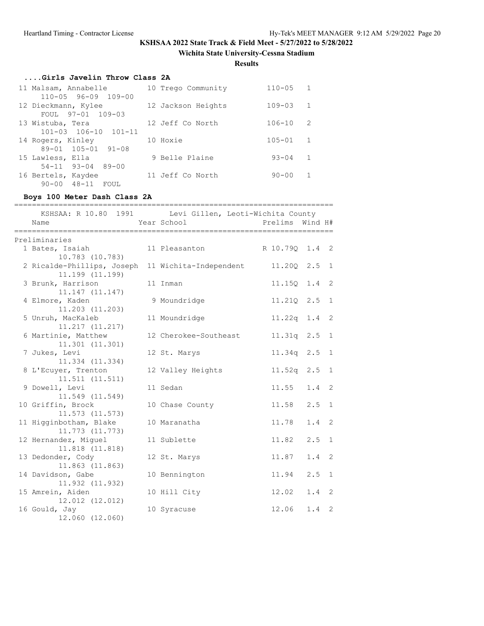**Wichita State University-Cessna Stadium**

**Results**

# **....Girls Javelin Throw Class 2A**

| 11 Malsam, Annabelle             | 10 Trego Community | $110 - 05$<br>1              |  |
|----------------------------------|--------------------|------------------------------|--|
| $110 - 05$ 96-09 109-00          |                    |                              |  |
| 12 Dieckmann, Kylee              | 12 Jackson Heights | $\overline{1}$<br>$109 - 03$ |  |
| FOUL 97-01 109-03                |                    |                              |  |
| 13 Wistuba, Tera                 | 12 Jeff Co North   | 2<br>$106 - 10$              |  |
| $101 - 03$ $106 - 10$ $101 - 11$ |                    |                              |  |
| 14 Rogers, Kinley                | 10 Hoxie           | $105 - 01$<br>$\mathbf{1}$   |  |
| 89-01 105-01 91-08               |                    |                              |  |
| 15 Lawless, Ella                 | 9 Belle Plaine     | $93 - 04$<br>1               |  |
| $54-11$ 93-04 89-00              |                    |                              |  |
| 16 Bertels, Kaydee               | 11 Jeff Co North   | $90 - 00$<br>1               |  |
| $48 - 11$<br>$90 - 00$<br>FOUL   |                    |                              |  |

### **Boys 100 Meter Dash Class 2A**

| ===============<br>KSHSAA: R 10.80 1991 Levi Gillen, Leoti-Wichita County<br>Name | Year School           | Prelims Wind H# |               |                |
|-----------------------------------------------------------------------------------|-----------------------|-----------------|---------------|----------------|
| Preliminaries                                                                     |                       |                 |               |                |
| 1 Bates, Isaiah<br>10.783 (10.783)                                                | 11 Pleasanton         | R 10.790 1.4 2  |               |                |
| 2 Ricalde-Phillips, Joseph 11 Wichita-Independent<br>11.199 (11.199)              |                       | 11.200 2.5 1    |               |                |
| 3 Brunk, Harrison<br>11.147 (11.147)                                              | 11 Inman              | 11.150 1.4 2    |               |                |
| 4 Elmore, Kaden<br>11.203 (11.203)                                                | 9 Moundridge          | 11.21Q 2.5 1    |               |                |
| 5 Unruh, MacKaleb<br>11.217 (11.217)                                              | 11 Moundridge         | 11.22q 1.4 2    |               |                |
| 6 Martinie, Matthew<br>11.301(11.301)                                             | 12 Cherokee-Southeast | 11.31q 2.5      |               | $\overline{1}$ |
| 7 Jukes, Levi<br>11.334 (11.334)                                                  | 12 St. Marys          | $11.34q$ 2.5 1  |               |                |
| 8 L'Ecuyer, Trenton<br>11.511(11.511)                                             | 12 Valley Heights     | 11.52q 2.5 1    |               |                |
| 9 Dowell, Levi<br>11.549 (11.549)                                                 | 11 Sedan              | 11.55           | $1.4 \quad 2$ |                |
| 10 Griffin, Brock<br>11.573 (11.573)                                              | 10 Chase County       | 11.58           | $2.5 \quad 1$ |                |
| 11 Higginbotham, Blake<br>11.773 (11.773)                                         | 10 Maranatha          | 11.78           | $1.4 \quad 2$ |                |
| 12 Hernandez, Miguel<br>11.818 (11.818)                                           | 11 Sublette           | 11.82           | $2.5 \quad 1$ |                |
| 13 Dedonder, Cody<br>11.863 (11.863)                                              | 12 St. Marys          | 11.87           | 1.4           | 2              |
| 14 Davidson, Gabe<br>11.932 (11.932)                                              | 10 Bennington         | 11.94           | 2.5           | $\overline{1}$ |
| 15 Amrein, Aiden<br>12.012 (12.012)                                               | 10 Hill City          | 12.02           | $1.4 \quad 2$ |                |
| 16 Gould, Jay<br>12.060 (12.060)                                                  | 10 Syracuse           | 12.06           | 1.4           | -2             |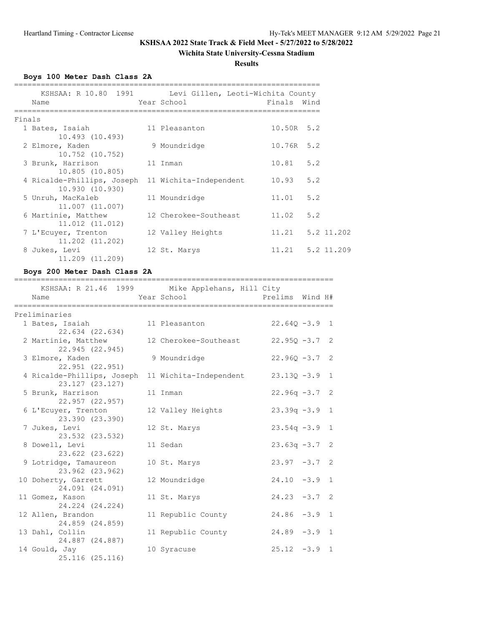### **Wichita State University-Cessna Stadium**

**Results**

**Boys 100 Meter Dash Class 2A**

|        | KSHSAA: R 10.80 1991 Levi Gillen, Leoti-Wichita County<br>Name       | Year School           | Finals Wind |                      |
|--------|----------------------------------------------------------------------|-----------------------|-------------|----------------------|
| Finals |                                                                      |                       |             |                      |
|        | 1 Bates, Isaiah<br>10.493 (10.493)                                   | 11 Pleasanton         | 10.50R 5.2  |                      |
|        | 2 Elmore, Kaden<br>10.752 (10.752)                                   | 9 Moundridge          | 10.76R 5.2  |                      |
|        | 3 Brunk, Harrison<br>10.805 (10.805)                                 | 11 Inman              | $10.81$ 5.2 |                      |
|        | 4 Ricalde-Phillips, Joseph 11 Wichita-Independent<br>10.930 (10.930) |                       | 10.93       | 5.2                  |
|        | 5 Unruh, MacKaleb<br>11,007 (11,007)                                 | 11 Moundridge         | 11.01       | 5.2                  |
|        | 6 Martinie, Matthew<br>11.012 (11.012)                               | 12 Cherokee-Southeast | 11.02       | 5.2                  |
|        | 7 L'Ecuyer, Trenton<br>11.202 (11.202)                               | 12 Valley Heights     |             | 11.21   5.2   11.202 |
|        | 8 Jukes, Levi<br>11.209 (11.209)                                     | 12 St. Marys          |             | 11.21   5.2   11.209 |

### **Boys 200 Meter Dash Class 2A**

| -----------------<br>==============               | _____________________________<br>=========     |                  |              |
|---------------------------------------------------|------------------------------------------------|------------------|--------------|
|                                                   | KSHSAA: R 21.46 1999 Mike Applehans, Hill City |                  |              |
| Name                                              | Year School                                    | Prelims Wind H#  |              |
| Preliminaries                                     |                                                |                  |              |
| 1 Bates, Isaiah                                   | 11 Pleasanton                                  | $22.640 - 3.9$ 1 |              |
| 22.634 (22.634)                                   |                                                |                  |              |
| 2 Martinie, Matthew                               | 12 Cherokee-Southeast                          | $22.95Q - 3.7$ 2 |              |
| 22.945 (22.945)                                   |                                                |                  |              |
| 3 Elmore, Kaden                                   | 9 Moundridge                                   | $22.960 - 3.7$ 2 |              |
| 22.951 (22.951)                                   |                                                |                  |              |
| 4 Ricalde-Phillips, Joseph 11 Wichita-Independent |                                                | $23.130 - 3.9$ 1 |              |
| 23.127 (23.127)                                   |                                                |                  |              |
| 5 Brunk, Harrison                                 | 11 Inman                                       | $22.96q -3.7$ 2  |              |
| 22.957 (22.957)                                   |                                                |                  |              |
| 6 L'Ecuyer, Trenton                               | 12 Valley Heights                              | $23.39q -3.9$ 1  |              |
| 23.390 (23.390)                                   |                                                |                  |              |
| 7 Jukes, Levi                                     | 12 St. Marys                                   | $23.54q -3.9$ 1  |              |
| 23.532 (23.532)<br>8 Dowell, Levi                 | 11 Sedan                                       | $23.63q -3.7$ 2  |              |
| 23.622 (23.622)                                   |                                                |                  |              |
| 9 Lotridge, Tamaureon                             | 10 St. Marys                                   | $23.97 - 3.7$ 2  |              |
| 23.962 (23.962)                                   |                                                |                  |              |
| 10 Doherty, Garrett                               | 12 Moundridge                                  | $24.10 -3.9$ 1   |              |
| 24.091 (24.091)                                   |                                                |                  |              |
| 11 Gomez, Kason                                   | 11 St. Marys                                   | $24.23 -3.7$ 2   |              |
| 24.224 (24.224)                                   |                                                |                  |              |
| 12 Allen, Brandon                                 | 11 Republic County                             | $24.86 - 3.9$    | $\mathbf{1}$ |
| 24.859 (24.859)                                   |                                                |                  |              |
| 13 Dahl, Collin                                   | 11 Republic County                             | $24.89 - 3.9$ 1  |              |
| 24.887 (24.887)                                   |                                                |                  |              |
| 14 Gould, Jay                                     | 10 Syracuse                                    | $25.12 -3.9$ 1   |              |
| 25.116 (25.116)                                   |                                                |                  |              |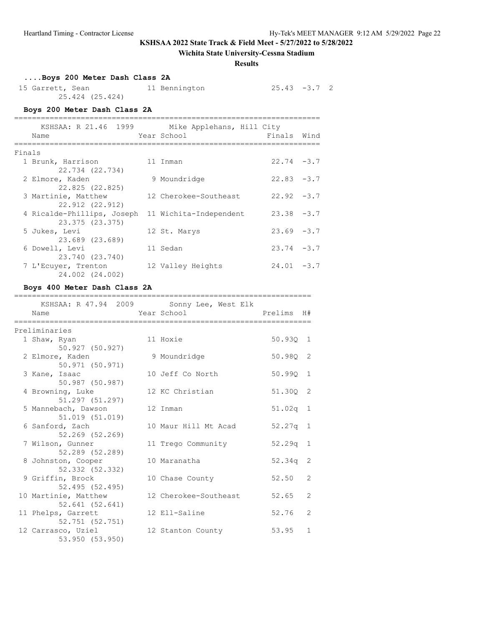### **Wichita State University-Cessna Stadium**

**Results**

 $25.43 -3.7$  2

# **....Boys 200 Meter Dash Class 2A**

| 15 Garrett, Sean |                 | 11 Bennington |
|------------------|-----------------|---------------|
|                  | 25.424 (25.424) |               |

#### **Boys 200 Meter Dash Class 2A**

|        | KSHSAA: R 21.46 1999                          | Mike Applehans, Hill City |               |      |
|--------|-----------------------------------------------|---------------------------|---------------|------|
|        | Name                                          | Year School               | Finals        | Wind |
| Finals |                                               |                           |               |      |
|        | 1 Brunk, Harrison<br>22.734 (22.734)          | 11 Inman                  | $22.74 - 3.7$ |      |
|        | 2 Elmore, Kaden<br>22.825 (22.825)            | 9 Moundridge              | $22.83 - 3.7$ |      |
|        | 3 Martinie, Matthew<br>22.912 (22.912)        | 12 Cherokee-Southeast     | $22.92 - 3.7$ |      |
|        | 4 Ricalde-Phillips, Joseph<br>23.375 (23.375) | 11 Wichita-Independent    | $23.38 - 3.7$ |      |
|        | 5 Jukes, Levi<br>23.689 (23.689)              | 12 St. Marys              | $23.69 - 3.7$ |      |
|        | 6 Dowell, Levi<br>23.740 (23.740)             | 11 Sedan                  | $23.74 - 3.7$ |      |
|        | 7 L'Ecuyer, Trenton<br>24.002 (24.002)        | 12 Valley Heights         | $24.01 - 3.7$ |      |

### **Boys 400 Meter Dash Class 2A**

| Name                                    | KSHSAA: R 47.94 2009 Sonny Lee, West Elk<br>Year School | Prelims    | H#             |
|-----------------------------------------|---------------------------------------------------------|------------|----------------|
| Preliminaries                           |                                                         |            |                |
| 1 Shaw, Ryan<br>50.927 (50.927)         | 11 Hoxie                                                | 50.930 1   |                |
| 2 Elmore, Kaden<br>50.971 (50.971)      | 9 Moundridge                                            | 50.980 2   |                |
| 3 Kane, Isaac<br>50.987 (50.987)        | 10 Jeff Co North                                        | 50.990     | 1              |
| 4 Browning, Luke<br>51.297 (51.297)     | 12 KC Christian                                         | 51.300 2   |                |
| 5 Mannebach, Dawson<br>51.019 (51.019)  | 12 Inman                                                | $51.02q$ 1 |                |
| 6 Sanford, Zach<br>$52,269$ $(52,269)$  | 10 Maur Hill Mt Acad                                    | $52.27q$ 1 |                |
| 7 Wilson, Gunner<br>52.289 (52.289)     | 11 Trego Community                                      | $52.29q$ 1 |                |
| 8 Johnston, Cooper<br>52.332 (52.332)   | 10 Maranatha                                            | 52.34q     | 2              |
| 9 Griffin, Brock<br>52.495 (52.495)     | 10 Chase County                                         | 52.50      | $\overline{2}$ |
| 10 Martinie, Matthew<br>52.641 (52.641) | 12 Cherokee-Southeast                                   | 52.65      | $\mathcal{L}$  |
| 11 Phelps, Garrett<br>52.751 (52.751)   | 12 Ell-Saline                                           | 52.76      | $\overline{2}$ |
| 12 Carrasco, Uziel<br>53.950 (53.950)   | 12 Stanton County                                       | 53.95      | $\mathbf{1}$   |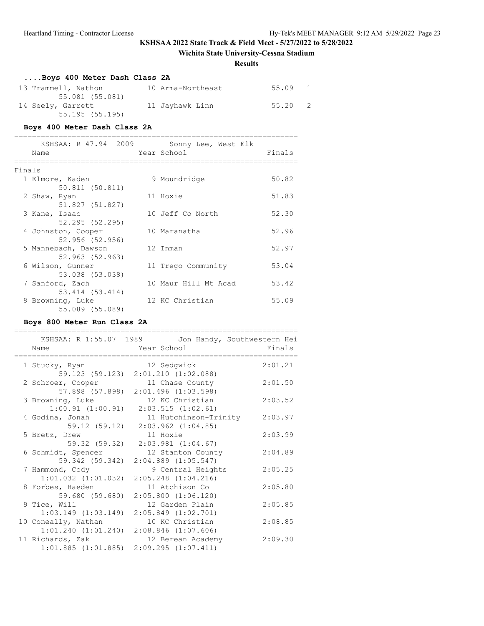### **Wichita State University-Cessna Stadium**

#### **Results**

| Boys 400 Meter Dash Class 2A |                   |         |  |
|------------------------------|-------------------|---------|--|
| 13 Trammell, Nathon          | 10 Arma-Northeast | 55.09 1 |  |
| 55.081 (55.081)              |                   |         |  |
| 14 Seely, Garrett            | 11 Jayhawk Linn   | 55.20 2 |  |
| 55.195(55.195)               |                   |         |  |

#### **Boys 400 Meter Dash Class 2A**

|        | KSHSAA: R 47.94 2009<br>Name        | Sonny Lee, West Elk<br>Year School | Finals |
|--------|-------------------------------------|------------------------------------|--------|
| Finals |                                     |                                    |        |
|        | 1 Elmore, Kaden                     | 9 Moundridge                       | 50.82  |
|        | 50.811 (50.811)                     |                                    |        |
|        | 2 Shaw, Ryan                        | 11 Hoxie                           | 51.83  |
|        | 51.827 (51.827)                     |                                    |        |
|        | 3 Kane, Isaac                       | 10 Jeff Co North                   | 52.30  |
|        | 52.295(52.295)                      |                                    |        |
|        | 4 Johnston, Cooper                  | 10 Maranatha                       | 52.96  |
|        | 52.956 (52.956)                     |                                    |        |
|        | 5 Mannebach, Dawson                 | 12 Inman                           | 52.97  |
|        | 52.963 (52.963)                     |                                    |        |
|        | 6 Wilson, Gunner                    | 11 Trego Community                 | 53.04  |
|        | 53.038 (53.038)                     |                                    |        |
|        | 7 Sanford, Zach                     | 10 Maur Hill Mt Acad               | 53.42  |
|        | 53.414 (53.414)                     | 12 KC Christian                    | 55.09  |
|        | 8 Browning, Luke<br>55.089 (55.089) |                                    |        |

### **Boys 800 Meter Run Class 2A**

| KSHSAA: R 1:55.07 1989  | Jon Handy, Southwestern Hei                     |         |
|-------------------------|-------------------------------------------------|---------|
| Name                    | Year School                                     | Finals  |
|                         |                                                 |         |
| 1 Stucky, Ryan          | 12 Sedgwick                                     | 2:01.21 |
|                         | 59.123 (59.123) 2:01.210 (1:02.088)             |         |
| 2 Schroer, Cooper       | 11 Chase County                                 | 2:01.50 |
|                         | 57.898 (57.898) 2:01.496 (1:03.598)             |         |
| 3 Browning, Luke        | 12 KC Christian                                 | 2:03.52 |
| $1:00.91$ $(1:00.91)$   | 2:03.515(1:02.61)                               |         |
| 4 Godina, Jonah         | 11 Hutchinson-Trinity                           | 2:03.97 |
| 59.12 (59.12)           | $2:03.962$ $(1:04.85)$                          |         |
| 5 Bretz, Drew           | 11 Hoxie                                        | 2:03.99 |
| 59.32 (59.32)           | $2:03.981$ $(1:04.67)$                          |         |
| 6 Schmidt, Spencer      | 12 Stanton County                               | 2:04.89 |
| 59.342 (59.342)         | $2:04.889$ $(1:05.547)$                         |         |
| 7 Hammond, Cody         | 9 Central Heights                               | 2:05.25 |
| $1:01.032$ $(1:01.032)$ | $2:05.248$ $(1:04.216)$                         |         |
| 8 Forbes, Haeden        | 11 Atchison Co                                  | 2:05.80 |
| 59.680 (59.680)         | $2:05.800$ $(1:06.120)$                         |         |
| 9 Tice, Will            | 12 Garden Plain                                 | 2:05.85 |
| $1:03.149$ $(1:03.149)$ | $2:05.849$ $(1:02.701)$                         |         |
| 10 Coneally, Nathan     | 10 KC Christian                                 | 2:08.85 |
|                         | $1:01.240$ $(1:01.240)$ $2:08.846$ $(1:07.606)$ |         |
| 11 Richards, Zak        | 12 Berean Academy                               | 2:09.30 |
|                         | $1:01.885$ $(1:01.885)$ $2:09.295$ $(1:07.411)$ |         |
|                         |                                                 |         |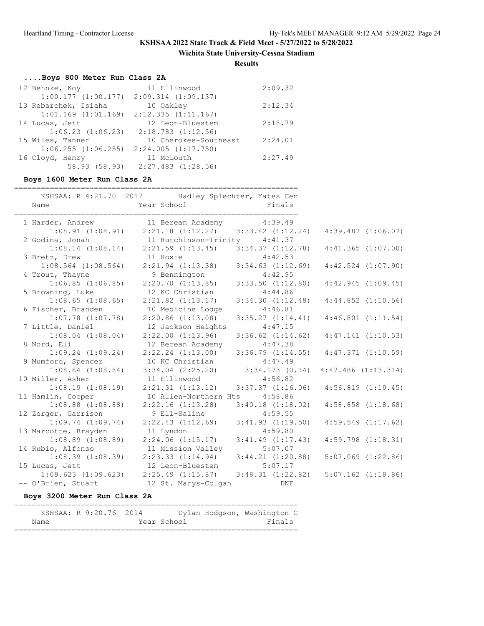**Wichita State University-Cessna Stadium**

**Results**

# **....Boys 800 Meter Run Class 2A**

| 12 Behnke, Koy        | 11 Ellinwood                                    | 2:09.32 |
|-----------------------|-------------------------------------------------|---------|
|                       | $1:00.177$ $(1:00.177)$ $2:09.314$ $(1:09.137)$ |         |
| 13 Rebarchek, Isiaha  | 10 Oakley                                       | 2:12.34 |
|                       | $1:01.169$ $(1:01.169)$ $2:12.335$ $(1:11.167)$ |         |
| 14 Lucas, Jett        | 12 Leon-Bluestem                                | 2:18.79 |
| $1:06.23$ $(1:06.23)$ | $2:18.783$ $(1:12.56)$                          |         |
| 15 Wiles, Tanner      | 10 Cherokee-Southeast                           | 2:24.01 |
|                       | $1:06.255$ $(1:06.255)$ $2:24.005$ $(1:17.750)$ |         |
| 16 Cloyd, Henry       | 11 McLouth                                      | 2:27.49 |
| 58.93 (58.93)         | $2:27.483$ $(1:28.56)$                          |         |

### **Boys 1600 Meter Run Class 2A**

|                         | KSHSAA: R 4:21.70 2017 Hadley Splechter, Yates Cen                |                       |                        |  |
|-------------------------|-------------------------------------------------------------------|-----------------------|------------------------|--|
| Name                    | Year School and the School                                        | Finals                |                        |  |
|                         | 1 Harder, Andrew 11 Berean Academy 4:39.49                        |                       |                        |  |
|                         | $1:08.91$ $(1:08.91)$ $2:21.18$ $(1:12.27)$ $3:33.42$ $(1:12.24)$ |                       | $4:39.487$ $(1:06.07)$ |  |
| 2 Godina, Jonah         | 11 Hutchinson-Trinity 4:41.37                                     |                       |                        |  |
|                         | $1:08.14$ (1:08.14) $2:21.59$ (1:13.45) $3:34.37$ (1:12.78)       |                       | $4:41.365$ $(1:07.00)$ |  |
| 3 Bretz, Drew           | 11 Hoxie                                                          |                       |                        |  |
| $1:08.564$ $(1:08.564)$ | 11 Hoxie 4:42.53<br>2:21.94 (1:13.38) 3:34.63 (1:12.69)           |                       | $4:42.524$ $(1:07.90)$ |  |
| 4 Trout, Thayne         | 9 Bennington                                                      | 4:42.95               |                        |  |
| $1:06.85$ $(1:06.85)$   | 2:20.70(1:13.85)                                                  | $3:33.50$ $(1:12.80)$ | 4:42.945(1:09.45)      |  |
| 5 Browning, Luke        | 12 KC Christian                                                   | 4:44.86               |                        |  |
| $1:08.65$ $(1:08.65)$   | $2:21.82$ $(1:13.17)$                                             | 3:34.30(1:12.48)      | $4:44.852$ $(1:10.56)$ |  |
| 6 Fischer, Branden      | 10 Medicine Lodge                                                 | 4:46.81               |                        |  |
| $1:07.78$ $(1:07.78)$   | $2:20.86$ $(1:13.08)$                                             | 3:35.27(1:14.41)      | $4:46.801$ $(1:11.54)$ |  |
| 7 Little, Daniel        | 12 Jackson Heights 4:47.15                                        |                       |                        |  |
| $1:08.04$ $(1:08.04)$   | $2:22.00$ $(1:13.96)$                                             | $3:36.62$ $(1:14.62)$ | 4:47.141(1:10.53)      |  |
| 8 Nord, Eli             | 12 Berean Academy                                                 | 4:47.38               |                        |  |
| $1:09.24$ $(1:09.24)$   | $2:22.24$ $(1:13.00)$ $3:36.79$ $(1:14.55)$                       |                       | $4:47.371$ $(1:10.59)$ |  |
| 9 Mumford, Spencer      | 10 KC Christian 4:47.49                                           |                       |                        |  |
| $1:08.84$ $(1:08.84)$   | $3:34.04$ $(2:25.20)$ $3:34.173$ $(0.14)$ $4:47.486$ $(1:13.314)$ |                       |                        |  |
| 10 Miller, Asher        | 11 Ellinwood                                                      | 4:56.82               |                        |  |
| $1:08.19$ $(1:08.19)$   | $2:21.31$ $(1:13.12)$ $3:37.37$ $(1:16.06)$                       |                       | 4:56.819(1:19.45)      |  |
| 11 Hamlin, Cooper       | 10 Allen-Northern Hts                                             | 4:58.86               |                        |  |
| $1:08.88$ $(1:08.88)$   | $2:22.16$ $(1:13.28)$                                             | $3:40.18$ $(1:18.02)$ | $4:58.858$ $(1:18.68)$ |  |
| 12 Zerger, Garrison     | 9 Ell-Saline                                                      | 4:59.55               |                        |  |
| 1:09.74(1:09.74)        | $2:22.43$ $(1:12.69)$ $3:41.93$ $(1:19.50)$                       |                       | $4:59.549$ $(1:17.62)$ |  |
| 13 Marcotte, Brayden    | 11 Lyndon                                                         | 4:59.80               |                        |  |
| $1:08.89$ $(1:08.89)$   | $2:24.06$ $(1:15.17)$                                             | $3:41.49$ $(1:17.43)$ | $4:59.798$ $(1:18.31)$ |  |
| 14 Rubio, Alfonso       | 11 Mission Valley                                                 | 5:07.07               |                        |  |
| $1:08.39$ $(1:08.39)$   | $2:23.33$ $(1:14.94)$ $3:44.21$ $(1:20.88)$                       |                       | $5:07.069$ $(1:22.86)$ |  |
| 15 Lucas, Jett          | 12 Leon-Bluestem                                                  | 5:07.17               |                        |  |
| $1:09.623$ $(1:09.623)$ | $2:25.49$ $(1:15.87)$ $3:48.31$ $(1:22.82)$                       |                       | $5:07.162$ $(1:18.86)$ |  |
| -- O'Brien, Stuart      | 12 St. Marys-Colgan DNF                                           |                       |                        |  |

#### **Boys 3200 Meter Run Class 2A**

|      | KSHSAA: R 9:20.76 2014 |             | Dylan Hodgson, Washington C |  |
|------|------------------------|-------------|-----------------------------|--|
| Name |                        | Year School | Finals                      |  |
|      |                        |             |                             |  |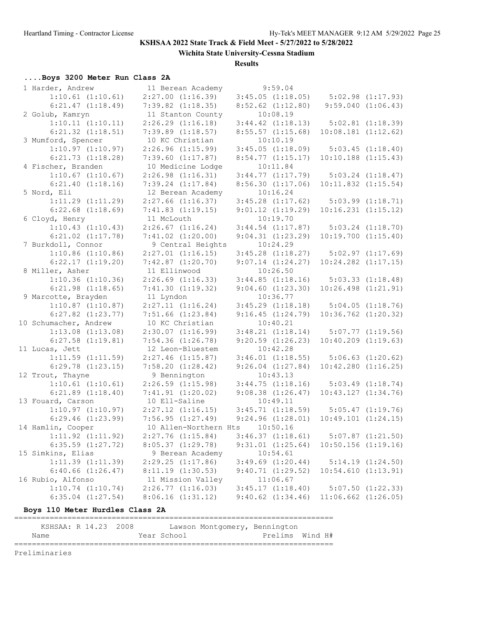**Wichita State University-Cessna Stadium**

**Results**

# **....Boys 3200 Meter Run Class 2A**

| 1 Harder, Andrew      | 11 Berean Academy     | 9:59.04               |                         |                        |
|-----------------------|-----------------------|-----------------------|-------------------------|------------------------|
| $1:10.61$ $(1:10.61)$ | $2:27.00$ $(1:16.39)$ | $3:45.05$ $(1:18.05)$ | $5:02.98$ $(1:17.93)$   |                        |
| $6:21.47$ $(1:18.49)$ | $7:39.82$ $(1:18.35)$ | $8:52.62$ $(1:12.80)$ |                         | $9:59.040$ $(1:06.43)$ |
| 2 Golub, Kamryn       | 11 Stanton County     | 10:08.19              |                         |                        |
| 1:10.11(1:10.11)      | $2:26.29$ $(1:16.18)$ | $3:44.42$ $(1:18.13)$ | $5:02.81$ $(1:18.39)$   |                        |
| $6:21.32$ $(1:18.51)$ | $7:39.89$ $(1:18.57)$ | $8:55.57$ $(1:15.68)$ | $10:08.181$ $(1:12.62)$ |                        |
| 3 Mumford, Spencer    | 10 KC Christian       | 10:10.19              |                         |                        |
| $1:10.97$ $(1:10.97)$ | $2:26.96$ $(1:15.99)$ | $3:45.05$ $(1:18.09)$ |                         | 5:03.45(1:18.40)       |
| $6:21.73$ $(1:18.28)$ | $7:39.60$ $(1:17.87)$ | $8:54.77$ $(1:15.17)$ | $10:10.188$ $(1:15.43)$ |                        |
| 4 Fischer, Branden    | 10 Medicine Lodge     | 10:11.84              |                         |                        |
| $1:10.67$ $(1:10.67)$ | $2:26.98$ $(1:16.31)$ | 3:44.77(1:17.79)      |                         | $5:03.24$ $(1:18.47)$  |
| $6:21.40$ $(1:18.16)$ | $7:39.24$ $(1:17.84)$ | 8:56.30(1:17.06)      | $10:11.832$ $(1:15.54)$ |                        |
|                       |                       | 10:16.24              |                         |                        |
| 5 Nord, Eli           | 12 Berean Academy     |                       |                         |                        |
| $1:11.29$ $(1:11.29)$ | $2:27.66$ $(1:16.37)$ | $3:45.28$ $(1:17.62)$ |                         | $5:03.99$ $(1:18.71)$  |
| $6:22.68$ $(1:18.69)$ | $7:41.83$ $(1:19.15)$ | $9:01.12$ $(1:19.29)$ | $10:16.231$ $(1:15.12)$ |                        |
| 6 Cloyd, Henry        | 11 McLouth            | 10:19.70              |                         |                        |
| $1:10.43$ $(1:10.43)$ | $2:26.67$ $(1:16.24)$ | $3:44.54$ $(1:17.87)$ |                         | $5:03.24$ $(1:18.70)$  |
| $6:21.02$ $(1:17.78)$ | $7:41.02$ $(1:20.00)$ | 9:04.31(1:23.29)      | $10:19.700$ $(1:15.40)$ |                        |
| 7 Burkdoll, Connor    | 9 Central Heights     | 10:24.29              |                         |                        |
| $1:10.86$ $(1:10.86)$ | $2:27.01$ $(1:16.15)$ | $3:45.28$ $(1:18.27)$ |                         | 5:02.97(1:17.69)       |
| $6:22.17$ $(1:19.20)$ | $7:42.87$ $(1:20.70)$ | $9:07.14$ $(1:24.27)$ | $10:24.282$ $(1:17.15)$ |                        |
| 8 Miller, Asher       | 11 Ellinwood          | 10:26.50              |                         |                        |
| $1:10.36$ $(1:10.36)$ | $2:26.69$ $(1:16.33)$ | $3:44.85$ $(1:18.16)$ |                         | $5:03.33$ $(1:18.48)$  |
| $6:21.98$ $(1:18.65)$ | 7:41.30(1:19.32)      | $9:04.60$ $(1:23.30)$ | $10:26.498$ $(1:21.91)$ |                        |
| 9 Marcotte, Brayden   | 11 Lyndon             | 10:36.77              |                         |                        |
| $1:10.87$ $(1:10.87)$ | $2:27.11$ $(1:16.24)$ | $3:45.29$ $(1:18.18)$ |                         | $5:04.05$ $(1:18.76)$  |
| $6:27.82$ $(1:23.77)$ | $7:51.66$ $(1:23.84)$ | 9:16.45(1:24.79)      | $10:36.762$ $(1:20.32)$ |                        |
| 10 Schumacher, Andrew | 10 KC Christian       | 10:40.21              |                         |                        |
| $1:13.08$ $(1:13.08)$ | $2:30.07$ $(1:16.99)$ | 3:48.21(1:18.14)      |                         | $5:07.77$ $(1:19.56)$  |
| $6:27.58$ $(1:19.81)$ | $7:54.36$ $(1:26.78)$ | $9:20.59$ $(1:26.23)$ | $10:40.209$ $(1:19.63)$ |                        |
| 11 Lucas, Jett        | 12 Leon-Bluestem      | 10:42.28              |                         |                        |
| $1:11.59$ $(1:11.59)$ | $2:27.46$ $(1:15.87)$ | $3:46.01$ $(1:18.55)$ |                         | $5:06.63$ $(1:20.62)$  |
| $6:29.78$ $(1:23.15)$ | $7:58.20$ $(1:28.42)$ | $9:26.04$ $(1:27.84)$ | $10:42.280$ $(1:16.25)$ |                        |
| 12 Trout, Thayne      | 9 Bennington          | 10:43.13              |                         |                        |
| $1:10.61$ $(1:10.61)$ | $2:26.59$ $(1:15.98)$ | 3:44.75(1:18.16)      |                         | $5:03.49$ $(1:18.74)$  |
| $6:21.89$ $(1:18.40)$ | 7:41.91(1:20.02)      | $9:08.38$ $(1:26.47)$ | 10:43.127(1:34.76)      |                        |
| 13 Fouard, Carson     | 10 Ell-Saline         | 10:49.11              |                         |                        |
| $1:10.97$ $(1:10.97)$ | $2:27.12$ $(1:16.15)$ | 3:45.71(1:18.59)      |                         | $5:05.47$ $(1:19.76)$  |
| $6:29.46$ $(1:23.99)$ | 7:56.95(1:27.49)      | 9:24.96(1:28.01)      | $10:49.101$ $(1:24.15)$ |                        |
| 14 Hamlin, Cooper     | 10 Allen-Northern Hts | 10:50.16              |                         |                        |
| $1:11.92$ $(1:11.92)$ | $2:27.76$ $(1:15.84)$ | 3:46.37(1:18.61)      |                         | $5:07.87$ $(1:21.50)$  |
|                       |                       |                       |                         |                        |
| $6:35.59$ $(1:27.72)$ | 8:05.37(1:29.78)      | 9:31.01 (1:25.64)     | $10:50.156$ $(1:19.16)$ |                        |
| 15 Simkins, Elias     | 9 Berean Academy      | 10:54.61              |                         |                        |
| $1:11.39$ $(1:11.39)$ | 2:29.25(1:17.86)      | $3:49.69$ $(1:20.44)$ |                         | 5:14.19(1:24.50)       |
| $6:40.66$ $(1:26.47)$ | 8:11.19(1:30.53)      | 9:40.71(1:29.52)      | 10:54.610(1:13.91)      |                        |
| 16 Rubio, Alfonso     | 11 Mission Valley     | 11:06.67              |                         |                        |
| 1:10.74(1:10.74)      | 2:26.77(1:16.03)      | 3:45.17(1:18.40)      |                         | $5:07.50$ $(1:22.33)$  |
| $6:35.04$ $(1:27.54)$ | 8:06.16(1:31.12)      | $9:40.62$ $(1:34.46)$ | $11:06.662$ $(1:26.05)$ |                        |

### **Boys 110 Meter Hurdles Class 2A**

| KSHSAA: R 14.23 2008 |  |  |  |  |             | Lawson Montgomery, Bennington |                 |  |  |
|----------------------|--|--|--|--|-------------|-------------------------------|-----------------|--|--|
| Name                 |  |  |  |  | Year School |                               | Prelims Wind H# |  |  |
|                      |  |  |  |  |             |                               |                 |  |  |

Preliminaries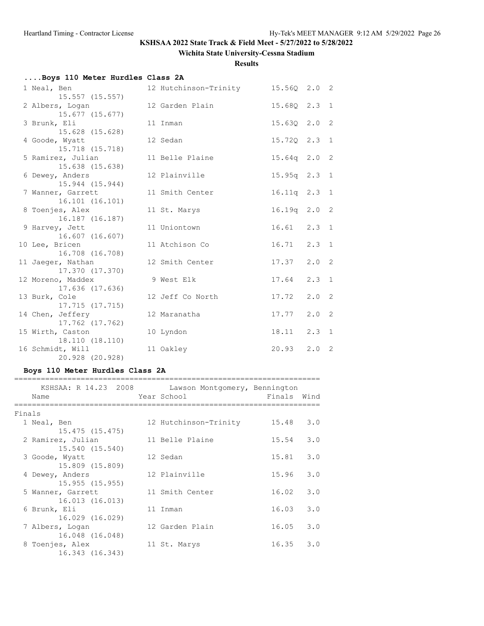**Wichita State University-Cessna Stadium**

**Results**

| Boys 110 Meter Hurdles Class 2A      |                       |                  |               |  |
|--------------------------------------|-----------------------|------------------|---------------|--|
| 1 Neal, Ben                          | 12 Hutchinson-Trinity | 15.560 2.0 2     |               |  |
| $15.557$ $(15.557)$                  | 12 Garden Plain       | 15.680 2.3 1     |               |  |
| 2 Albers, Logan<br>15.677 (15.677)   |                       |                  |               |  |
| 3 Brunk, Eli                         | 11 Inman              | $15.63Q$ $2.0$ 2 |               |  |
| 15.628 (15.628)                      | 12 Sedan              | 15.720 2.3 1     |               |  |
| 4 Goode, Wyatt<br>15.718 (15.718)    |                       |                  |               |  |
| 5 Ramirez, Julian                    | 11 Belle Plaine       | $15.64q$ 2.0 2   |               |  |
| 15.638 (15.638)                      |                       |                  |               |  |
| 6 Dewey, Anders                      | 12 Plainville         | 15.95q 2.3 1     |               |  |
| 15.944 (15.944)                      |                       |                  |               |  |
| 7 Wanner, Garrett                    | 11 Smith Center       | 16.11q 2.3 1     |               |  |
| 16.101 (16.101)                      |                       |                  |               |  |
| 8 Toenjes, Alex<br>16.187 (16.187)   | 11 St. Marys          | 16.19q 2.0 2     |               |  |
| 9 Harvey, Jett                       | 11 Uniontown          | $16.61$ $2.3$ 1  |               |  |
| 16.607 (16.607)                      |                       |                  |               |  |
| 10 Lee, Bricen                       | 11 Atchison Co        | 16.71            | $2.3 \quad 1$ |  |
| 16.708 (16.708)                      |                       |                  |               |  |
| 11 Jaeger, Nathan                    | 12 Smith Center       | 17.37            | $2.0 \quad 2$ |  |
| 17.370 (17.370)                      |                       |                  |               |  |
| 12 Moreno, Maddex<br>17.636 (17.636) | 9 West Elk            | 17.64            | $2.3 \quad 1$ |  |
| 13 Burk, Cole                        | 12 Jeff Co North      | 17.72            | $2.0 \t2$     |  |
| 17.715 (17.715)                      |                       |                  |               |  |
| 14 Chen, Jeffery                     | 12 Maranatha          | 17.77            | $2.0 \quad 2$ |  |
| 17.762 (17.762)                      |                       |                  |               |  |
| 15 Wirth, Caston                     | 10 Lyndon             | $18.11$ $2.3$ 1  |               |  |
| 18.110 (18.110)                      |                       |                  |               |  |
| 16 Schmidt, Will                     | 11 Oakley             | $20.93$ $2.0$ 2  |               |  |
| 20.928 (20.928)                      |                       |                  |               |  |

### **Boys 110 Meter Hurdles Class 2A**

| KSHSAA: R 14.23 2008                 | Lawson Montgomery, Bennington |        |      |
|--------------------------------------|-------------------------------|--------|------|
| Name                                 | Year School                   | Finals | Wind |
| Finals                               |                               |        |      |
| 1 Neal, Ben<br>15.475 (15.475)       | 12 Hutchinson-Trinity         | 15.48  | 3.0  |
| 2 Ramirez, Julian<br>15.540 (15.540) | 11 Belle Plaine               | 15.54  | 3.0  |
| 3 Goode, Wyatt<br>15.809 (15.809)    | 12 Sedan                      | 15.81  | 3.0  |
| 4 Dewey, Anders<br>15.955(15.955)    | 12 Plainville                 | 15.96  | 3.0  |
| 5 Wanner, Garrett<br>16.013 (16.013) | 11 Smith Center               | 16.02  | 3.0  |
| 6 Brunk, Eli<br>16.029 (16.029)      | 11 Inman                      | 16.03  | 3.0  |
| 7 Albers, Logan<br>16.048 (16.048)   | 12 Garden Plain               | 16.05  | 3.0  |
| 8 Toenjes, Alex<br>16.343 (16.343)   | 11 St. Marys                  | 16.35  | 3.0  |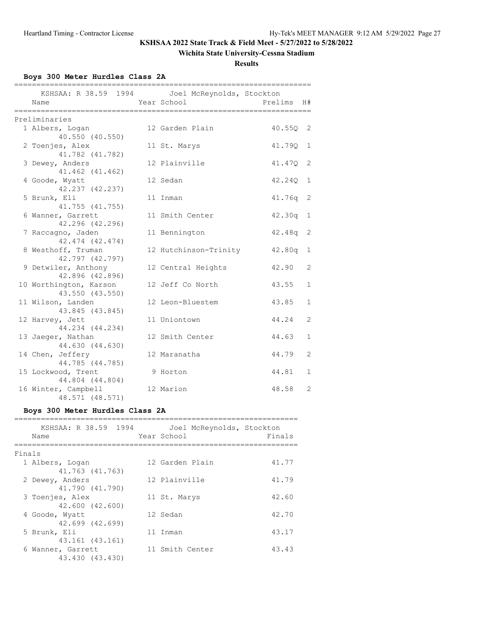### **Wichita State University-Cessna Stadium**

**Results**

**Boys 300 Meter Hurdles Class 2A**

| ================<br>=============              | ==================================== |         |                |
|------------------------------------------------|--------------------------------------|---------|----------------|
| KSHSAA: R 38.59 1994 Joel McReynolds, Stockton |                                      |         |                |
| Name                                           | Year School                          | Prelims | H#             |
|                                                |                                      |         |                |
| Preliminaries                                  |                                      |         |                |
| 1 Albers, Logan                                | 12 Garden Plain                      | 40.55Q  | $\overline{2}$ |
| 40.550 (40.550)                                |                                      |         |                |
| 2 Toenjes, Alex                                | 11 St. Marys                         | 41.79Q  | $\overline{1}$ |
| 41.782 (41.782)                                |                                      |         |                |
| 3 Dewey, Anders                                | 12 Plainville                        | 41.470  | -2             |
| 41.462 (41.462)                                |                                      |         |                |
| 4 Goode, Wyatt                                 | 12 Sedan                             | 42.240  | 1              |
| 42.237 (42.237)                                |                                      |         |                |
| 5 Brunk, Eli                                   | 11 Inman                             | 41.76q  | -2             |
| 41.755 (41.755)                                |                                      |         |                |
| 6 Wanner, Garrett                              | 11 Smith Center                      | 42.30q  | 1              |
| 42.296 (42.296)                                |                                      |         |                |
| 7 Raccagno, Jaden                              | 11 Bennington                        | 42.48q  | 2              |
| 42.474 (42.474)                                |                                      |         |                |
| 8 Westhoff, Truman                             | 12 Hutchinson-Trinity                | 42.80q  | $\mathbf{1}$   |
| 42.797 (42.797)                                |                                      |         |                |
| 9 Detwiler, Anthony                            | 12 Central Heights                   | 42.90   | $\overline{2}$ |
| 42.896 (42.896)                                |                                      |         |                |
| 10 Worthington, Karson                         | 12 Jeff Co North                     | 43.55   | $\mathbf{1}$   |
| 43.550 (43.550)                                |                                      |         |                |
| 11 Wilson, Landen                              | 12 Leon-Bluestem                     | 43.85   | $\mathbf{1}$   |
| 43.845 (43.845)                                |                                      |         |                |
| 12 Harvey, Jett                                | 11 Uniontown                         | 44.24   | 2              |
| 44.234 (44.234)                                |                                      |         |                |
| 13 Jaeger, Nathan                              | 12 Smith Center                      | 44.63   | $\mathbf{1}$   |
| 44.630 (44.630)                                |                                      |         |                |
| 14 Chen, Jeffery                               | 12 Maranatha                         | 44.79   | $\overline{2}$ |
| 44.785 (44.785)                                |                                      |         |                |
| 15 Lockwood, Trent                             | 9 Horton                             | 44.81   | $\mathbf 1$    |
| 44.804 (44.804)                                |                                      |         |                |
| 16 Winter, Campbell                            | 12 Marion                            | 48.58   | 2              |
| 48.571 (48.571)                                |                                      |         |                |

### **Boys 300 Meter Hurdles Class 2A**

| KSHSAA: R 38.59 1994<br>Name |                 |  | Year School     | Joel McReynolds, Stockton | Finals |
|------------------------------|-----------------|--|-----------------|---------------------------|--------|
| Finals                       |                 |  |                 |                           |        |
| 1 Albers, Logan              |                 |  | 12 Garden Plain |                           | 41.77  |
|                              | 41.763 (41.763) |  |                 |                           |        |
| 2 Dewey, Anders              | 41.790 (41.790) |  | 12 Plainville   |                           | 41.79  |
| 3 Toenjes, Alex              |                 |  | 11 St. Marys    |                           | 42.60  |
|                              | 42,600 (42,600) |  |                 |                           |        |
| 4 Goode, Wyatt               |                 |  | 12 Sedan        |                           | 42.70  |
|                              | 42.699 (42.699) |  |                 |                           |        |
| 5 Brunk, Eli                 |                 |  | 11 Inman        |                           | 43.17  |
|                              | 43.161 (43.161) |  |                 |                           |        |
| 6 Wanner, Garrett            |                 |  | 11 Smith Center |                           | 43.43  |
|                              | 43.430 (43.430) |  |                 |                           |        |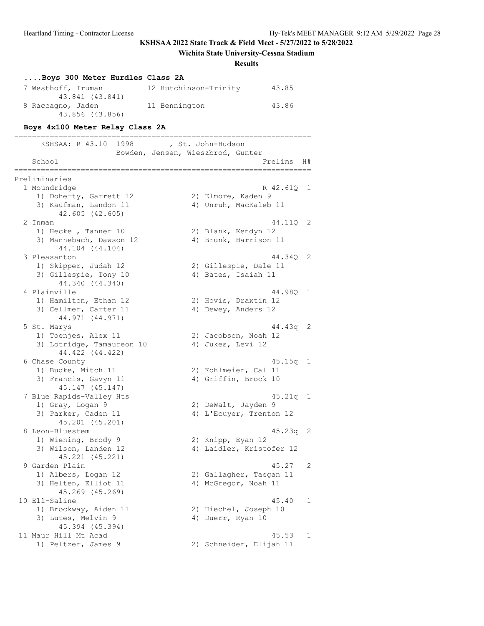# **Wichita State University-Cessna Stadium**

### **Results**

| Boys 300 Meter Hurdles Class 2A              |                                   |                |
|----------------------------------------------|-----------------------------------|----------------|
| 7 Westhoff, Truman                           | 43.85<br>12 Hutchinson-Trinity    |                |
| 43.841 (43.841)<br>8 Raccagno, Jaden         | 11 Bennington<br>43.86            |                |
| 43.856 (43.856)                              |                                   |                |
| Boys 4x100 Meter Relay Class 2A              |                                   |                |
| KSHSAA: R 43.10 1998                         | , St. John-Hudson                 |                |
|                                              | Bowden, Jensen, Wieszbrod, Gunter |                |
| School                                       | Prelims                           | H#             |
| Preliminaries                                | ============                      |                |
| 1 Moundridge                                 | R 42.61Q                          | $\overline{1}$ |
| 1) Doherty, Garrett 12                       | 2) Elmore, Kaden 9                |                |
| 3) Kaufman, Landon 11<br>42.605 (42.605)     | 4) Unruh, MacKaleb 11             |                |
| 2 Inman                                      | 44.11Q                            | $\overline{2}$ |
| 1) Heckel, Tanner 10                         | 2) Blank, Kendyn 12               |                |
| 3) Mannebach, Dawson 12<br>44.104 (44.104)   | 4) Brunk, Harrison 11             |                |
| 3 Pleasanton                                 | 44.340                            | -2             |
| 1) Skipper, Judah 12                         | 2) Gillespie, Dale 11             |                |
| 3) Gillespie, Tony 10<br>44.340 (44.340)     | 4) Bates, Isaiah 11               |                |
| 4 Plainville                                 | 44.980 1                          |                |
| 1) Hamilton, Ethan 12                        | 2) Hovis, Draxtin 12              |                |
| 3) Cellmer, Carter 11                        | 4) Dewey, Anders 12               |                |
| 44.971 (44.971)                              |                                   |                |
| 5 St. Marys                                  | 44.43q 2                          |                |
| 1) Toenjes, Alex 11                          | 2) Jacobson, Noah 12              |                |
| 3) Lotridge, Tamaureon 10<br>44.422 (44.422) | 4) Jukes, Levi 12                 |                |
| 6 Chase County                               | $45.15q$ 1                        |                |
| 1) Budke, Mitch 11                           | 2) Kohlmeier, Cal 11              |                |
| 3) Francis, Gavyn 11                         | 4) Griffin, Brock 10              |                |
| 45.147 (45.147)                              |                                   |                |
| 7 Blue Rapids-Valley Hts                     | $45.21q$ 1                        |                |
| 1) Gray, Logan 9                             | 2) DeWalt, Jayden 9               |                |
| 3) Parker, Caden 11                          | 4) L'Ecuyer, Trenton 12           |                |
| 45.201 (45.201)                              |                                   | $\overline{2}$ |
| 8 Leon-Bluestem<br>1) Wiening, Brody 9       | 45.23q<br>2) Knipp, Eyan 12       |                |
| 3) Wilson, Landen 12                         | 4) Laidler, Kristofer 12          |                |
| 45.221 (45.221)                              |                                   |                |
| 9 Garden Plain                               | 45.27                             | 2              |
| 1) Albers, Logan 12                          | 2) Gallagher, Taegan 11           |                |
| 3) Helten, Elliot 11                         | 4) McGregor, Noah 11              |                |
| 45.269 (45.269)                              |                                   |                |
| 10 Ell-Saline                                | 45.40                             | 1              |
| 1) Brockway, Aiden 11                        | 2) Hiechel, Joseph 10             |                |
| 3) Lutes, Melvin 9<br>45.394 (45.394)        | 4) Duerr, Ryan 10                 |                |
| 11 Maur Hill Mt Acad                         | 45.53                             | 1              |
| 1) Peltzer, James 9                          | 2) Schneider, Elijah 11           |                |
|                                              |                                   |                |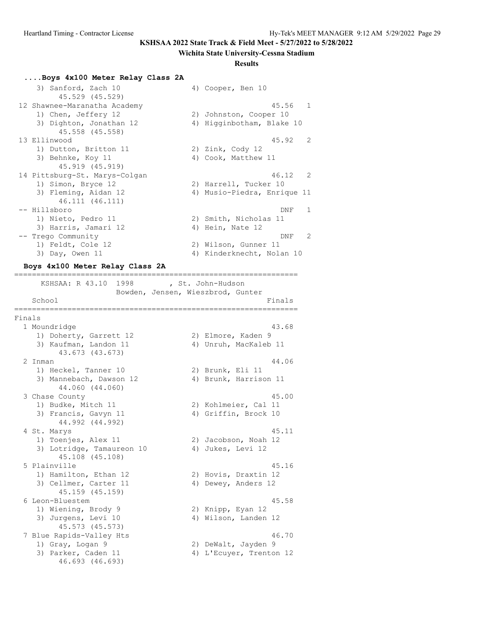#### **Wichita State University-Cessna Stadium**

#### **Results**

#### **....Boys 4x100 Meter Relay Class 2A**

| 3) Sanford, Zach 10           | 4) Cooper, Ben 10           |
|-------------------------------|-----------------------------|
| 45.529 (45.529)               |                             |
| 12 Shawnee-Maranatha Academy  | 45.56 1                     |
| 1) Chen, Jeffery 12           | 2) Johnston, Cooper 10      |
| 3) Dighton, Jonathan 12       | 4) Higginbotham, Blake 10   |
| 45.558 (45.558)               |                             |
| 13 Ellinwood                  | 45.92<br>2                  |
| 1) Dutton, Britton 11         | 2) Zink, Cody 12            |
| 3) Behnke, Koy 11             | 4) Cook, Matthew 11         |
| 45.919 (45.919)               |                             |
| 14 Pittsburg-St. Marys-Colgan | 46.12<br>$\overline{2}$     |
| 1) Simon, Bryce 12            | 2) Harrell, Tucker 10       |
| 3) Fleming, Aidan 12          | 4) Musio-Piedra, Enrique 11 |
| 46.111 (46.111)               |                             |
| -- Hillsboro                  | 1<br>DNF                    |
| 1) Nieto, Pedro 11            | 2) Smith, Nicholas 11       |
| 3) Harris, Jamari 12          | 4) Hein, Nate 12            |
| -- Trego Community            | $\mathcal{P}$<br>DNF        |
| 1) Feldt, Cole 12             | 2) Wilson, Gunner 11        |
| 3) Day, Owen 11               | 4) Kinderknecht, Nolan 10   |

#### **Boys 4x100 Meter Relay Class 2A**

================================================================ KSHSAA: R 43.10 1998 , St. John-Hudson Bowden, Jensen, Wieszbrod, Gunter School Finals ================================================================ Finals 1 Moundridge 43.68 1) Doherty, Garrett 12 2) Elmore, Kaden 9 3) Kaufman, Landon 11 4) Unruh, MacKaleb 11 43.673 (43.673) 2 Inman 44.06 1) Heckel, Tanner 10 2) Brunk, Eli 11 3) Mannebach, Dawson 12 (4) Brunk, Harrison 11 44.060 (44.060) 3 Chase County 45.00 1) Budke, Mitch 11 2) Kohlmeier, Cal 11 3) Francis, Gavyn 11 (4) Griffin, Brock 10 44.992 (44.992) 4 St. Marys 45.11 1) Toenjes, Alex 11 2) Jacobson, Noah 12 3) Lotridge, Tamaureon 10 (4) Jukes, Levi 12 45.108 (45.108) 5 Plainville 45.16 1) Hamilton, Ethan 12 2) Hovis, Draxtin 12 3) Cellmer, Carter 11 (4) Dewey, Anders 12 45.159 (45.159) 6 Leon-Bluestem 45.58 1) Wiening, Brody 9 3) Wiening, Brody 9 (2) Knipp, Eyan 12<br>3) Jurgens, Levi 10 (4) Wilson, Landen 12 45.573 (45.573) 7 Blue Rapids-Valley Hts 46.70 1) Gray, Logan 9 2) DeWalt, Jayden 9 3) Parker, Caden 11 4) L'Ecuyer, Trenton 12 46.693 (46.693)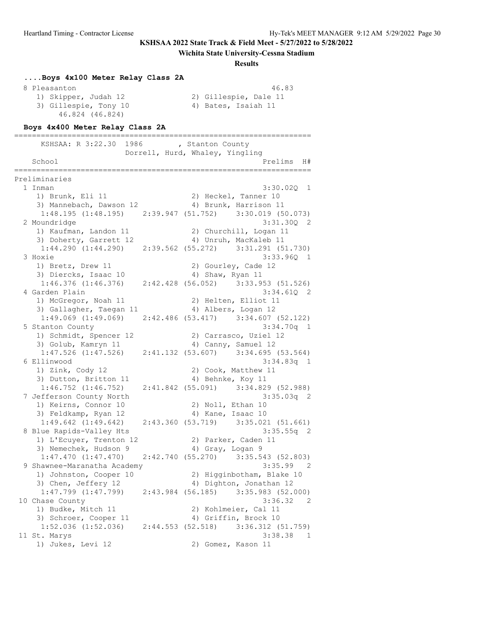#### **Wichita State University-Cessna Stadium**

#### **Results**

# **....Boys 4x100 Meter Relay Class 2A** 8 Pleasanton 46.83 1) Skipper, Judah 12 2) Gillespie, Dale 11 3) Gillespie, Tony 10 (4) Bates, Isaiah 11 46.824 (46.824) **Boys 4x400 Meter Relay Class 2A**

===================================================================

-------------------<br>KSHSAA: R 3:22.30 1986 , Stanton County Dorrell, Hurd, Whaley, Yingling School Prelims H# =================================================================== Preliminaries 1 Inman 3:30.02Q 1 1) Brunk, Eli 11 2) Heckel, Tanner 10 3) Mannebach, Dawson 12 4) Brunk, Harrison 11 1:48.195 (1:48.195) 2:39.947 (51.752) 3:30.019 (50.073) 2 Moundridge 3:31.30Q 2 1) Kaufman, Landon 11 2) Churchill, Logan 11 3) Doherty, Garrett 12 4) Unruh, MacKaleb 11 1:44.290 (1:44.290) 2:39.562 (55.272) 3:31.291 (51.730) 3 Hoxie 3:33.96Q 1 1) Bretz, Drew 11 2) Gourley, Cade 12 3) Diercks, Isaac 10 4) Shaw, Ryan 11 1:46.376 (1:46.376) 2:42.428 (56.052) 3:33.953 (51.526) 4 Garden Plain 3:34.61Q 2 1) McGregor, Noah 11 2) Helten, Elliot 11 3) Gallagher, Taegan 11 4) Albers, Logan 12 1:49.069 (1:49.069) 2:42.486 (53.417) 3:34.607 (52.122) 5 Stanton County 3:34.70q 1 1) Schmidt, Spencer 12 2) Carrasco, Uziel 12 3) Golub, Kamryn 11 11 12 4) Canny, Samuel 12 1:47.526 (1:47.526) 2:41.132 (53.607) 3:34.695 (53.564) 6 Ellinwood 3:34.83q 1 1) Zink, Cody 12 2) Cook, Matthew 11 3) Dutton, Britton 11 4) Behnke, Koy 11  $1:46.752$  (1:46.752)  $2:41.842$  (55.091)  $3:34.829$  (52.988) 7 Jefferson County North 3:35.03q 2 1) Keirns, Connor 10 2) Noll, Ethan 10 3) Feldkamp, Ryan 12  $\hskip1cm$  4) Kane, Isaac 10 1:49.642 (1:49.642) 2:43.360 (53.719) 3:35.021 (51.661) 8 Blue Rapids-Valley Hts 3:35.55q 2 1) L'Ecuyer, Trenton 12 2) Parker, Caden 11 3) Nemechek, Hudson 9 (4) Gray, Logan 9 1:47.470 (1:47.470) 2:42.740 (55.270) 3:35.543 (52.803) 9 Shawnee-Maranatha Academy 3:35.99 2 1) Johnston, Cooper 10 2) Higginbotham, Blake 10 3) Chen, Jeffery 12 4) Dighton, Jonathan 12 1:47.799 (1:47.799) 2:43.984 (56.185) 3:35.983 (52.000) 10 Chase County 2:36.32 2 1) Budke, Mitch 11 2) Kohlmeier, Cal 11 3) Schroer, Cooper 11 4) Griffin, Brock 10 1:52.036 (1:52.036) 2:44.553 (52.518) 3:36.312 (51.759) 11 St. Marys 3:38.38 1 1) Jukes, Levi 12 2) Gomez, Kason 11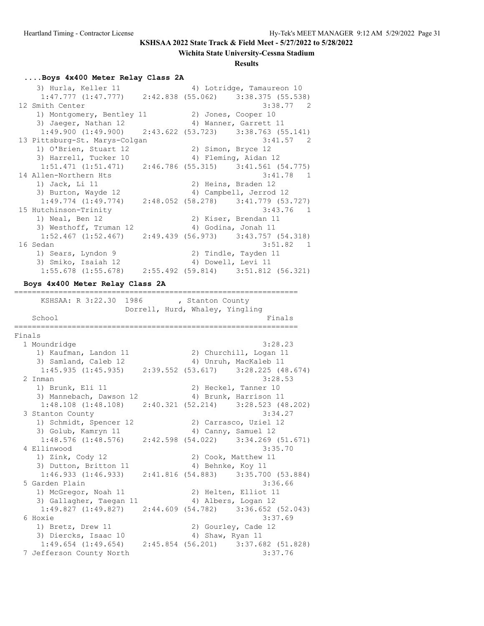#### **Wichita State University-Cessna Stadium**

#### **Results**

#### **....Boys 4x400 Meter Relay Class 2A**

 3) Hurla, Keller 11 4) Lotridge, Tamaureon 10 1:47.777 (1:47.777) 2:42.838 (55.062) 3:38.375 (55.538) 12 Smith Center 3:38.77 2 1) Montgomery, Bentley 11 2) Jones, Cooper 10 3) Jaeger, Nathan 12 4) Wanner, Garrett 11 1:49.900 (1:49.900) 2:43.622 (53.723) 3:38.763 (55.141) 13 Pittsburg-St. Marys-Colgan 3:41.57 2 1) O'Brien, Stuart 12 (2) Simon, Bryce 12 3) Harrell, Tucker 10 (4) Fleming, Aidan 12 1:51.471 (1:51.471) 2:46.786 (55.315) 3:41.561 (54.775) 14 Allen-Northern Hts 3:41.78 1<br>1) Jack, Li 11 2) Heins, Braden 12 1) Jack, Li 11 2) Heins, Braden 12 3) Burton, Wayde 12 4) Campbell, Jerrod 12 1:49.774 (1:49.774) 2:48.052 (58.278) 3:41.779 (53.727) 15 Hutchinson-Trinity 3:43.76 1 1) Neal, Ben 12 2) Kiser, Brendan 11 3) Westhoff, Truman 12 4) Godina, Jonah 11 1:52.467 (1:52.467) 2:49.439 (56.973) 3:43.757 (54.318) 16 Sedan 3:51.82 1 1) Sears, Lyndon 9 120 20 Tindle, Tayden 11 3) Smiko, Isaiah 12 (4) Dowell, Levi 11 1:55.678 (1:55.678) 2:55.492 (59.814) 3:51.812 (56.321) **Boys 4x400 Meter Relay Class 2A** ================================================================

KSHSAA: R 3:22.30 1986 , Stanton County Dorrell, Hurd, Whaley, Yingling School Finals ================================================================ Finals 1 Moundridge 3:28.23 1) Kaufman, Landon 11 2) Churchill, Logan 11 3) Samland, Caleb 12 4) Unruh, MacKaleb 11 1:45.935 (1:45.935) 2:39.552 (53.617) 3:28.225 (48.674) 2 Inman 3:28.53 1) Brunk, Eli 11 2) Heckel, Tanner 10 3) Mannebach, Dawson 12 (4) Brunk, Harrison 11 1:48.108 (1:48.108) 2:40.321 (52.214) 3:28.523 (48.202) 3 Stanton County 3:34.27 1) Schmidt, Spencer 12 2) Carrasco, Uziel 12 3) Golub, Kamryn 11 11 12 4) Canny, Samuel 12 1:48.576 (1:48.576) 2:42.598 (54.022) 3:34.269 (51.671) 4 Ellinwood 3:35.70 1) Zink, Cody 12 2) Cook, Matthew 11 3) Dutton, Britton 11 4) Behnke, Koy 11 1:46.933 (1:46.933) 2:41.816 (54.883) 3:35.700 (53.884) 5 Garden Plain 3:36.66 1) McGregor, Noah 11 2) Helten, Elliot 11 3) Gallagher, Taegan 11 (4) Albers, Logan 12 1:49.827 (1:49.827) 2:44.609 (54.782) 3:36.652 (52.043) 6 Hoxie 3:37.69 1) Bretz, Drew 11 2) Gourley, Cade 12<br>3) Diercks, Isaac 10 4) Shaw, Ryan 11 3) Diercks, Isaac 10 1:49.654 (1:49.654) 2:45.854 (56.201) 3:37.682 (51.828) 7 Jefferson County North 3:37.76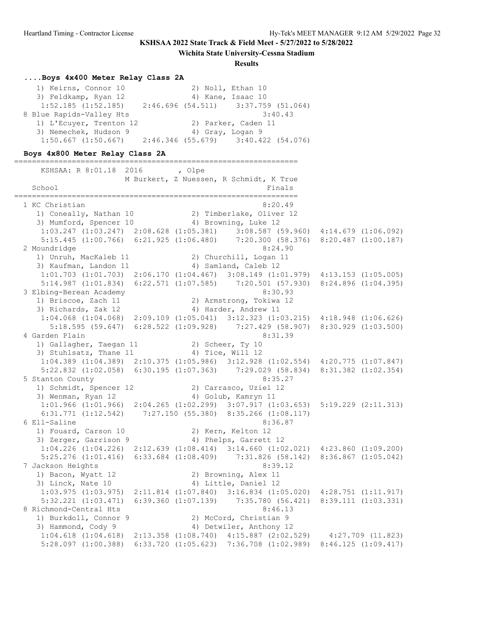**Wichita State University-Cessna Stadium**

#### **Results**

# **....Boys 4x400 Meter Relay Class 2A**

| 1) Keirns, Connor 10     | 2) Noll, Ethan 10 |                                       |
|--------------------------|-------------------|---------------------------------------|
| 3) Feldkamp, Ryan 12     |                   | 4) Kane, Isaac 10                     |
| $1:52.185$ $(1:52.185)$  |                   | $2:46.696$ (54.511) 3:37.759 (51.064) |
| 8 Blue Rapids-Valley Hts |                   | 3:40.43                               |
| 1) L'Ecuyer, Trenton 12  |                   | 2) Parker, Caden 11                   |
| 3) Nemechek, Hudson 9    | 4) Gray, Logan 9  |                                       |
| $1:50.667$ $(1:50.667)$  |                   | $2:46.346$ (55.679) 3:40.422 (54.076) |

# **Boys 4x800 Meter Relay Class 2A**

| KSHSAA: R 8:01.18 2016                                                                                                                                                           | , Olpe | M Burkert, Z Nuessen, R Schmidt, K True                                     |  |
|----------------------------------------------------------------------------------------------------------------------------------------------------------------------------------|--------|-----------------------------------------------------------------------------|--|
| School<br>===============================                                                                                                                                        |        | Finals<br>===========                                                       |  |
| 1 KC Christian                                                                                                                                                                   |        | 8:20.49                                                                     |  |
| 1) Coneally, Nathan 10 2) Timberlake, Oliver 12                                                                                                                                  |        |                                                                             |  |
| 3) Mumford, Spencer 10 (4) Browning, Luke 12                                                                                                                                     |        |                                                                             |  |
| 1:03.247 (1:03.247) 2:08.628 (1:05.381) 3:08.587 (59.960) 4:14.679 (1:06.092)                                                                                                    |        |                                                                             |  |
| 5:15.445 (1:00.766) 6:21.925 (1:06.480) 7:20.300 (58.376) 8:20.487 (1:00.187)                                                                                                    |        |                                                                             |  |
| 2 Moundridge                                                                                                                                                                     |        | 8:24.90                                                                     |  |
| 1) Unruh, MacKaleb 11<br>3) Kaufman, Landon 11                                                                                                                                   |        | 2) Churchill, Logan 11                                                      |  |
|                                                                                                                                                                                  |        | 4) Samland, Caleb 12                                                        |  |
| $1:01.703$ $(1:01.703)$ $2:06.170$ $(1:04.467)$ $3:08.149$ $(1:01.979)$ $4:13.153$ $(1:05.005)$<br>5:14.987 (1:01.834) 6:22.571 (1:07.585) 7:20.501 (57.930) 8:24.896 (1:04.395) |        |                                                                             |  |
| 3 Elbing-Berean Academy                                                                                                                                                          |        | 8:30.93                                                                     |  |
| 1) Briscoe, Zach 11                                                                                                                                                              |        | 2) Armstrong, Tokiwa 12                                                     |  |
| 3) Richards, Zak 12                                                                                                                                                              |        | 4) Harder, Andrew 11                                                        |  |
| $1:04.068$ $(1:04.068)$ $2:09.109$ $(1:05.041)$ $3:12.323$ $(1:03.215)$ $4:18.948$ $(1:06.626)$                                                                                  |        |                                                                             |  |
|                                                                                                                                                                                  |        | 5:18.595 (59.647) 6:28.522 (1:09.928) 7:27.429 (58.907) 8:30.929 (1:03.500) |  |
| 4 Garden Plain                                                                                                                                                                   |        | 8:31.39                                                                     |  |
| 1) Gallagher, Taegan 11 (2) Scheer, Ty 10                                                                                                                                        |        |                                                                             |  |
| 3) Stuhlsatz, Thane 11 4) Tice, Will 12                                                                                                                                          |        |                                                                             |  |
| 1:04.389 (1:04.389) 2:10.375 (1:05.986) 3:12.928 (1:02.554) 4:20.775 (1:07.847)                                                                                                  |        |                                                                             |  |
| 5:22.832 (1:02.058) 6:30.195 (1:07.363) 7:29.029 (58.834) 8:31.382 (1:02.354)                                                                                                    |        |                                                                             |  |
| 5 Stanton County                                                                                                                                                                 |        | 8:35.27                                                                     |  |
| 1) Schmidt, Spencer 12                                                                                                                                                           |        | 2) Carrasco, Uziel 12                                                       |  |
| 3) Wenman, Ryan 12                                                                                                                                                               |        | 4) Golub, Kamryn 11                                                         |  |
| 1:01.966 (1:01.966) 2:04.265 (1:02.299) 3:07.917 (1:03.653) 5:19.229 (2:11.313)                                                                                                  |        |                                                                             |  |
| 6:31.771 (1:12.542) 7:27.150 (55.380) 8:35.266 (1:08.117)                                                                                                                        |        |                                                                             |  |
| 6 Ell-Saline                                                                                                                                                                     |        | 8:36.87                                                                     |  |
| 1) Fouard, Carson 10 (2) Kern, Kelton 12                                                                                                                                         |        |                                                                             |  |
| 3) Zerger, Garrison 9                                                                                                                                                            |        | 4) Phelps, Garrett 12                                                       |  |
| $1:04.226$ $(1:04.226)$ $2:12.639$ $(1:08.414)$ $3:14.660$ $(1:02.021)$ $4:23.860$ $(1:09.200)$<br>$5:25.276$ $(1:01.416)$                                                       |        | 6:33.684 (1:08.409) 7:31.826 (58.142) 8:36.867 (1:05.042)                   |  |
| 7 Jackson Heights                                                                                                                                                                |        | 8:39.12                                                                     |  |
|                                                                                                                                                                                  |        | 2) Browning, Alex 11                                                        |  |
| 1) Bacon, Wyatt 12<br>3) Linck, Nate 10                                                                                                                                          |        | 4) Little, Daniel 12                                                        |  |
| $1:03.975$ $(1:03.975)$ $2:11.814$ $(1:07.840)$ $3:16.834$ $(1:05.020)$ $4:28.751$ $(1:11.917)$                                                                                  |        |                                                                             |  |
| 5:32.221 (1:03.471) 6:39.360 (1:07.139) 7:35.780 (56.421) 8:39.111 (1:03.331)                                                                                                    |        |                                                                             |  |
| 8 Richmond-Central Hts                                                                                                                                                           |        | 8:46.13                                                                     |  |
|                                                                                                                                                                                  |        | 2) McCord, Christian 9                                                      |  |
| 1) Burkdoll, Connor 9<br>3) Hammond, Cody 9                                                                                                                                      |        | 4) Detwiler, Anthony 12                                                     |  |
| 1:04.618 (1:04.618) 2:13.358 (1:08.740) 4:15.887 (2:02.529) 4:27.709 (11.823)                                                                                                    |        |                                                                             |  |
| $5:28.097$ $(1:00.388)$                                                                                                                                                          |        | 6:33.720 $(1:05.623)$ 7:36.708 $(1:02.989)$ 8:46.125 $(1:09.417)$           |  |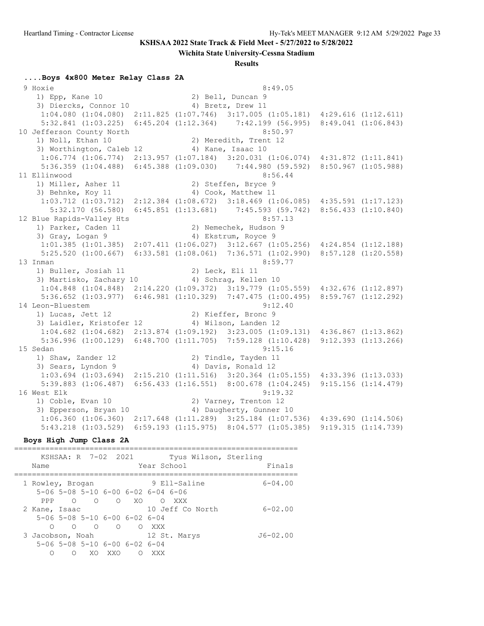**Wichita State University-Cessna Stadium**

#### **Results**

#### **....Boys 4x800 Meter Relay Class 2A**

 9 Hoxie 8:49.05 1) Epp, Kane 10 2) Bell, Duncan 9 3) Diercks, Connor 10 4) Bretz, Drew 11 1:04.080 (1:04.080) 2:11.825 (1:07.746) 3:17.005 (1:05.181) 4:29.616 (1:12.611) 5:32.841 (1:03.225) 6:45.204 (1:12.364) 7:42.199 (56.995) 8:49.041 (1:06.843) 10 Jefferson County North 8:50.97 1) Noll, Ethan 10 2) Meredith, Trent 12 3) Worthington, Caleb 12 (4) Kane, Isaac 10 1:06.774 (1:06.774) 2:13.957 (1:07.184) 3:20.031 (1:06.074) 4:31.872 (1:11.841) 5:36.359 (1:04.488) 6:45.388 (1:09.030) 7:44.980 (59.592) 8:50.967 (1:05.988) 11 Ellinwood 8:56.44 1) Miller, Asher 11 2) Steffen, Bryce 9 3) Behnke, Koy 11 4) Cook, Matthew 11 1:03.712 (1:03.712) 2:12.384 (1:08.672) 3:18.469 (1:06.085) 4:35.591 (1:17.123) 5:32.170 (56.580) 6:45.851 (1:13.681) 7:45.593 (59.742) 8:56.433 (1:10.840) 12 Blue Rapids-Valley Hts 8:57.13<br>
1) Parker, Caden 11 2) Nemechek, Hudson 9<br>
3) Gray, Logan 9 4) Ekstrum, Royce 9 1) Parker, Caden 11 2) Nemechek, Hudson 9 3) Gray, Logan 9 (4) Ekstrum, Royce 9 1:01.385 (1:01.385) 2:07.411 (1:06.027) 3:12.667 (1:05.256) 4:24.854 (1:12.188) 5:25.520 (1:00.667) 6:33.581 (1:08.061) 7:36.571 (1:02.990) 8:57.128 (1:20.558) 13 Inman 8:59.77 1) Buller, Josiah 11 2) Leck, Eli 11 3) Martisko, Zachary 10 (4) Schrag, Kellen 10 1:04.848 (1:04.848) 2:14.220 (1:09.372) 3:19.779 (1:05.559) 4:32.676 (1:12.897) 5:36.652 (1:03.977) 6:46.981 (1:10.329) 7:47.475 (1:00.495) 8:59.767 (1:12.292) 14 Leon-Bluestem 9:12.40<br>1) Lucas, Jett 12 2) Kieffer, Bronc 9 1) Lucas, Jett 12 2) Kieffer, Bronc 9 3) Laidler, Kristofer 12 4) Wilson, Landen 12 1:04.682 (1:04.682) 2:13.874 (1:09.192) 3:23.005 (1:09.131) 4:36.867 (1:13.862) 5:36.996 (1:00.129) 6:48.700 (1:11.705) 7:59.128 (1:10.428) 9:12.393 (1:13.266) 15 Sedan 9:15.16 1) Shaw, Zander 12 2) Tindle, Tayden 11 3) Sears, Lyndon 9 (4) Davis, Ronald 12 1:03.694 (1:03.694) 2:15.210 (1:11.516) 3:20.364 (1:05.155) 4:33.396 (1:13.033) 5:39.883 (1:06.487) 6:56.433 (1:16.551) 8:00.678 (1:04.245) 9:15.156 (1:14.479) 16 West Elk 9:19.32 1) Coble, Evan 10 2) Varney, Trenton 12 3) Epperson, Bryan 10 4) Daugherty, Gunner 10 1:06.360 (1:06.360) 2:17.648 (1:11.289) 3:25.184 (1:07.536) 4:39.690 (1:14.506) 5:43.218 (1:03.529) 6:59.193 (1:15.975) 8:04.577 (1:05.385) 9:19.315 (1:14.739)

#### **Boys High Jump Class 2A**

================================================================

| Name                  | KSHSAA: R 7-02 2021                                               |                     | Tyus Wilson, Sterling<br>Year School | Finals       |
|-----------------------|-------------------------------------------------------------------|---------------------|--------------------------------------|--------------|
| 1 Rowley, Brogan      | $5-06$ $5-08$ $5-10$ $6-00$ $6-02$ $6-04$ $6-06$                  |                     | 9 Ell-Saline                         | $6 - 04.00$  |
| PPP<br>2 Kane, Isaac  | $\Omega$<br>$\Omega$<br>$5-06$ $5-08$ $5-10$ $6-00$ $6-02$ $6-04$ | O XO                | $\circ$<br>XXX<br>10 Jeff Co North   | $6 - 02.00$  |
| ∩<br>3 Jacobson, Noah | $\overline{O}$<br>$\bigcirc$                                      | $\Omega$<br>$\circ$ | XXX X<br>12 St. Marys                | $J6 - 02.00$ |
| ∩                     | $5-06$ 5-08 5-10 6-00 6-02 6-04<br>XO .<br>XXO<br>∩               | ∩                   | XXX                                  |              |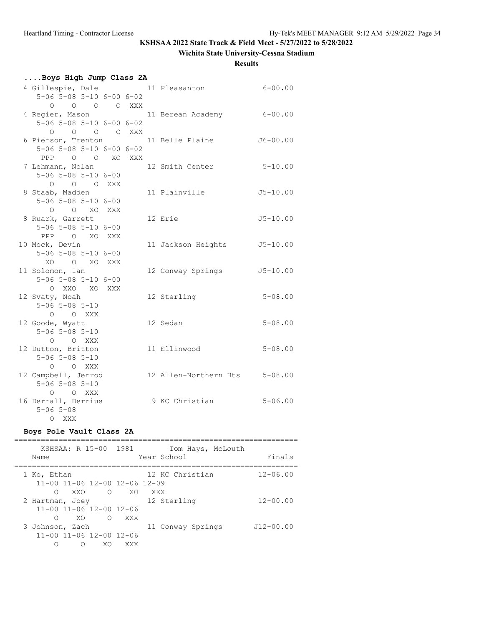# **Wichita State University-Cessna Stadium**

#### **Results**

| Boys High Jump Class 2A                      |  |  |  |                               |              |  |
|----------------------------------------------|--|--|--|-------------------------------|--------------|--|
| 4 Gillespie, Dale 11 Pleasanton              |  |  |  |                               | $6 - 00.00$  |  |
| $5-06$ $5-08$ $5-10$ $6-00$ $6-02$           |  |  |  |                               |              |  |
| 0 0 0 0 XXX                                  |  |  |  |                               |              |  |
| 4 Regier, Mason                              |  |  |  | 11 Berean Academy 6-00.00     |              |  |
| 5-06 5-08 5-10 6-00 6-02                     |  |  |  |                               |              |  |
| 0 0 0 0 XXX                                  |  |  |  |                               |              |  |
| 6 Pierson, Trenton 11 Belle Plaine           |  |  |  |                               | $J6 - 00.00$ |  |
| $5 - 06$ $5 - 08$ $5 - 10$ $6 - 00$ $6 - 02$ |  |  |  |                               |              |  |
| PPP 0 0 XO XXX                               |  |  |  |                               |              |  |
| 7 Lehmann, Nolan                             |  |  |  | 12 Smith Center               | $5 - 10.00$  |  |
| $5 - 06$ $5 - 08$ $5 - 10$ $6 - 00$          |  |  |  |                               |              |  |
| O O O XXX                                    |  |  |  |                               |              |  |
| 8 Staab, Madden                              |  |  |  | 11 Plainville                 | $J5 - 10.00$ |  |
| $5 - 06$ $5 - 08$ $5 - 10$ $6 - 00$          |  |  |  |                               |              |  |
| O O XO XXX                                   |  |  |  |                               |              |  |
| 8 Ruark, Garrett                             |  |  |  | 12 Erie                       | $J5 - 10.00$ |  |
| $5 - 06$ $5 - 08$ $5 - 10$ $6 - 00$          |  |  |  |                               |              |  |
| PPP O XO XXX                                 |  |  |  |                               |              |  |
| 10 Mock, Devin                               |  |  |  | 11 Jackson Heights J5-10.00   |              |  |
| $5 - 06$ $5 - 08$ $5 - 10$ $6 - 00$          |  |  |  |                               |              |  |
| XO O XO XXX                                  |  |  |  |                               |              |  |
| 11 Solomon, Ian                              |  |  |  | 12 Conway Springs             | $J5 - 10.00$ |  |
| 5-06 5-08 5-10 6-00                          |  |  |  |                               |              |  |
| O XXO XO XXX                                 |  |  |  |                               |              |  |
| 12 Svaty, Noah                               |  |  |  | 12 Sterling                   | $5 - 08.00$  |  |
| $5 - 06$ $5 - 08$ $5 - 10$                   |  |  |  |                               |              |  |
| O O XXX                                      |  |  |  |                               |              |  |
| 12 Goode, Wyatt                              |  |  |  | 12 Sedan                      | $5 - 08.00$  |  |
| $5 - 06$ $5 - 08$ $5 - 10$                   |  |  |  |                               |              |  |
| O O XXX                                      |  |  |  |                               |              |  |
| 12 Dutton, Britton                           |  |  |  | 11 Ellinwood                  | $5 - 08.00$  |  |
| $5 - 06$ $5 - 08$ $5 - 10$                   |  |  |  |                               |              |  |
| O O XXX                                      |  |  |  |                               |              |  |
| 12 Campbell, Jerrod                          |  |  |  | 12 Allen-Northern Hts 5-08.00 |              |  |
| $5 - 06$ $5 - 08$ $5 - 10$                   |  |  |  |                               |              |  |
| $O$ $O$ XXX                                  |  |  |  |                               |              |  |
| 16 Derrall, Derrius                          |  |  |  | 9 KC Christian                | $5 - 06.00$  |  |
| $5 - 06$ $5 - 08$                            |  |  |  |                               |              |  |
| O XXX                                        |  |  |  |                               |              |  |

# **Boys Pole Vault Class 2A**

| KSHSAA: R 15-00 1981<br>Name                                                | Tom Hays, McLouth<br>Year School        | Finals        |
|-----------------------------------------------------------------------------|-----------------------------------------|---------------|
| 1 Ko, Ethan<br>11-00 11-06 12-00 12-06 12-09<br>XXO<br>∩                    | 12 KC Christian<br>$\Omega$ XO<br>XXX X | $12 - 06.00$  |
| 2 Hartman, Joey<br>$11 - 00$ $11 - 06$ $12 - 00$ $12 - 06$<br>XO.<br>∩      | 12 Sterling<br>O XXX                    | $12 - 00.00$  |
| 3 Johnson, Zach<br>$11 - 00$ $11 - 06$ $12 - 00$ $12 - 06$<br>∩<br>XO.<br>∩ | 11 Conway Springs<br>XXX                | $J12 - 00.00$ |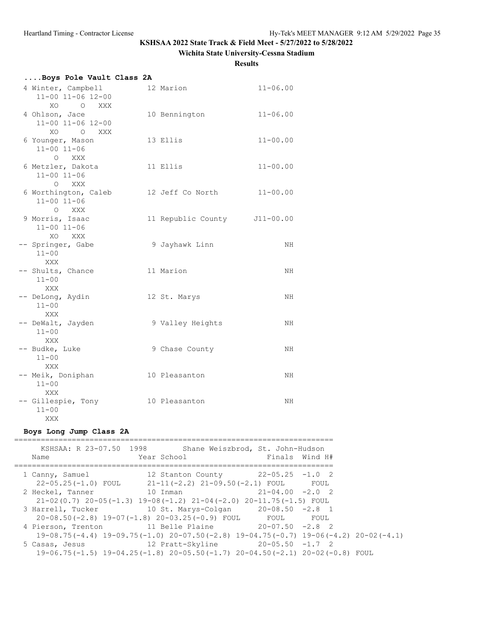#### **Wichita State University-Cessna Stadium**

**Results**

| Boys Pole Vault Class 2A                                        |                              |              |
|-----------------------------------------------------------------|------------------------------|--------------|
| 4 Winter, Campbell<br>$11 - 00$ $11 - 06$ $12 - 00$<br>XO O XXX | 12 Marion                    | $11 - 06.00$ |
| 4 Ohlson, Jace<br>11-00 11-06 12-00<br>XO O XXX                 | 10 Bennington                | $11 - 06.00$ |
| 6 Younger, Mason<br>$11 - 00$ $11 - 06$<br>O XXX                | 13 Ellis                     | $11 - 00.00$ |
| 6 Metzler, Dakota<br>$11 - 00$ $11 - 06$<br>O XXX               | 11 Ellis                     | $11 - 00.00$ |
| 6 Worthington, Caleb<br>$11 - 00$ $11 - 06$<br>O XXX            | 12 Jeff Co North             | $11 - 00.00$ |
| 9 Morris, Isaac<br>$11 - 00$ $11 - 06$<br>XO XXX                | 11 Republic County J11-00.00 |              |
| -- Springer, Gabe<br>$11 - 00$<br>XXX                           | 9 Jayhawk Linn               | NH           |
| -- Shults, Chance<br>$11 - 00$<br>XXX                           | 11 Marion                    | NH           |
| -- DeLong, Aydin<br>$11 - 00$<br>XXX                            | 12 St. Marys                 | NH           |
| -- DeWalt, Jayden<br>$11 - 00$<br>XXX                           | 9 Valley Heights             | NH           |
| -- Budke, Luke<br>$11 - 00$<br><b>XXX</b>                       | 9 Chase County               | NH           |
| -- Meik, Doniphan<br>$11 - 00$<br>XXX                           | 10 Pleasanton                | NH           |
| -- Gillespie, Tony<br>$11 - 00$<br>XXX                          | 10 Pleasanton                | NH           |

#### **Boys Long Jump Class 2A**

======================================================================== KSHSAA: R 23-07.50 1998 Shane Weiszbrod, St. John-Hudson Name  $Year School$  Finals Wind H# ======================================================================== 1 Canny, Samuel 12 Stanton County 22-05.25 -1.0 2 22-05.25(-1.0) FOUL 21-11(-2.2) 21-09.50(-2.1) FOUL FOUL 2 Heckel, Tanner 10 Inman 21-04.00 -2.0 2 21-02(0.7) 20-05(-1.3) 19-08(-1.2) 21-04(-2.0) 20-11.75(-1.5) FOUL 3 Harrell, Tucker 10 St. Marys-Colgan 20-08.50 -2.8 1 20-08.50(-2.8) 19-07(-1.8) 20-03.25(-0.9) FOUL FOUL FOUL 4 Pierson, Trenton 11 Belle Plaine 20-07.50 -2.8 2 19-08.75(-4.4) 19-09.75(-1.0) 20-07.50(-2.8) 19-04.75(-0.7) 19-06(-4.2) 20-02(-4.1) 5 Casas, Jesus 12 Pratt-Skyline 20-05.50 -1.7 2 19-06.75(-1.5) 19-04.25(-1.8) 20-05.50(-1.7) 20-04.50(-2.1) 20-02(-0.8) FOUL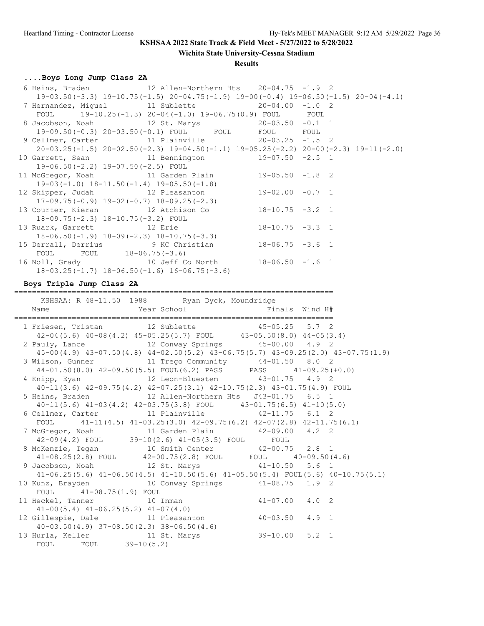**Wichita State University-Cessna Stadium**

#### **Results**

# **....Boys Long Jump Class 2A**

| 6 Heins, Braden $12$ Allen-Northern Hts $20-04.75$ -1.9 2 |                                                                                                 |  |  |
|-----------------------------------------------------------|-------------------------------------------------------------------------------------------------|--|--|
|                                                           | $19-03.50(-3.3)$ $19-10.75(-1.5)$ $20-04.75(-1.9)$ $19-00(-0.4)$ $19-06.50(-1.5)$ $20-04(-4.1)$ |  |  |
| 7 Hernandez, Miguel 11 Sublette 20-04.00 -1.0 2           |                                                                                                 |  |  |
| FOUL $19-10.25(-1.3) 20-04(-1.0) 19-06.75(0.9)$ FOUL FOUL |                                                                                                 |  |  |
| 8 Jacobson, Noah 12 St. Marys 20-03.50 -0.1 1             |                                                                                                 |  |  |
|                                                           | 19-09.50(-0.3) 20-03.50(-0.1) FOUL FOUL FOUL FOUL FOUL                                          |  |  |
| 9 Cellmer, Carter 11 Plainville 20-03.25 -1.5 2           |                                                                                                 |  |  |
|                                                           | $20-03.25(-1.5)$ $20-02.50(-2.3)$ $19-04.50(-1.1)$ $19-05.25(-2.2)$ $20-00(-2.3)$ $19-11(-2.0)$ |  |  |
| 10 Garrett, Sean $11$ Bennington $19-07.50$ -2.5 1        |                                                                                                 |  |  |
| $19-06.50(-2.2)$ 19-07.50(-2.5) FOUL                      |                                                                                                 |  |  |
| 11 McGregor, Noah 11 Garden Plain 19-05.50 -1.8 2         |                                                                                                 |  |  |
| $19-03(-1.0)$ $18-11.50(-1.4)$ $19-05.50(-1.8)$           |                                                                                                 |  |  |
| 12 Skipper, Judah 12 Pleasanton 19-02.00 -0.7 1           |                                                                                                 |  |  |
| $17-09.75(-0.9)$ $19-02(-0.7)$ $18-09.25(-2.3)$           |                                                                                                 |  |  |
| 13 Courter, Kieran 12 Atchison Co 18-10.75 -3.2 1         |                                                                                                 |  |  |
| $18-09.75(-2.3)$ $18-10.75(-3.2)$ FOUL                    |                                                                                                 |  |  |
| 13 Ruark, Garrett 12 Erie 18-10.75 -3.3 1                 |                                                                                                 |  |  |
| $18-06.50(-1.9)$ $18-09(-2.3)$ $18-10.75(-3.3)$           |                                                                                                 |  |  |
| 15 Derrall, Derrius 9 KC Christian 18-06.75 -3.6 1        |                                                                                                 |  |  |
| FOUL FOUL 18-06.75(-3.6)                                  |                                                                                                 |  |  |
| 16 Noll, Grady 10 Jeff Co North 18-06.50 -1.6 1           |                                                                                                 |  |  |
| $18-03.25(-1.7)$ $18-06.50(-1.6)$ $16-06.75(-3.6)$        |                                                                                                 |  |  |

#### **Boys Triple Jump Class 2A**

========================================================================

| KSHSAA: R 48-11.50 1988 Ryan Dyck, Moundridge                                                                  |  |  |  |
|----------------------------------------------------------------------------------------------------------------|--|--|--|
|                                                                                                                |  |  |  |
|                                                                                                                |  |  |  |
| 1 Friesen, Tristan 12 Sublette 15-05.25 5.7 2                                                                  |  |  |  |
| $42-04(5.6)$ $40-08(4.2)$ $45-05.25(5.7)$ FOUL $43-05.50(8.0)$ $44-05(3.4)$                                    |  |  |  |
| 2 Pauly, Lance $12$ Conway Springs $45-00.00$ $4.9$ 2                                                          |  |  |  |
| 45-00 (4.9) 43-07.50 (4.8) 44-02.50 (5.2) 43-06.75 (5.7) 43-09.25 (2.0) 43-07.75 (1.9)                         |  |  |  |
| 3 Wilson, Gunner 11 Trego Community 44-01.50 8.0 2                                                             |  |  |  |
| $44-01.50(8.0)$ $42-09.50(5.5)$ FOUL $(6.2)$ PASS PASS $41-09.25(+0.0)$                                        |  |  |  |
| 4 Knipp, Eyan 12 Leon-Bluestem 43-01.75 4.9 2                                                                  |  |  |  |
| 40-11(3.6) 42-09.75(4.2) 42-07.25(3.1) 42-10.75(2.3) 43-01.75(4.9) FOUL                                        |  |  |  |
| 5 Heins, Braden 12 Allen-Northern Hts J43-01.75 6.5 1                                                          |  |  |  |
| $40-11(5.6)$ $41-03(4.2)$ $42-03.75(3.8)$ FOUL $43-01.75(6.5)$ $41-10(5.0)$                                    |  |  |  |
| 6 Cellmer, Carter 11 Plainville 42-11.75 6.1 2                                                                 |  |  |  |
| FOUL $41-11(4.5)$ $41-03.25(3.0)$ $42-09.75(6.2)$ $42-07(2.8)$ $42-11.75(6.1)$                                 |  |  |  |
| 7 McGregor, Noah 11 Garden Plain 42-09.00 4.2 2                                                                |  |  |  |
| $42-09(4.2)$ FOUL 39-10(2.6) $41-05(3.5)$ FOUL FOUL                                                            |  |  |  |
| 8 McKenzie, Tegan 10 Smith Center 42-00.75 2.8 1                                                               |  |  |  |
| $41-08.25(2.8)$ FOUL $42-00.75(2.8)$ FOUL FOUL $40-09.50(4.6)$                                                 |  |  |  |
| 9 Jacobson, Noah 12 St. Marys 41-10.50 5.6 1                                                                   |  |  |  |
| $41-06.25(5.6)$ $41-06.50(4.5)$ $41-10.50(5.6)$ $41-05.50(5.4)$ FOUL(5.6) $40-10.75(5.1)$                      |  |  |  |
| 10 Kunz, Brayden 10 Conway Springs 41-08.75 1.9 2                                                              |  |  |  |
| FOUL 41-08.75(1.9) FOUL                                                                                        |  |  |  |
| $11 \text{ Heckel, Tanner}$ $41-08.75(1.9) \text{ FOUL}$ $10 \text{ Inman}$ $41-07.00 \text{ } 4.0 \text{ } 2$ |  |  |  |
| $41-00(5.4)$ $41-06.25(5.2)$ $41-07(4.0)$<br>12 Gillespie, Dale<br>11 Pleasanton $40-03.50$ $4.9$ 1            |  |  |  |
|                                                                                                                |  |  |  |
| $40-03.50(4.9)$ $37-08.50(2.3)$ $38-06.50(4.6)$                                                                |  |  |  |
| 13 Hurla, Keller 11 St. Marys 39-10.00 5.2 1                                                                   |  |  |  |
| FOUL FOUL 39-10(5.2)                                                                                           |  |  |  |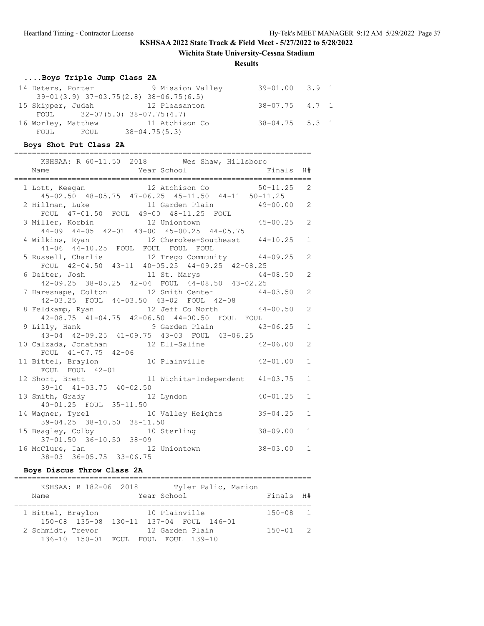**Wichita State University-Cessna Stadium**

#### **Results**

# **....Boys Triple Jump Class 2A**

| 14 Deters, Porter |                    | 9 Mission Valley                             | $39 - 01.00$ $3.9$ 1 |  |
|-------------------|--------------------|----------------------------------------------|----------------------|--|
|                   |                    | $39-01(3.9)$ $37-03.75(2.8)$ $38-06.75(6.5)$ |                      |  |
|                   |                    | 15 Skipper, Judah 12 Pleasanton              | $38 - 07.75$ 4.7 1   |  |
|                   |                    | FOUL $32-07(5.0) 38-07.75(4.7)$              |                      |  |
|                   | 16 Worley, Matthew | 11 Atchison Co                               | $38 - 04.75$ 5.3 1   |  |
| FOUL              | FOUL               | $38 - 04.75(5.3)$                            |                      |  |

### **Boys Shot Put Class 2A**

===================================================================

| KSHSAA: R 60-11.50 2018 Wes Shaw, Hillsboro                                              |              |
|------------------------------------------------------------------------------------------|--------------|
| Year School Finals H#<br>Name                                                            |              |
|                                                                                          |              |
| 1 Lott, Keegan 12 Atchison Co 50-11.25 2                                                 |              |
| 45-02.50 48-05.75 47-06.25 45-11.50 44-11 50-11.25                                       |              |
| 2 Hillman, Luke 11 Garden Plain 49-00.00 2                                               |              |
| FOUL 47-01.50 FOUL 49-00 48-11.25 FOUL                                                   |              |
|                                                                                          |              |
| 3 Miller, Korbin 12 Uniontown 45-00.25 2<br>44-09 44-05 42-01 43-00 45-00.25 44-05.75    |              |
|                                                                                          | $\mathbf{1}$ |
| 4 Wilkins, Ryan 12 Cherokee-Southeast 44-10.25<br>41-06 44-10.25 FOUL FOUL FOUL FOUL     |              |
| 5 Russell, Charlie 12 Trego Community 44-09.25                                           | 2            |
| FOUL 42-04.50 43-11 40-05.25 44-09.25 42-08.25                                           |              |
|                                                                                          |              |
| 6 Deiter, Josh 11 St. Marys 44-08.50 2<br>42-09.25 38-05.25 42-04 FOUL 44-08.50 43-02.25 |              |
| 7 Haresnape, Colton 12 Smith Center 44-03.50 2                                           |              |
| 42-03.25 FOUL 44-03.50 43-02 FOUL 42-08                                                  |              |
| 8 Feldkamp, Ryan and 12 Jeff Co North 44-00.50                                           | 2            |
| 42-08.75 41-04.75 42-06.50 44-00.50 FOUL FOUL                                            |              |
|                                                                                          | $\mathbf{1}$ |
| 9 Lilly, Hank 9 Garden Plain 43-06.25<br>43-04 42-09.25 41-09.75 43-03 FOUL 43-06.25     |              |
| 10 Calzada, Jonathan 12 Ell-Saline 42-06.00                                              | 2            |
| FOUL 41-07.75 42-06                                                                      |              |
| 11 Bittel, Braylon 10 Plainville 42-01.00                                                | $\mathbf{1}$ |
|                                                                                          |              |
| FOUL FOUL 42-01<br>12 Short, Brett 11 Wichita-Independent 41-03.75                       | $\mathbf{1}$ |
| 39-10 41-03.75 40-02.50                                                                  |              |
| $40 - 01.25$<br>12 Lyndon<br>13 Smith, Grady                                             | $\mathbf{1}$ |
| 40-01.25 FOUL 35-11.50                                                                   |              |
| 14 Wagner, Tyrel 10 Valley Heights 39-04.25                                              | $\mathbf{1}$ |
| 39-04.25 38-10.50 38-11.50                                                               |              |
| 15 Beagley, Colby<br>37-01.50 36-10.50 38-09<br>16 M.C. -                                | $\mathbf{1}$ |
|                                                                                          |              |
| 16 McClure, Ian 12 Uniontown 38-03.00                                                    | $\mathbf{1}$ |
| $38 - 03$ $36 - 05.75$ $33 - 06.75$                                                      |              |

### **Boys Discus Throw Class 2A**

| KSHSAA: R 182-06 2018<br>Name | Tyler Palic, Marion<br>Year School                                                                | Finals H#    |  |
|-------------------------------|---------------------------------------------------------------------------------------------------|--------------|--|
| 1 Bittel, Braylon             | 10 Plainville                                                                                     | $150 - 08$ 1 |  |
| 2 Schmidt, Trevor             | 150-08 135-08 130-11 137-04 FOUL 146-01<br>12 Garden Plain<br>136-10 150-01 FOUL FOUL FOUL 139-10 | $150 - 01$ 2 |  |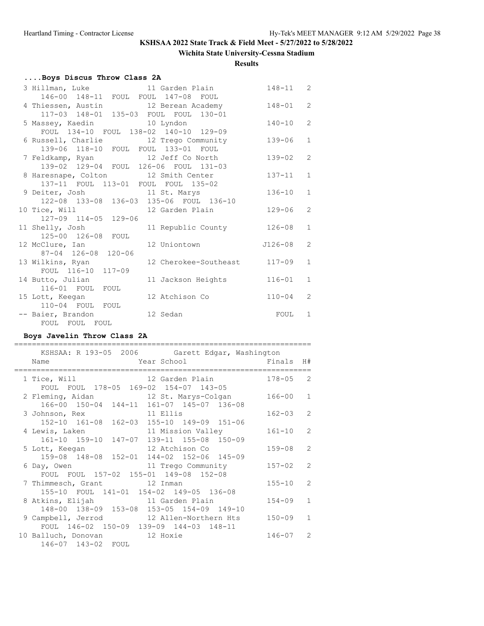### **Wichita State University-Cessna Stadium**

**Results**

# **....Boys Discus Throw Class 2A**

| 3 Hillman, Luke                                                        | 11 Garden Plain       | $148 - 11$  | 2              |
|------------------------------------------------------------------------|-----------------------|-------------|----------------|
| 146-00 148-11 FOUL FOUL 147-08 FOUL                                    |                       |             |                |
| 4 Thiessen, Austin 12 Berean Academy                                   |                       | 148-01      | $\overline{2}$ |
| 117-03 148-01 135-03 FOUL FOUL 130-01                                  |                       |             |                |
| 5 Massey, Kaedin 10 Lyndon                                             |                       | $140 - 10$  | $\overline{2}$ |
| FOUL 134-10 FOUL 138-02 140-10 129-09                                  |                       |             |                |
| 6 Russell, Charlie 12 Trego Community                                  |                       | $139 - 06$  | $\mathbf{1}$   |
| 139-06 118-10 FOUL FOUL 133-01 FOUL                                    |                       |             |                |
| 7 Feldkamp, Ryan 12 Jeff Co North                                      |                       | $139 - 02$  | $\mathcal{L}$  |
| 139-02 129-04 FOUL 126-06 FOUL 131-03                                  |                       |             |                |
| 8 Haresnape, Colton 12 Smith Center                                    |                       | $137 - 11$  | $\mathbf{1}$   |
| 137-11 FOUL 113-01 FOUL FOUL 135-02                                    |                       |             |                |
| 9 Deiter, Josh 11 St. Marys<br>122-08 133-08 136-03 135-06 FOUL 136-10 |                       | $136 - 10$  | $\mathbf{1}$   |
|                                                                        |                       |             |                |
| 10 Tice, Will                                                          | 12 Garden Plain       | $129 - 06$  | $\overline{2}$ |
| 127-09 114-05 129-06                                                   |                       |             |                |
| 11 Shelly, Josh                                                        | 11 Republic County    | $126 - 08$  | $\mathbf{1}$   |
| 125-00 126-08 FOUL                                                     |                       |             |                |
| 12 McClure, Ian                                                        | 12 Uniontown          | $J126 - 08$ | $\overline{2}$ |
| 87-04 126-08 120-06                                                    |                       |             |                |
| 13 Wilkins, Ryan                                                       | 12 Cherokee-Southeast | $117 - 09$  | $\mathbf{1}$   |
| FOUL 116-10<br>$117 - 09$                                              |                       |             |                |
| 14 Butto, Julian                                                       | 11 Jackson Heights    | $116 - 01$  | $\mathbf{1}$   |
| 116-01 FOUL FOUL                                                       |                       |             |                |
| 15 Lott, Keegan                                                        | 12 Atchison Co        | $110 - 04$  | $\mathcal{L}$  |
| 110-04 FOUL FOUL                                                       |                       |             |                |
| -- Baier, Brandon                                                      | 12 Sedan              | FOUL        | $\mathbf{1}$   |
| FOUL FOUL FOUL                                                         |                       |             |                |

### **Boys Javelin Throw Class 2A**

| KSHSAA: R 193-05 2006 Garett Edgar, Washington                                                |            |               |
|-----------------------------------------------------------------------------------------------|------------|---------------|
| External Year School<br>Einals H#<br>Name                                                     |            |               |
| 12 Garden Plain<br>1 Tice, Will<br>FOUL FOUL 178-05 169-02 154-07 143-05                      | $178 - 05$ | $\mathcal{L}$ |
| 2 Fleming, Aidan 12 St. Marys-Colgan<br>166-00 150-04 144-11 161-07 145-07 136-08             | 166-00     | $\mathbf{1}$  |
| 3 Johnson, Rex 11 Ellis<br>152-10 161-08 162-03 155-10 149-09 151-06                          | $162 - 03$ | $\mathcal{L}$ |
| 4 Lewis, Laken<br>11 Mission Valley                                                           | $161 - 10$ | $\mathcal{L}$ |
| 161-10 159-10 147-07 139-11 155-08 150-09<br>5 Lott, Keegan 12 Atchison Co                    | $159 - 08$ | $\mathcal{P}$ |
| 159-08 148-08 152-01 144-02 152-06 145-09<br>11 Trego Community<br>6 Day, Owen                | $157 - 02$ | $\mathcal{P}$ |
| FOUL FOUL 157-02 155-01 149-08 152-08<br>7 Thimmesch, Grant 12 Inman                          | $155 - 10$ | $\mathcal{L}$ |
| 155-10 FOUL 141-01 154-02 149-05 136-08<br>8 Atkins, Elijah 11 Garden Plain                   | $154 - 09$ | $\mathbf{1}$  |
| 148-00 138-09 153-08 153-05 154-09 149-10<br>9 Campbell, Jerrod 12 Allen-Northern Hts         | $150 - 09$ | $\mathbf{1}$  |
| FOUL 146-02 150-09 139-09 144-03 148-11<br>10 Balluch, Donovan 12 Hoxie<br>146-07 143-02 FOUL | $146 - 07$ | $\mathcal{P}$ |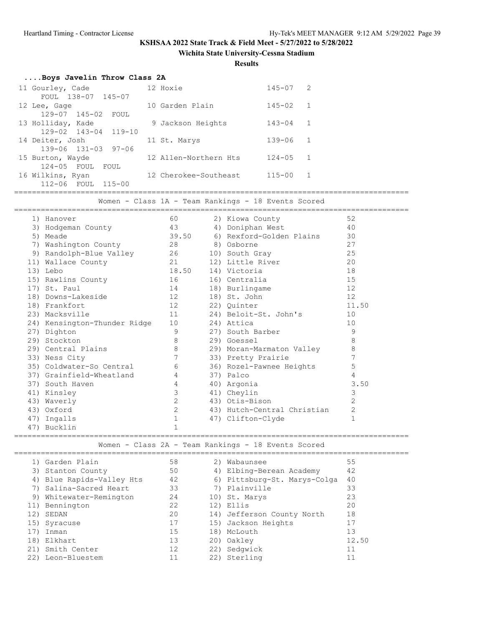**Wichita State University-Cessna Stadium**

**Results**

| Boys Javelin Throw Class 2A      |                       |              |  |
|----------------------------------|-----------------------|--------------|--|
| 11 Gourley, Cade                 | 12 Hoxie              | $145 - 07$ 2 |  |
| FOUL 138-07 145-07               |                       |              |  |
| 12 Lee, Gage                     | 10 Garden Plain       | $145 - 02$ 1 |  |
| 129-07 145-02 FOUL               |                       |              |  |
| 13 Holliday, Kade                | 9 Jackson Heights     | $143 - 04$ 1 |  |
| $129 - 02$ $143 - 04$ $119 - 10$ |                       |              |  |
| 14 Deiter, Josh                  | 11 St. Marys          | $139 - 06$ 1 |  |
| $139 - 06$ $131 - 03$ $97 - 06$  |                       |              |  |
| 15 Burton, Wayde                 | 12 Allen-Northern Hts | $124 - 05$ 1 |  |
| 124-05 FOUL FOUL                 |                       |              |  |
| 16 Wilkins, Ryan                 | 12 Cherokee-Southeast | $115 - 00$ 1 |  |
| 112-06 FOUL 115-00               |                       |              |  |
|                                  |                       |              |  |

Women - Class 1A - Team Rankings - 18 Events Scored

| 1) Hanover                   | 60             | 2) Kiowa County             | 52             |
|------------------------------|----------------|-----------------------------|----------------|
| 3) Hodgeman County           | 43             | 4) Doniphan West            | 40             |
| 5) Meade                     | 39.50          | 6) Rexford-Golden Plains    | 30             |
| 7) Washington County         | 28 8) Osborne  |                             | 27             |
| 9) Randolph-Blue Valley 26   |                | 10) South Gray              | 25             |
| 11) Wallace County<br>21     |                | 12) Little River            | 20             |
| 13) Lebo                     | 18.50          | 14) Victoria                | 18             |
| 15) Rawlins County           | 16             | 16) Centralia               | 15             |
| 17) St. Paul                 | 14 \,          | 18) Burlingame              | 12             |
| 18) Downs-Lakeside           | 12             | 18) St. John                | 12             |
| 18) Frankfort                | 12             | 22) Quinter                 | 11.50          |
| 23) Macksville               | 11 7           | 24) Beloit-St. John's       | 10             |
| 24) Kensington-Thunder Ridge | 10             | 24) Attica                  | 10             |
| 27) Dighton                  | 9              | 27) South Barber            | 9              |
| 29) Stockton                 | $\,8\,$        | 29) Goessel                 | 8              |
| 29) Central Plains           | $\,8\,$        | 29) Moran-Marmaton Valley   | 8              |
| 33) Ness City                | $\overline{7}$ | 33) Pretty Prairie          | 7              |
| 35) Coldwater-So Central     | 6              | 36) Rozel-Pawnee Heights    | 5              |
| 37) Grainfield-Wheatland     | $\overline{4}$ | 37) Palco                   | 4              |
| 37) South Haven              | $\overline{4}$ | 40) Argonia                 | 3.50           |
| 41) Kinsley                  | 3              | 41) Cheylin                 | 3              |
| 43) Waverly                  | 2              | 43) Otis-Bison              | $\overline{2}$ |
| 43) Oxford                   | 2              | 43) Hutch-Central Christian | $\mathbf{2}$   |
| 47) Ingalls                  | $\mathbf{1}$   | 47) Clifton-Clyde           | $\mathbf{1}$   |
| 47) Bucklin                  | $\mathbf 1$    |                             |                |

========================================================================================= Women - Class 2A - Team Rankings - 18 Events Scored

|     | 1) Garden Plain           | 58 | 2) Wabaunsee                 | 55    |
|-----|---------------------------|----|------------------------------|-------|
|     | 3) Stanton County         | 50 | 4) Elbing-Berean Academy     | 42    |
|     | 4) Blue Rapids-Valley Hts | 42 | 6) Pittsburg-St. Marys-Colga | 40    |
|     | 7) Salina-Sacred Heart    | 33 | 7) Plainville                | 33    |
|     | 9) Whitewater-Remington   | 24 | 10) St. Marys                | 23    |
|     | 11) Bennington            | 22 | 12) Ellis                    | 20    |
| 12) | SEDAN                     | 20 | 14) Jefferson County North   | 18    |
|     | 15) Syracuse              | 17 | 15) Jackson Heights          | 17    |
|     | Inman                     | 15 | 18) McLouth                  | 13    |
| 18) | Elkhart                   | 13 | 20) Oakley                   | 12.50 |
|     | 21) Smith Center          | 12 | 22) Sedqwick                 | 11    |
| 22) | Leon-Bluestem             |    | 22) Sterling                 | 11    |
|     |                           |    |                              |       |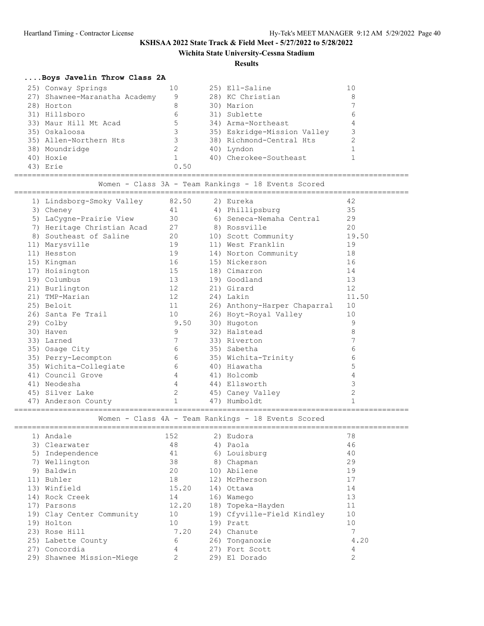### **Wichita State University-Cessna Stadium**

#### **Results**

### **....Boys Javelin Throw Class 2A**

| 25) Conway Springs            |      | 25) Ell-Saline              |   |
|-------------------------------|------|-----------------------------|---|
| 27) Shawnee-Maranatha Academy | 9    | 28) KC Christian            |   |
| 28) Horton                    | 8    | 30) Marion                  |   |
| 31) Hillsboro                 | 6    | 31) Sublette                | 6 |
| 33) Maur Hill Mt Acad         | 5    | 34) Arma-Northeast          |   |
| 35) Oskaloosa                 | 3.   | 35) Eskridge-Mission Valley |   |
| 35) Allen-Northern Hts        |      | 38) Richmond-Central Hts    |   |
| 38) Moundridge                |      | 40) Lyndon                  |   |
| 40) Hoxie                     |      | 40) Cherokee-Southeast      |   |
| 43) Erie                      | 0.50 |                             |   |

========================================================================================= Women - Class 3A - Team Rankings - 18 Events Scored

| 1) Lindsborg-Smoky Valley  | 82.50       | 2) Eureka                    | 42             |
|----------------------------|-------------|------------------------------|----------------|
| 3) Cheney                  | 41          | 4) Phillipsburg              | 35             |
| 5) LaCygne-Prairie View    | 30          | 6) Seneca-Nemaha Central     | 29             |
| 7) Heritage Christian Acad | 27          | 8) Rossville                 | 20             |
| 8) Southeast of Saline     | 20          | 10) Scott Community          | 19.50          |
| 11) Marysville             | 19          | 11) West Franklin            | 19             |
| 11) Hesston                | 19          | 14) Norton Community         | 18             |
| 15) Kingman                | 16          | 15) Nickerson                | 16             |
| 17) Hoisington             | 15          | 18) Cimarron                 | 14             |
| 19) Columbus               | 13          | 19) Goodland                 | 13             |
| 21) Burlington             | 12          | 21) Girard                   | 12             |
| 21) TMP-Marian             | 12          | 24) Lakin                    | 11.50          |
| 25) Beloit                 | 11          | 26) Anthony-Harper Chaparral | 10             |
| 26) Santa Fe Trail         | 10          | 26) Hoyt-Royal Valley        | 10             |
| 29) Colby                  | 9.50        | 30) Hugoton                  | 9              |
| 30) Haven                  | 9           | 32) Halstead                 | 8              |
| 33) Larned                 |             | 33) Riverton                 | 7              |
| 35) Osage City             | 6           | 35) Sabetha                  | 6              |
| 35) Perry-Lecompton        | 6           | 35) Wichita-Trinity          | 6              |
| 35) Wichita-Collegiate     | 6           | 40) Hiawatha                 | 5              |
| 41) Council Grove          | 4           | 41) Holcomb                  | 4              |
| 41) Neodesha               | 4           | 44) Ellsworth                | 3              |
| 45) Silver Lake            | 2           | 45) Caney Valley             | $\overline{c}$ |
| 47) Anderson County        | $\mathbf 1$ | 47) Humboldt                 |                |
|                            |             |                              |                |

Women - Class 4A - Team Rankings - 18 Events Scored

| 1)  | Andale                    | 152   |     | 2) Eudora                  | 78             |
|-----|---------------------------|-------|-----|----------------------------|----------------|
|     | 3) Clearwater             | 48    |     | 4) Paola                   | 46             |
| 5)  | Independence              | 41    |     | 6) Louisburg               | 40             |
| 7)  | Wellington                | 38    |     | 8) Chapman                 | 29             |
| 9)  | Baldwin                   | 20    |     | 10) Abilene                | 19             |
| 11) | Buhler                    | 18    |     | 12) McPherson              | 17             |
| 13) | Winfield                  | 15.20 |     | 14) Ottawa                 | 14             |
|     | 14) Rock Creek            | 14    |     | 16) Wamego                 | 13             |
| 17) | Parsons                   | 12.20 |     | 18) Topeka-Hayden          | 11             |
|     | 19) Clay Center Community | 10    |     | 19) Cfyville-Field Kindley | 10             |
| 19) | Holton                    | 10    |     | 19) Pratt                  | 10             |
|     | 23) Rose Hill             | 7.20  |     | 24) Chanute                |                |
|     | 25) Labette County        | 6     |     | 26) Tonganoxie             | 4.20           |
| 27) | Concordia                 | 4     |     | 27) Fort Scott             | 4              |
| 29) | Shawnee Mission-Miege     | 2     | 29) | El Dorado                  | $\overline{2}$ |
|     |                           |       |     |                            |                |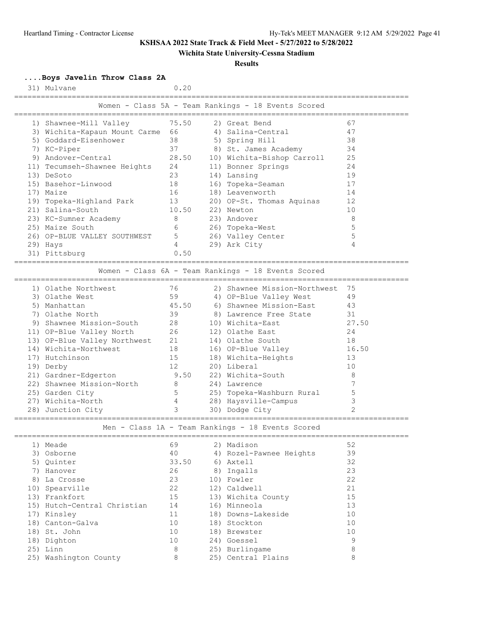### **Wichita State University-Cessna Stadium**

#### **Results**

**....Boys Javelin Throw Class 2A**

| 31) Mulvane                                                 |          | 0.20  |                                                                     |                               |
|-------------------------------------------------------------|----------|-------|---------------------------------------------------------------------|-------------------------------|
|                                                             |          |       | Women - Class 5A - Team Rankings - 18 Events Scored                 |                               |
| 1) Shawnee-Mill Valley                                      |          | 75.50 | 2) Great Bend                                                       | 67                            |
| 3) Wichita-Kapaun Mount Carme                               | 66       |       | 4) Salina-Central                                                   | 47                            |
| 5) Goddard-Eisenhower                                       | 38       |       | 5) Spring Hill                                                      | 38                            |
| 7) KC-Piper                                                 | 37       |       | 8) St. James Academy                                                | 34                            |
| 9) Andover-Central                                          |          | 28.50 | 10) Wichita-Bishop Carroll                                          | 25                            |
| 11) Tecumseh-Shawnee Heights                                | 24       |       | 11) Bonner Springs                                                  | 24                            |
| 13) DeSoto                                                  | 23       |       | 14) Lansing                                                         | 19                            |
| 15) Basehor-Linwood                                         | 18       |       | 16) Topeka-Seaman                                                   | 17                            |
| 17) Maize                                                   | 16       |       | 18) Leavenworth                                                     | 14                            |
| 19) Topeka-Highland Park                                    | 13       |       | 20) OP-St. Thomas Aquinas                                           | 12                            |
| 21) Salina-South                                            |          | 10.50 | 22) Newton                                                          | 10                            |
| 23) KC-Sumner Academy                                       | 8        |       | 23) Andover                                                         | 8                             |
| 25) Maize South                                             | 6        |       | 26) Topeka-West                                                     | 5                             |
| 26) OP-BLUE VALLEY SOUTHWEST                                | 5        |       | 26) Valley Center                                                   | 5                             |
| 29) Hays                                                    | 4        |       | 29) Ark City                                                        | 4                             |
| 31) Pittsburg                                               |          | 0.50  |                                                                     |                               |
|                                                             |          |       | ==========<br>Women - Class 6A - Team Rankings - 18 Events Scored   |                               |
| 1) Olathe Northwest                                         | 76       |       | 2) Shawnee Mission-Northwest                                        | 75                            |
| 3) Olathe West                                              | 59       |       | 4) OP-Blue Valley West                                              | 49                            |
| 5) Manhattan                                                |          | 45.50 | 6) Shawnee Mission-East                                             | 43                            |
| 7) Olathe North                                             | 39       |       | 8) Lawrence Free State                                              | 31                            |
| 9) Shawnee Mission-South                                    | 28       |       | 10) Wichita-East                                                    | 27.50                         |
| 11) OP-Blue Valley North                                    | 26       |       | 12) Olathe East                                                     | 24                            |
| 13) OP-Blue Valley Northwest                                | 21       |       | 14) Olathe South                                                    | 18                            |
| 14) Wichita-Northwest                                       | 18       |       | 16) OP-Blue Valley                                                  | 16.50                         |
| 17) Hutchinson                                              | 15       |       | 18) Wichita-Heights                                                 | 13                            |
| 19) Derby                                                   | 12       |       | 20) Liberal                                                         | 10                            |
| 21) Gardner-Edgerton                                        |          | 9.50  | 22) Wichita-South                                                   | 8                             |
| 22) Shawnee Mission-North                                   | 8        |       | 24) Lawrence                                                        | 7                             |
| 25) Garden City                                             | 5<br>4   |       | 25) Topeka-Washburn Rural                                           | 5                             |
| 27) Wichita-North                                           | 3        |       | 28) Haysville-Campus                                                | 3<br>$\overline{\mathcal{L}}$ |
| 28) Junction City<br>====================================== |          |       | 30) Dodge City<br>Men - Class 1A - Team Rankings - 18 Events Scored |                               |
|                                                             |          |       |                                                                     |                               |
| 1) Meade<br>3) Osborne                                      | 69<br>40 |       | 2) Madison<br>4) Rozel-Pawnee Heights                               | 52<br>39                      |
|                                                             |          |       | 6) Axtell                                                           | 32                            |
| 5) Quinter<br>7) Hanover                                    | 26       | 33.50 | 8) Ingalls                                                          | 23                            |
| 8) La Crosse                                                | 23       |       | 10) Fowler                                                          | 22                            |
| 10) Spearville                                              | 22       |       | 12) Caldwell                                                        | 21                            |
| 13) Frankfort                                               | 15       |       | 13) Wichita County                                                  | 15                            |
| 15) Hutch-Central Christian                                 | 14       |       | 16) Minneola                                                        | 13                            |
| 17) Kinsley                                                 | 11       |       | 18) Downs-Lakeside                                                  | 10                            |
|                                                             |          |       |                                                                     | 1 <sub>0</sub>                |

 18) Canton-Galva 10 18) Stockton 10 18) St. John 10 18) Brewster 10

 18) Dighton 10 24) Goessel 9 25) Linn 8 25) Burlingame 8 25) Washington County 8 25) Central Plains 8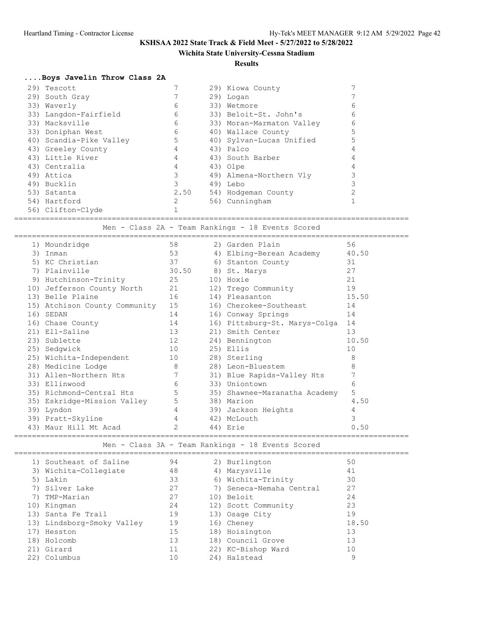### **Wichita State University-Cessna Stadium**

**Results**

### **....Boys Javelin Throw Class 2A**

|  | 29) Tescott             |      | 29) Kiowa County          |   |
|--|-------------------------|------|---------------------------|---|
|  | 29) South Gray          |      | 29) Logan                 |   |
|  | 33) Waverly             | 6    | 33) Wetmore               | 6 |
|  | 33) Langdon-Fairfield   | 6    | 33) Beloit-St. John's     | 6 |
|  | 33) Macksville          | 6    | 33) Moran-Marmaton Valley | 6 |
|  | 33) Doniphan West       | 6    | 40) Wallace County        |   |
|  | 40) Scandia-Pike Valley | 5    | 40) Sylvan-Lucas Unified  |   |
|  | 43) Greeley County      |      | 43) Palco                 |   |
|  | 43) Little River        |      | 43) South Barber          |   |
|  | 43) Centralia           |      | 43) Olpe                  |   |
|  | 49) Attica              |      | 49) Almena-Northern Vly   |   |
|  | 49) Bucklin             |      | 49) Lebo                  |   |
|  | 53) Satanta             | 2.50 | 54) Hodgeman County       |   |
|  | 54) Hartford            |      | 56) Cunningham            |   |
|  | 56) Clifton-Clyde       |      |                           |   |

=========================================================================================

Men - Class 2A - Team Rankings - 18 Events Scored

|     | 1) Moundridge                 | 58             | 2) Garden Plain               | 56    |
|-----|-------------------------------|----------------|-------------------------------|-------|
| 3)  | Inman                         | 53             | 4) Elbing-Berean Academy      | 40.50 |
| 5)  | KC Christian                  | 37             | 6) Stanton County             | 31    |
| 7)  | Plainville                    | 30.50          | 8) St. Marys                  | 27    |
| 9)  | Hutchinson-Trinity            | 25             | 10) Hoxie                     | 21    |
|     | 10) Jefferson County North    | 21             | 12) Trego Community           | 19    |
|     | 13) Belle Plaine              | 16             | 14) Pleasanton                | 15.50 |
|     | 15) Atchison County Community | 15             | 16) Cherokee-Southeast        | 14    |
| 16) | SEDAN                         | 14             | 16) Conway Springs            | 14    |
|     | 16) Chase County              | 14             | 16) Pittsburg-St. Marys-Colga | 14    |
|     | 21) Ell-Saline                | 13             | 21) Smith Center              | 13    |
|     | 23) Sublette                  | 12             | 24) Bennington                | 10.50 |
|     | 25) Sedqwick                  | 10             | 25) Ellis                     | 10    |
|     | 25) Wichita-Independent       | 10             | 28) Sterling                  | 8     |
|     | 28) Medicine Lodge            | 8              | 28) Leon-Bluestem             | 8     |
|     | 31) Allen-Northern Hts        | 7              | 31) Blue Rapids-Valley Hts    | 7     |
|     | 33) Ellinwood                 | 6              | 33) Uniontown                 | 6     |
|     | 35) Richmond-Central Hts      | 5              | 35) Shawnee-Maranatha Academy | 5     |
|     | 35) Eskridge-Mission Valley   | 5              | 38) Marion                    | 4.50  |
| 39) | Lyndon                        | $\overline{4}$ | 39) Jackson Heights           | 4     |
|     | 39) Pratt-Skyline             | 4              | 42) McLouth                   | 3     |
| 43) | Maur Hill Mt Acad             | 2              | 44) Erie                      | 0.50  |
|     |                               |                |                               |       |

Men - Class 3A - Team Rankings - 18 Events Scored

|     | 1) Southeast of Saline     | 94 | 2) Burlington            | 50    |  |
|-----|----------------------------|----|--------------------------|-------|--|
|     | 3) Wichita-Collegiate      | 48 | 4) Marysville            | 41    |  |
|     | 5) Lakin                   | 33 | 6) Wichita-Trinity       | 30    |  |
|     | 7) Silver Lake             | 27 | 7) Seneca-Nemaha Central | 27    |  |
|     | 7) TMP-Marian              | 27 | 10) Beloit               | 24    |  |
|     | 10) Kingman                | 24 | 12) Scott Community      | 23    |  |
|     | 13) Santa Fe Trail         | 19 | 13) Osage City           | 19    |  |
|     | 13) Lindsborg-Smoky Valley | 19 | 16) Cheney               | 18.50 |  |
|     | 17) Hesston                | 15 | 18) Hoisington           | 13    |  |
|     | 18) Holcomb                | 13 | 18) Council Grove        | 13    |  |
|     | 21) Girard                 | 11 | 22) KC-Bishop Ward       | 10    |  |
| 22) | Columbus                   | 10 | 24) Halstead             | 9     |  |
|     |                            |    |                          |       |  |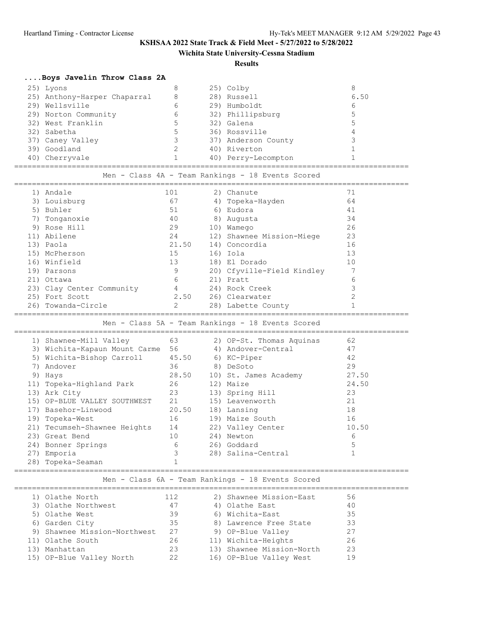**Wichita State University-Cessna Stadium**

### **Results**

# **....Boys Javelin Throw Class 2A**

|                                                   | 25) Lyons                                           | 8                        |  | 25) Colby                                            | 8              |  |  |  |  |
|---------------------------------------------------|-----------------------------------------------------|--------------------------|--|------------------------------------------------------|----------------|--|--|--|--|
|                                                   | 25) Anthony-Harper Chaparral                        | 8                        |  | 28) Russell                                          | 6.50           |  |  |  |  |
|                                                   | 29) Wellsville                                      | 6                        |  | 29) Humboldt                                         | 6              |  |  |  |  |
|                                                   | 29) Norton Community                                | 6                        |  | 32) Phillipsburg                                     | 5              |  |  |  |  |
|                                                   | 32) West Franklin                                   | 5                        |  | 32) Galena                                           | 5              |  |  |  |  |
|                                                   | 32) Sabetha                                         | 5                        |  | 36) Rossville                                        | $\overline{4}$ |  |  |  |  |
|                                                   | 37) Caney Valley                                    | $\overline{\mathbf{3}}$  |  | 37) Anderson County                                  | 3              |  |  |  |  |
|                                                   | 39) Goodland                                        | $\overline{\phantom{a}}$ |  | 40) Riverton                                         | $\mathbf{1}$   |  |  |  |  |
|                                                   | 40) Cherryvale                                      | $\overline{1}$           |  | 40) Perry-Lecompton                                  | $\mathbf{1}$   |  |  |  |  |
|                                                   | Men - Class 4A - Team Rankings - 18 Events Scored   |                          |  |                                                      |                |  |  |  |  |
|                                                   | 1) Andale                                           | 101                      |  | 2) Chanute                                           | 71             |  |  |  |  |
|                                                   | 3) Louisburg                                        | 67                       |  | 4) Topeka-Hayden                                     | 64             |  |  |  |  |
|                                                   | 5) Buhler                                           | 51                       |  | 6) Eudora                                            | 41             |  |  |  |  |
|                                                   | 7) Tonganoxie                                       | 40                       |  | 8) Augusta                                           | 34             |  |  |  |  |
|                                                   | 9) Rose Hill                                        | 29                       |  | 10) Wamego                                           | 26             |  |  |  |  |
|                                                   | 11) Abilene                                         | 24                       |  | 12) Shawnee Mission-Miege                            | 23             |  |  |  |  |
|                                                   | 13) Paola                                           | 21.50                    |  | 14) Concordia                                        | 16             |  |  |  |  |
|                                                   | 15) McPherson                                       | 15                       |  | 16) Iola                                             | 13             |  |  |  |  |
|                                                   | 16) Winfield                                        | 13                       |  | 18) El Dorado                                        | 10             |  |  |  |  |
|                                                   | 19) Parsons                                         | $\overline{9}$           |  | 20) Cfyville-Field Kindley                           | - 7            |  |  |  |  |
|                                                   | 21) Ottawa                                          | 6                        |  | 21) Pratt                                            | 6              |  |  |  |  |
|                                                   | 23) Clay Center Community 4                         |                          |  | 24) Rock Creek                                       | 3              |  |  |  |  |
|                                                   | 25) Fort Scott                                      |                          |  | 2.50 26) Clearwater                                  | $\mathbf{2}$   |  |  |  |  |
|                                                   | 26) Towanda-Circle                                  | 2                        |  | 28) Labette County                                   | $\mathbf{1}$   |  |  |  |  |
|                                                   | Men - Class 5A - Team Rankings - 18 Events Scored   |                          |  |                                                      |                |  |  |  |  |
|                                                   | 63<br>1) Shawnee-Mill Valley                        |                          |  | 2) OP-St. Thomas Aquinas                             | 62             |  |  |  |  |
|                                                   | 3) Wichita-Kapaun Mount Carme 56 4) Andover-Central |                          |  |                                                      | 47             |  |  |  |  |
|                                                   | 5) Wichita-Bishop Carroll 45.50 6) KC-Piper         |                          |  |                                                      | 42             |  |  |  |  |
|                                                   | 7) Andover                                          | 36                       |  | 8) DeSoto                                            | 29             |  |  |  |  |
|                                                   | 9) Hays                                             |                          |  | 28.50 10) St. James Academy 27.50                    |                |  |  |  |  |
|                                                   | 11) Topeka-Highland Park                            | 26                       |  | 12) Maize                                            | 24.50          |  |  |  |  |
|                                                   | 13) Ark City                                        | 23                       |  | 13) Spring Hill                                      | 23             |  |  |  |  |
|                                                   | 15) OP-BLUE VALLEY SOUTHWEST 21                     |                          |  | 15) Leavenworth                                      | 21             |  |  |  |  |
|                                                   | 17) Basehor-Linwood                                 |                          |  | 20.50 18) Lansing                                    | 18             |  |  |  |  |
|                                                   | 19) Topeka-West                                     | 16                       |  | 19) Maize South                                      | 16             |  |  |  |  |
|                                                   | 21) Tecumseh-Shawnee Heights                        | 14                       |  | 22) Valley Center                                    | 10.50          |  |  |  |  |
|                                                   | 23) Great Bend                                      | 10                       |  | 24) Newton                                           | 6              |  |  |  |  |
|                                                   | 24) Bonner Springs                                  | 6                        |  | 26) Goddard                                          | 5              |  |  |  |  |
|                                                   | 27) Emporia                                         | 3                        |  | 28) Salina-Central                                   | $\mathbf{1}$   |  |  |  |  |
|                                                   | 28) Topeka-Seaman                                   | $\mathbf{1}$             |  |                                                      |                |  |  |  |  |
| Men - Class 6A - Team Rankings - 18 Events Scored |                                                     |                          |  |                                                      |                |  |  |  |  |
|                                                   | 1) Olathe North                                     | 112                      |  | 2) Shawnee Mission-East                              | 56             |  |  |  |  |
|                                                   |                                                     |                          |  | 4) Olathe East                                       | 40             |  |  |  |  |
|                                                   | 3) Olathe Northwest                                 | 47                       |  |                                                      |                |  |  |  |  |
|                                                   | 5) Olathe West                                      | 39                       |  | 6) Wichita-East                                      | 35             |  |  |  |  |
|                                                   | 6) Garden City                                      | 35                       |  | 8) Lawrence Free State                               | 33             |  |  |  |  |
|                                                   | 9) Shawnee Mission-Northwest                        | 27                       |  | 9) OP-Blue Valley                                    | 27             |  |  |  |  |
|                                                   | 11) Olathe South                                    | 26                       |  | 11) Wichita-Heights                                  | 26             |  |  |  |  |
|                                                   | 13) Manhattan<br>15) OP-Blue Valley North           | 23                       |  | 13) Shawnee Mission-North<br>16) OP-Blue Valley West | 23<br>19       |  |  |  |  |